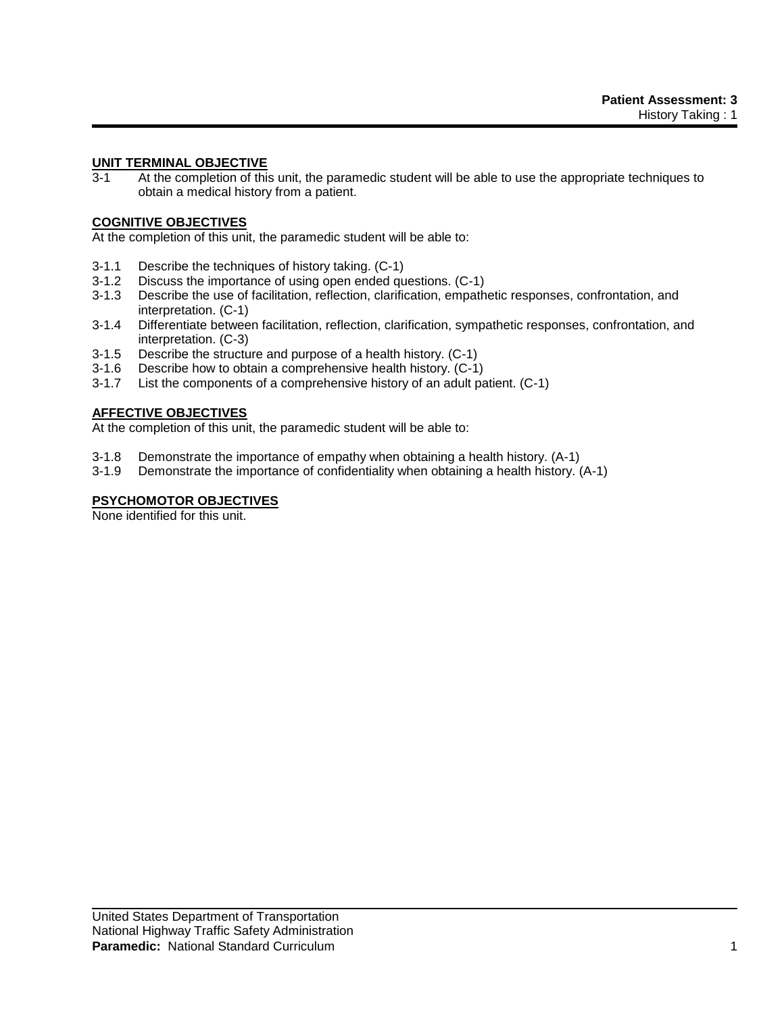## **UNIT TERMINAL OBJECTIVE**

3-1 At the completion of this unit, the paramedic student will be able to use the appropriate techniques to obtain a medical history from a patient.

# **COGNITIVE OBJECTIVES**

At the completion of this unit, the paramedic student will be able to:

- 3-1.1 Describe the techniques of history taking. (C-1)
- 3-1.2 Discuss the importance of using open ended questions. (C-1)
- 3-1.3 Describe the use of facilitation, reflection, clarification, empathetic responses, confrontation, and interpretation. (C-1)
- 3-1.4 Differentiate between facilitation, reflection, clarification, sympathetic responses, confrontation, and interpretation. (C-3)
- 3-1.5 Describe the structure and purpose of a health history. (C-1)
- 3-1.6 Describe how to obtain a comprehensive health history. (C-1)
- 3-1.7 List the components of a comprehensive history of an adult patient. (C-1)

## **AFFECTIVE OBJECTIVES**

At the completion of this unit, the paramedic student will be able to:

- 3-1.8 Demonstrate the importance of empathy when obtaining a health history. (A-1)
- 3-1.9 Demonstrate the importance of confidentiality when obtaining a health history. (A-1)

# **PSYCHOMOTOR OBJECTIVES**

None identified for this unit.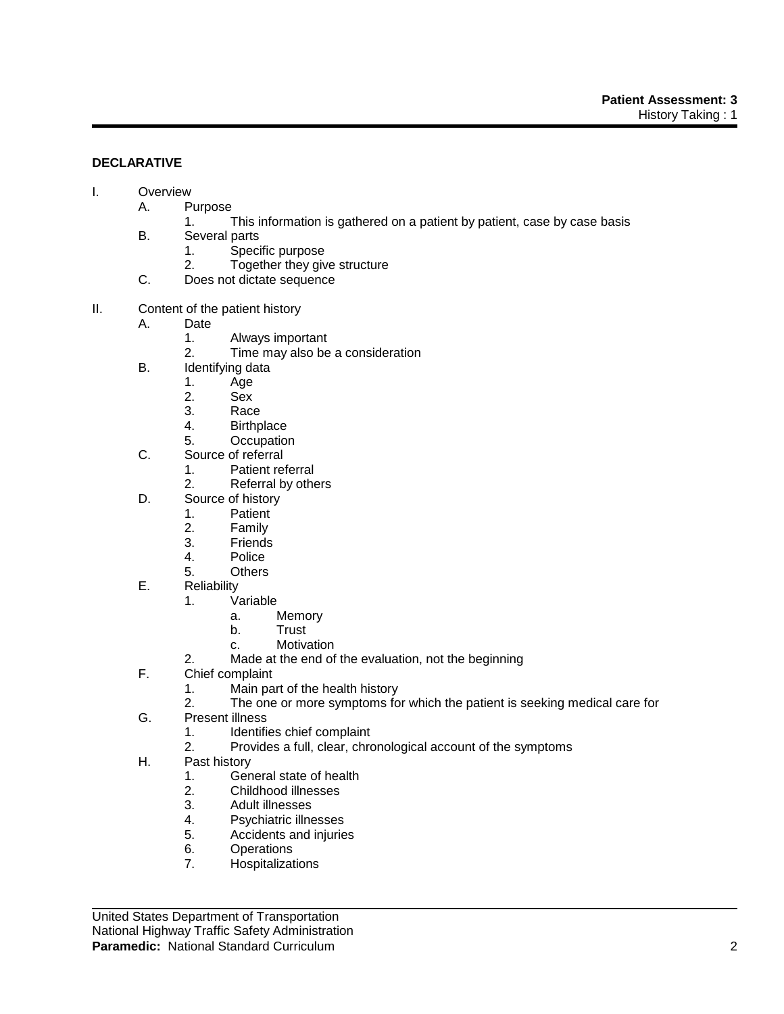# **DECLARATIVE**

- I. Overview
	- A. Purpose
		- 1. This information is gathered on a patient by patient, case by case basis
		- B. Several parts
			- 1. Specific purpose
			- 2. Together they give structure
		- C. Does not dictate sequence
- II. Content of the patient history
	- A. Date
		- 1. Always important
		- 2. Time may also be a consideration
	- B. Identifying data
		- 1. Age
		- 2. Sex
		- 3. Race
		- 4. Birthplace
		- 5. Occupation
	- C. Source of referral
		- 1. Patient referral
		- 2. Referral by others
	- D. Source of history
		- 1. Patient
		- 2. Family
		- 3. Friends
		- 4. Police
		- 5. Others
	- E. Reliability
		- 1. Variable
			- a. Memory
			- b. Trust
			- c. Motivation
		- 2. Made at the end of the evaluation, not the beginning
	- F. Chief complaint
		- 1. Main part of the health history
		- 2. The one or more symptoms for which the patient is seeking medical care for
	- G. Present illness
		- 1. Identifies chief complaint
		- 2. Provides a full, clear, chronological account of the symptoms
	- H. Past history
		- 1. General state of health
		- 2. Childhood illnesses
		- 3. Adult illnesses
		- 4. Psychiatric illnesses
		- 5. Accidents and injuries
		- 6. Operations
		- 7. Hospitalizations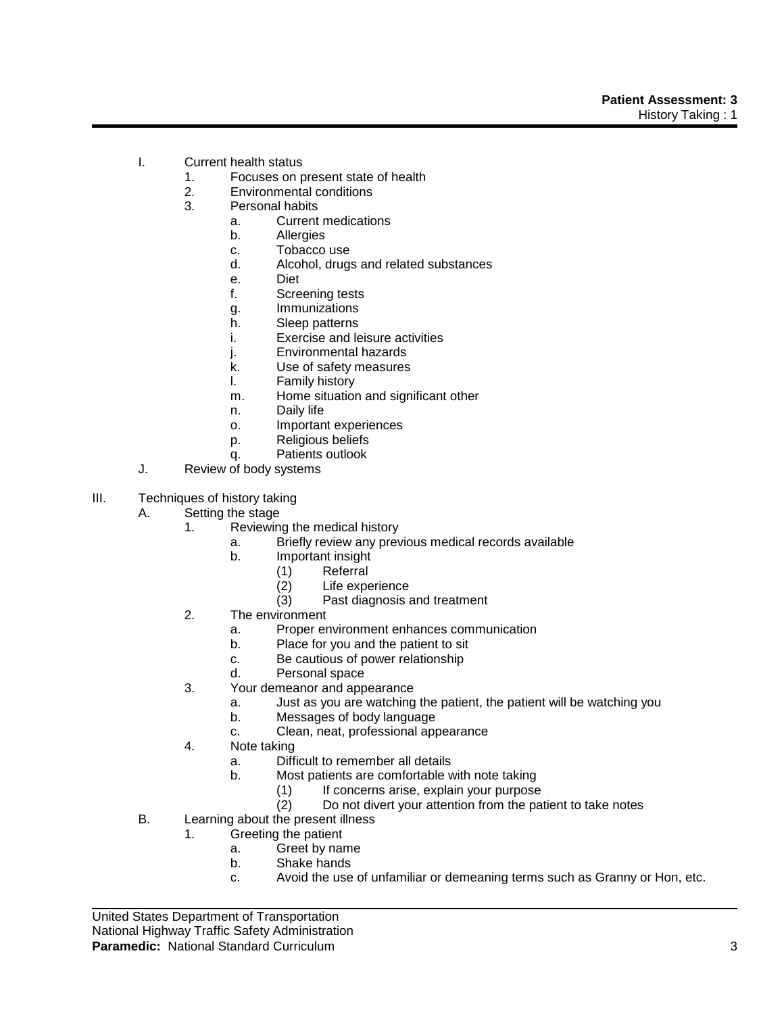- I. Current health status
	- 1. Focuses on present state of health
	- 2. Environmental conditions
	- 3. Personal habits
		- a. Current medications
		- b. Allergies
		- c. Tobacco use
		- d. Alcohol, drugs and related substances
		- e. Diet
		- f. Screening tests
		- g. Immunizations
		- h. Sleep patterns
		- i. Exercise and leisure activities
		- j. Environmental hazards
		- k. Use of safety measures
		- l. Family history
		- m. Home situation and significant other
		- n. Daily life
		- o. Important experiences
		- p. Religious beliefs
		- q. Patients outlook
- J. Review of body systems
- III. Techniques of history taking
	- A. Setting the stage
		- 1. Reviewing the medical history
			- a. Briefly review any previous medical records available
			- b. Important insight
				- (1) Referral
				- (2) Life experience<br>(3) Past diagnosis a
				- Past diagnosis and treatment
		- 2. The environment
			- a. Proper environment enhances communication
			- b. Place for you and the patient to sit
			- c. Be cautious of power relationship
			- d. Personal space
		- 3. Your demeanor and appearance
			- a. Just as you are watching the patient, the patient will be watching you
			- b. Messages of body language
			- c. Clean, neat, professional appearance
		- 4. Note taking
			- a. Difficult to remember all details
			- b. Most patients are comfortable with note taking
				- $(1)$  If concerns arise, explain your purpose
				- (2) Do not divert your attention from the patient to take notes
	- B. Learning about the present illness
		- 1. Greeting the patient
			- a. Greet by name
			- b. Shake hands
			- c. Avoid the use of unfamiliar or demeaning terms such as Granny or Hon, etc.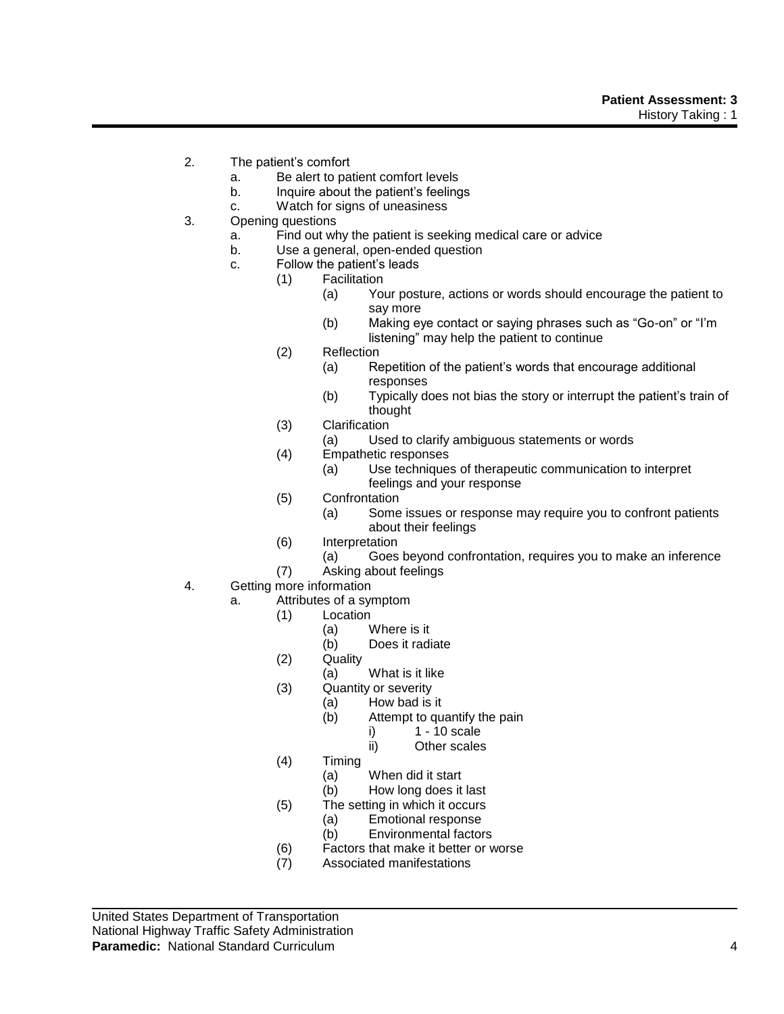- 2. The patient's comfort
	- a. Be alert to patient comfort levels
	- b. Inquire about the patient's feelings
	- c. Watch for signs of uneasiness
- 3. Opening questions
	- a. Find out why the patient is seeking medical care or advice
	- b. Use a general, open-ended question
	- c. Follow the patient's leads
		- (1) Facilitation
			- (a) Your posture, actions or words should encourage the patient to say more
			- (b) Making eye contact or saying phrases such as "Go-on" or "I'm listening" may help the patient to continue
		- (2) Reflection
			- (a) Repetition of the patient's words that encourage additional responses
			- (b) Typically does not bias the story or interrupt the patient's train of thought
		- (3) Clarification
			- (a) Used to clarify ambiguous statements or words
		- (4) Empathetic responses
			- (a) Use techniques of therapeutic communication to interpret feelings and your response
		- (5) Confrontation
			- (a) Some issues or response may require you to confront patients about their feelings
		- (6) Interpretation
			- (a) Goes beyond confrontation, requires you to make an inference
		- (7) Asking about feelings
- 4. Getting more information
	- a. Attributes of a symptom
		- (1) Location
			- (a) Where is it
			- (b) Does it radiate
		- (2) Quality
			- (a) What is it like
		- (3) Quantity or severity
			- (a) How bad is it
			- (b) Attempt to quantify the pain
				- i) 1 10 scale
					- ii) Other scales
		- (4) Timing
			- (a) When did it start
			- (b) How long does it last
		- (5) The setting in which it occurs
			- (a) Emotional response
			- (b) Environmental factors
		- (6) Factors that make it better or worse
		- (7) Associated manifestations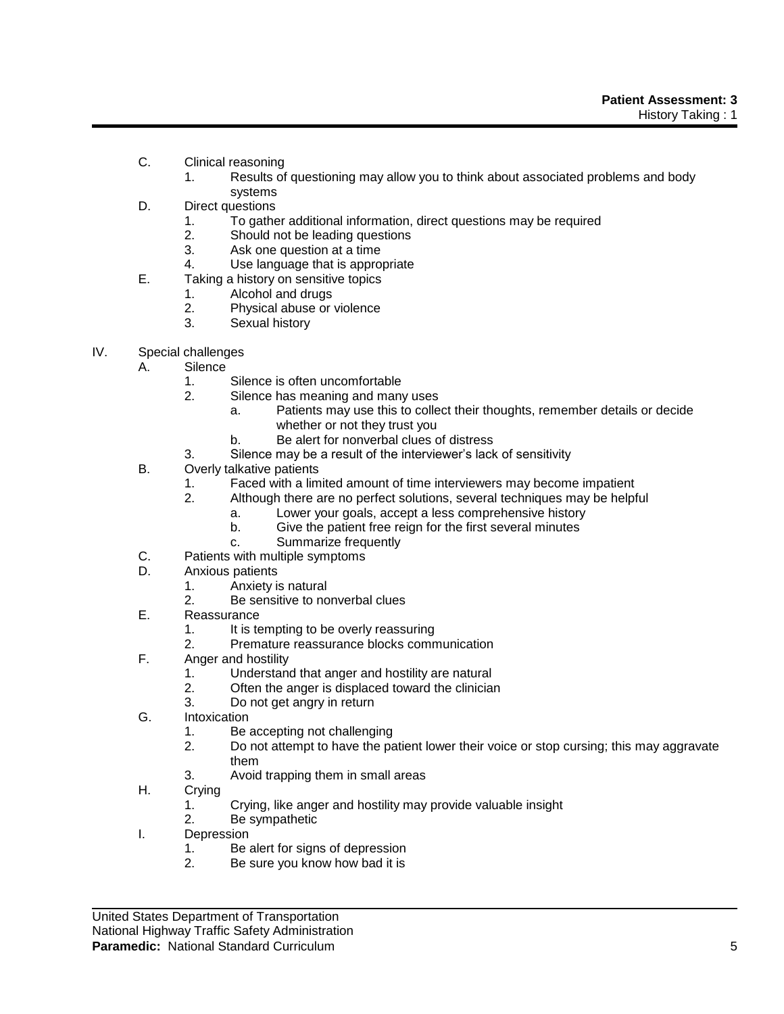- C. Clinical reasoning
	- 1. Results of questioning may allow you to think about associated problems and body systems
- D. Direct questions
	- 1. To gather additional information, direct questions may be required
	- 2. Should not be leading questions
	- 3. Ask one question at a time
	- 4. Use language that is appropriate
- E. Taking a history on sensitive topics
	- 1. Alcohol and drugs
	- 2. Physical abuse or violence
	- 3. Sexual history
- IV. Special challenges
	- A. Silence
		- 1. Silence is often uncomfortable
		- 2. Silence has meaning and many uses
			- a. Patients may use this to collect their thoughts, remember details or decide whether or not they trust you
			- b. Be alert for nonverbal clues of distress
		- 3. Silence may be a result of the interviewer's lack of sensitivity
	- B. Overly talkative patients
		- 1. Faced with a limited amount of time interviewers may become impatient
		- 2. Although there are no perfect solutions, several techniques may be helpful
			- a. Lower your goals, accept a less comprehensive history
			- b. Give the patient free reign for the first several minutes
			- c. Summarize frequently
	- C. Patients with multiple symptoms
	- D. Anxious patients
		- 1. Anxiety is natural
		- 2. Be sensitive to nonverbal clues
	- E. Reassurance
		- 1. It is tempting to be overly reassuring
		- 2. Premature reassurance blocks communication
	- F. Anger and hostility
		- 1. Understand that anger and hostility are natural
		- 2. Often the anger is displaced toward the clinician
		- 3. Do not get angry in return
	- G. Intoxication
		- 1. Be accepting not challenging
		- 2. Do not attempt to have the patient lower their voice or stop cursing; this may aggravate them
		- 3. Avoid trapping them in small areas
	- H. Crying
		- 1. Crying, like anger and hostility may provide valuable insight
		- 2. Be sympathetic
	- I. Depression
		- 1. Be alert for signs of depression
		- 2. Be sure you know how bad it is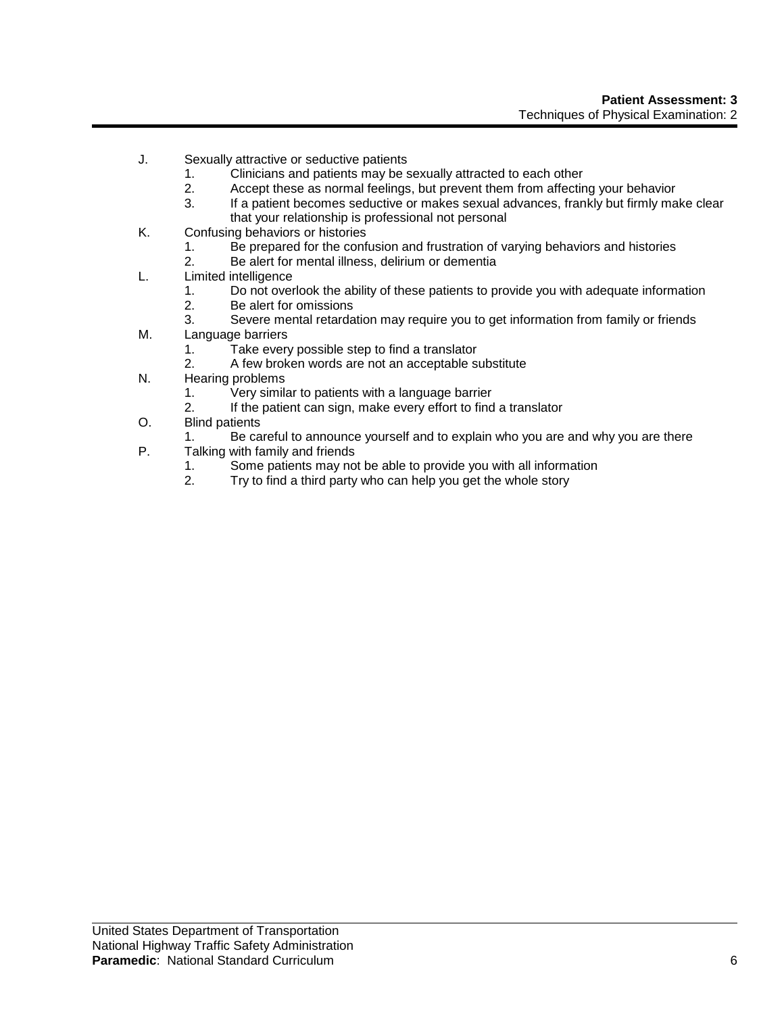- J. Sexually attractive or seductive patients
	- 1. Clinicians and patients may be sexually attracted to each other
	- 2. Accept these as normal feelings, but prevent them from affecting your behavior
	- 3. If a patient becomes seductive or makes sexual advances, frankly but firmly make clear that your relationship is professional not personal
- K. Confusing behaviors or histories
	- 1. Be prepared for the confusion and frustration of varying behaviors and histories
	- 2. Be alert for mental illness, delirium or dementia
- L. Limited intelligence
	- 1. Do not overlook the ability of these patients to provide you with adequate information
	- 2. Be alert for omissions
	- 3. Severe mental retardation may require you to get information from family or friends
- M. Language barriers
	- 1. Take every possible step to find a translator
	- 2. A few broken words are not an acceptable substitute
- N. Hearing problems
	- 1. Very similar to patients with a language barrier
	- 2. If the patient can sign, make every effort to find a translator
- O. Blind patients
	- 1. Be careful to announce yourself and to explain who you are and why you are there
- P. Talking with family and friends
	- 1. Some patients may not be able to provide you with all information
	- 2. Try to find a third party who can help you get the whole story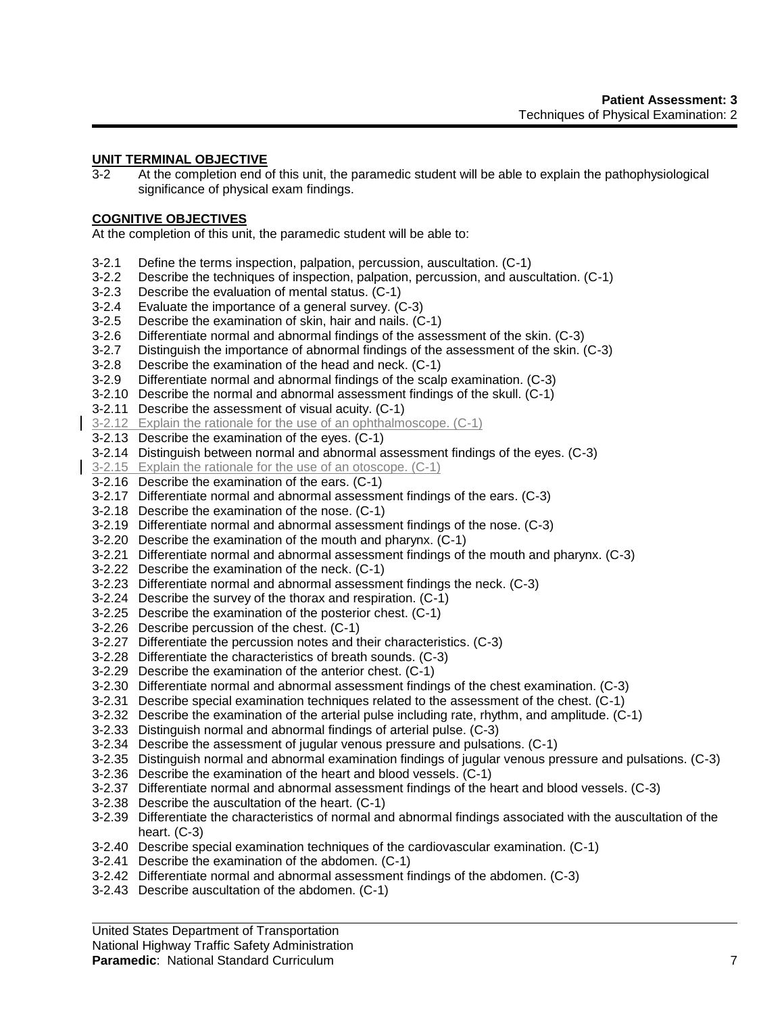# **UNIT TERMINAL OBJECTIVE**

3-2 At the completion end of this unit, the paramedic student will be able to explain the pathophysiological significance of physical exam findings.

## **COGNITIVE OBJECTIVES**

At the completion of this unit, the paramedic student will be able to:

- 3-2.1 Define the terms inspection, palpation, percussion, auscultation. (C-1)
- 3-2.2 Describe the techniques of inspection, palpation, percussion, and auscultation. (C-1)
- 3-2.3 Describe the evaluation of mental status. (C-1)
- 3-2.4 Evaluate the importance of a general survey. (C-3)
- 3-2.5 Describe the examination of skin, hair and nails. (C-1)
- 3-2.6 Differentiate normal and abnormal findings of the assessment of the skin. (C-3)
- 3-2.7 Distinguish the importance of abnormal findings of the assessment of the skin. (C-3)
- 3-2.8 Describe the examination of the head and neck. (C-1)
- 3-2.9 Differentiate normal and abnormal findings of the scalp examination. (C-3)
- 3-2.10 Describe the normal and abnormal assessment findings of the skull. (C-1)
- 3-2.11 Describe the assessment of visual acuity. (C-1)
- 3-2.12 Explain the rationale for the use of an ophthalmoscope. (C-1)
- 3-2.13 Describe the examination of the eyes. (C-1)
- 3-2.14 Distinguish between normal and abnormal assessment findings of the eyes. (C-3)
- 3-2.15 Explain the rationale for the use of an otoscope. (C-1)
- 3-2.16 Describe the examination of the ears. (C-1)
- 3-2.17 Differentiate normal and abnormal assessment findings of the ears. (C-3)
- 3-2.18 Describe the examination of the nose. (C-1)
- 3-2.19 Differentiate normal and abnormal assessment findings of the nose. (C-3)
- 3-2.20 Describe the examination of the mouth and pharynx. (C-1)
- 3-2.21 Differentiate normal and abnormal assessment findings of the mouth and pharynx. (C-3)
- 3-2.22 Describe the examination of the neck. (C-1)
- 3-2.23 Differentiate normal and abnormal assessment findings the neck. (C-3)
- 3-2.24 Describe the survey of the thorax and respiration. (C-1)
- 3-2.25 Describe the examination of the posterior chest. (C-1)
- 3-2.26 Describe percussion of the chest. (C-1)
- 3-2.27 Differentiate the percussion notes and their characteristics. (C-3)
- 3-2.28 Differentiate the characteristics of breath sounds. (C-3)
- 3-2.29 Describe the examination of the anterior chest. (C-1)
- 3-2.30 Differentiate normal and abnormal assessment findings of the chest examination. (C-3)
- 3-2.31 Describe special examination techniques related to the assessment of the chest. (C-1)
- 3-2.32 Describe the examination of the arterial pulse including rate, rhythm, and amplitude. (C-1)
- 3-2.33 Distinguish normal and abnormal findings of arterial pulse. (C-3)
- 3-2.34 Describe the assessment of jugular venous pressure and pulsations. (C-1)
- 3-2.35 Distinguish normal and abnormal examination findings of jugular venous pressure and pulsations. (C-3)
- 3-2.36 Describe the examination of the heart and blood vessels. (C-1)
- 3-2.37 Differentiate normal and abnormal assessment findings of the heart and blood vessels. (C-3)
- 3-2.38 Describe the auscultation of the heart. (C-1)
- 3-2.39 Differentiate the characteristics of normal and abnormal findings associated with the auscultation of the heart. (C-3)
- 3-2.40 Describe special examination techniques of the cardiovascular examination. (C-1)
- 3-2.41 Describe the examination of the abdomen. (C-1)
- 3-2.42 Differentiate normal and abnormal assessment findings of the abdomen. (C-3)
- 3-2.43 Describe auscultation of the abdomen. (C-1)

United States Department of Transportation

National Highway Traffic Safety Administration

#### **Paramedic**: National Standard Curriculum **7** *T*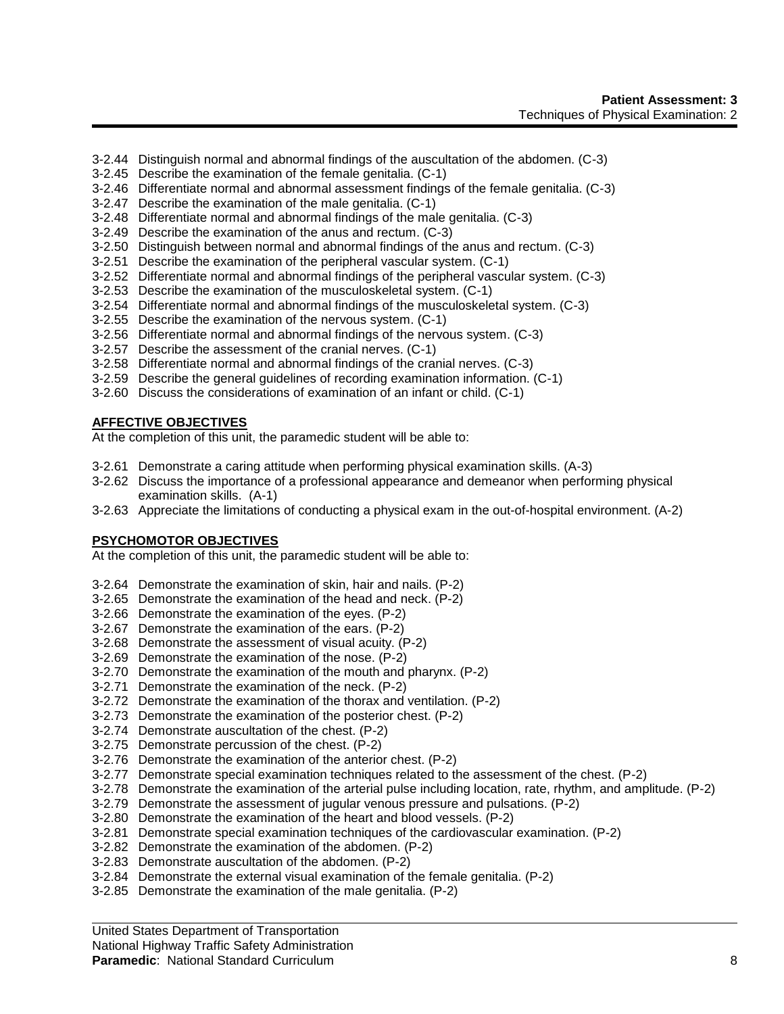- 3-2.44 Distinguish normal and abnormal findings of the auscultation of the abdomen. (C-3)
- 3-2.45 Describe the examination of the female genitalia. (C-1)
- 3-2.46 Differentiate normal and abnormal assessment findings of the female genitalia. (C-3)
- 3-2.47 Describe the examination of the male genitalia. (C-1)
- 3-2.48 Differentiate normal and abnormal findings of the male genitalia. (C-3)
- 3-2.49 Describe the examination of the anus and rectum. (C-3)
- 3-2.50 Distinguish between normal and abnormal findings of the anus and rectum. (C-3)
- 3-2.51 Describe the examination of the peripheral vascular system. (C-1)
- 3-2.52 Differentiate normal and abnormal findings of the peripheral vascular system. (C-3)
- 3-2.53 Describe the examination of the musculoskeletal system. (C-1)
- 3-2.54 Differentiate normal and abnormal findings of the musculoskeletal system. (C-3)
- 3-2.55 Describe the examination of the nervous system. (C-1)
- 3-2.56 Differentiate normal and abnormal findings of the nervous system. (C-3)
- 3-2.57 Describe the assessment of the cranial nerves. (C-1)
- 3-2.58 Differentiate normal and abnormal findings of the cranial nerves. (C-3)
- 3-2.59 Describe the general guidelines of recording examination information. (C-1)
- 3-2.60 Discuss the considerations of examination of an infant or child. (C-1)

# **AFFECTIVE OBJECTIVES**

At the completion of this unit, the paramedic student will be able to:

- 3-2.61 Demonstrate a caring attitude when performing physical examination skills. (A-3)
- 3-2.62 Discuss the importance of a professional appearance and demeanor when performing physical examination skills. (A-1)
- 3-2.63 Appreciate the limitations of conducting a physical exam in the out-of-hospital environment. (A-2)

# **PSYCHOMOTOR OBJECTIVES**

At the completion of this unit, the paramedic student will be able to:

- 3-2.64 Demonstrate the examination of skin, hair and nails. (P-2)
- 3-2.65 Demonstrate the examination of the head and neck. (P-2)
- 3-2.66 Demonstrate the examination of the eyes. (P-2)
- 3-2.67 Demonstrate the examination of the ears. (P-2)
- 3-2.68 Demonstrate the assessment of visual acuity. (P-2)
- 3-2.69 Demonstrate the examination of the nose. (P-2)
- 3-2.70 Demonstrate the examination of the mouth and pharynx. (P-2)
- 3-2.71 Demonstrate the examination of the neck. (P-2)
- 3-2.72 Demonstrate the examination of the thorax and ventilation. (P-2)
- 3-2.73 Demonstrate the examination of the posterior chest. (P-2)
- 3-2.74 Demonstrate auscultation of the chest. (P-2)
- 3-2.75 Demonstrate percussion of the chest. (P-2)
- 3-2.76 Demonstrate the examination of the anterior chest. (P-2)
- 3-2.77 Demonstrate special examination techniques related to the assessment of the chest. (P-2)
- 3-2.78 Demonstrate the examination of the arterial pulse including location, rate, rhythm, and amplitude. (P-2)
- 3-2.79 Demonstrate the assessment of jugular venous pressure and pulsations. (P-2)
- 3-2.80 Demonstrate the examination of the heart and blood vessels. (P-2)
- 3-2.81 Demonstrate special examination techniques of the cardiovascular examination. (P-2)
- 3-2.82 Demonstrate the examination of the abdomen. (P-2)
- 3-2.83 Demonstrate auscultation of the abdomen. (P-2)
- 3-2.84 Demonstrate the external visual examination of the female genitalia. (P-2)
- 3-2.85 Demonstrate the examination of the male genitalia. (P-2)

## United States Department of Transportation

## National Highway Traffic Safety Administration

## **Paramedic**: National Standard Curriculum 8 (8) 8 and 8 and 8 and 8 and 8 and 8 and 8 and 8 and 8 and 8 and 8 and 8 and 8 and 8 and 8 and 8 and 8 and 8 and 8 and 8 and 8 and 8 and 8 and 8 and 8 and 8 and 8 and 8 and 8 and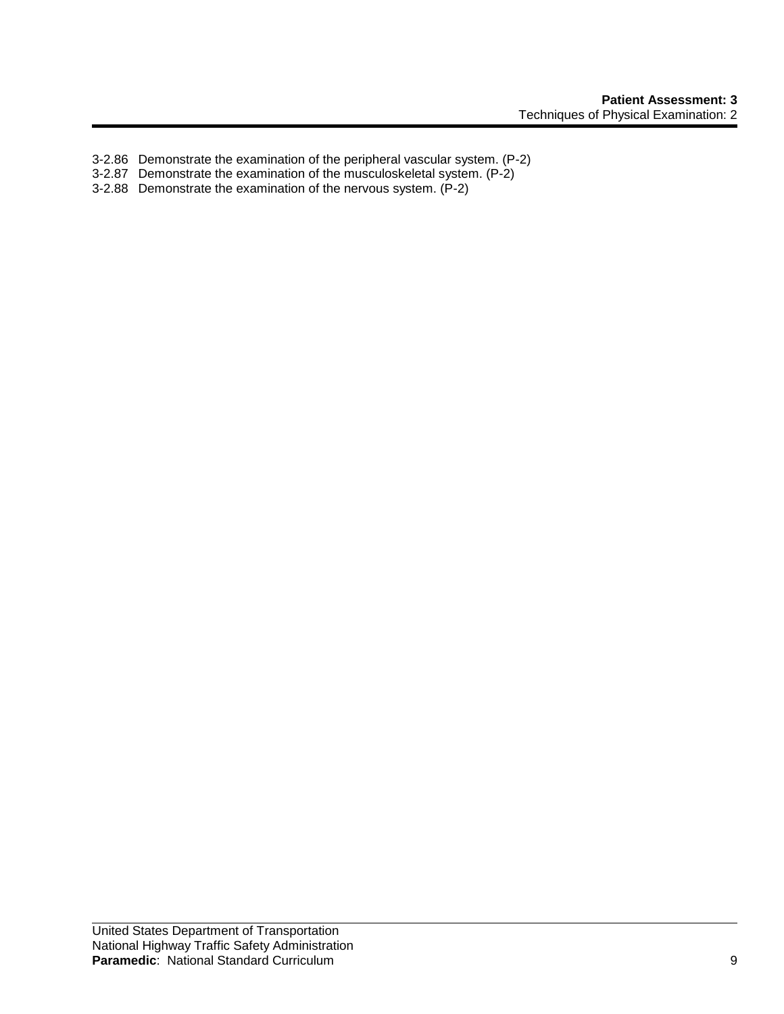- 3-2.86 Demonstrate the examination of the peripheral vascular system. (P-2)
- 3-2.87 Demonstrate the examination of the musculoskeletal system. (P-2)
- 3-2.88 Demonstrate the examination of the nervous system. (P-2)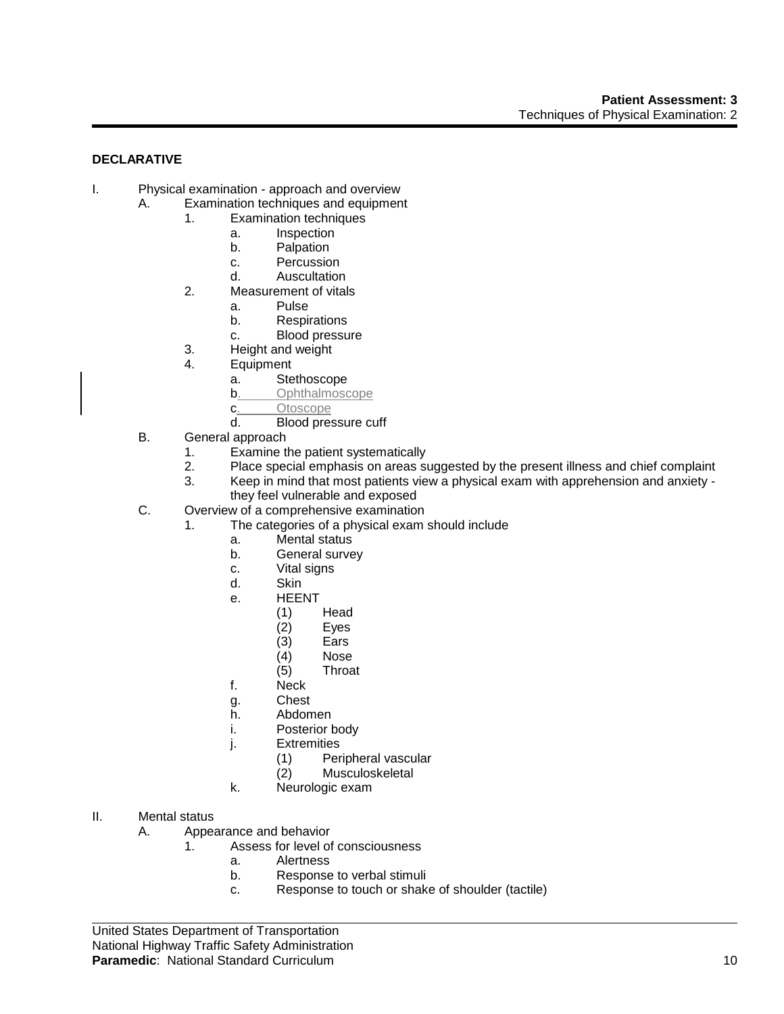## **DECLARATIVE**

- I. Physical examination approach and overview
	- A. Examination techniques and equipment
		- 1. Examination techniques
			- a. Inspection
			- b. Palpation
			- c. Percussion
			- d. Auscultation
		- 2. Measurement of vitals
			- a. Pulse
			- b. Respirations
			- c. Blood pressure
		- 3. Height and weight
		- 4. Equipment
			- a. Stethoscope
			- **b.** Ophthalmoscope
			- c. Otoscope
			- d. Blood pressure cuff
		- B. General approach
			- 1. Examine the patient systematically
			- 2. Place special emphasis on areas suggested by the present illness and chief complaint
			- 3. Keep in mind that most patients view a physical exam with apprehension and anxiety they feel vulnerable and exposed
		- C. Overview of a comprehensive examination
			- 1. The categories of a physical exam should include
				- a. Mental status
				- b. General survey
				- c. Vital signs
				- d. Skin
				- e. HEENT
					- (1) Head
					- $(2)$  Eyes<br> $(3)$  Ears
					- (3) Ears
					- (4) Nose
					- **Throat**
				- f. Neck
				- g. Chest
				- h. Abdomen
				- i. Posterior body
				- j. Extremities
					- (1) Peripheral vascular
					- (2) Musculoskeletal
				- k. Neurologic exam
- II. Mental status
	- A. Appearance and behavior
		- 1. Assess for level of consciousness
			- a. Alertness
			- b. Response to verbal stimuli
			- c. Response to touch or shake of shoulder (tactile)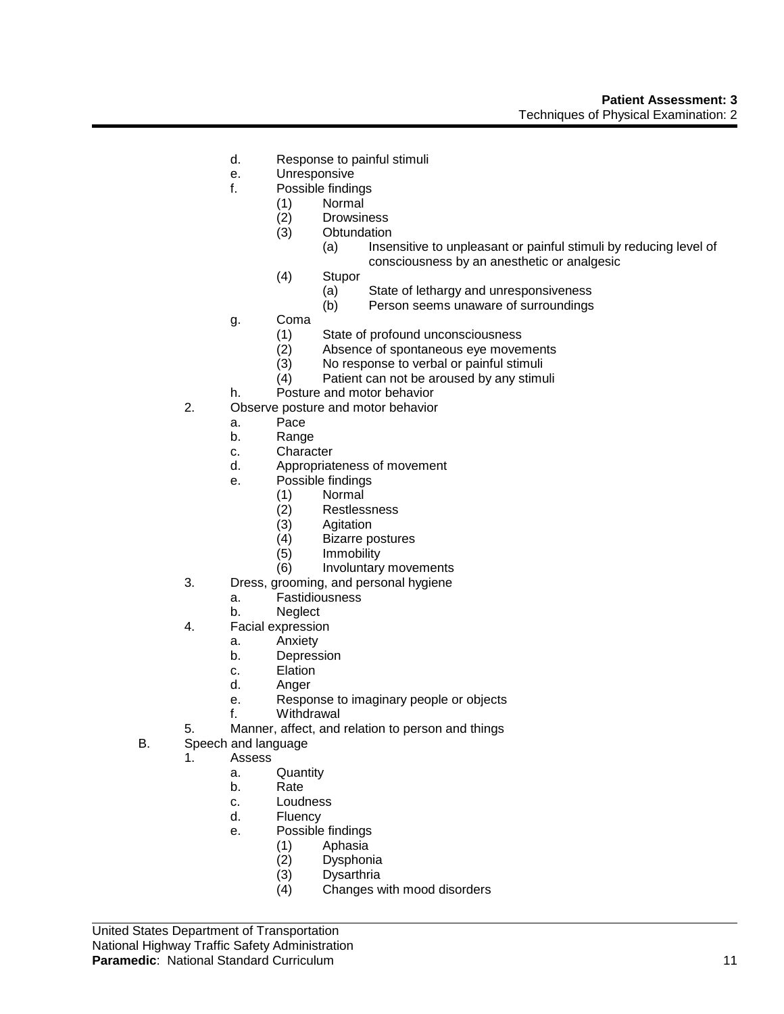- d. Response to painful stimuli
- e. Unresponsive
- f. Possible findings
	- (1) Normal
		- (2) Drowsiness
	- (3) Obtundation
		- (a) Insensitive to unpleasant or painful stimuli by reducing level of consciousness by an anesthetic or analgesic
	- (4) Stupor
		- (a) State of lethargy and unresponsiveness
		- (b) Person seems unaware of surroundings
- g. Coma
	- (1) State of profound unconsciousness
	- (2) Absence of spontaneous eye movements
	- (3) No response to verbal or painful stimuli
	- (4) Patient can not be aroused by any stimuli
- h. Posture and motor behavior
- 2. Observe posture and motor behavior
	- a. Pace
	- b. Range
	- c. Character
	- d. Appropriateness of movement
	- e. Possible findings
		- (1) Normal
		- **Restlessness**
		- (3) Agitation<br>(4) Bizarre po
		- (4) Bizarre postures
		- (5) Immobility
		- (6) Involuntary movements
- 3. Dress, grooming, and personal hygiene
	- a. Fastidiousness
	- b. Neglect
- 4. Facial expression
	- a. Anxiety
	- b. Depression
	- c. Elation
	- d. Anger
	- e. Response to imaginary people or objects
	- f. Withdrawal
- 5. Manner, affect, and relation to person and things
- B. Speech and language
	- 1. Assess
		- a. Quantity
		- b. Rate
		- c. Loudness
		- d. Fluency
		- e. Possible findings
			- (1) Aphasia
			- (2) Dysphonia
			- **Dysarthria**
			- (4) Changes with mood disorders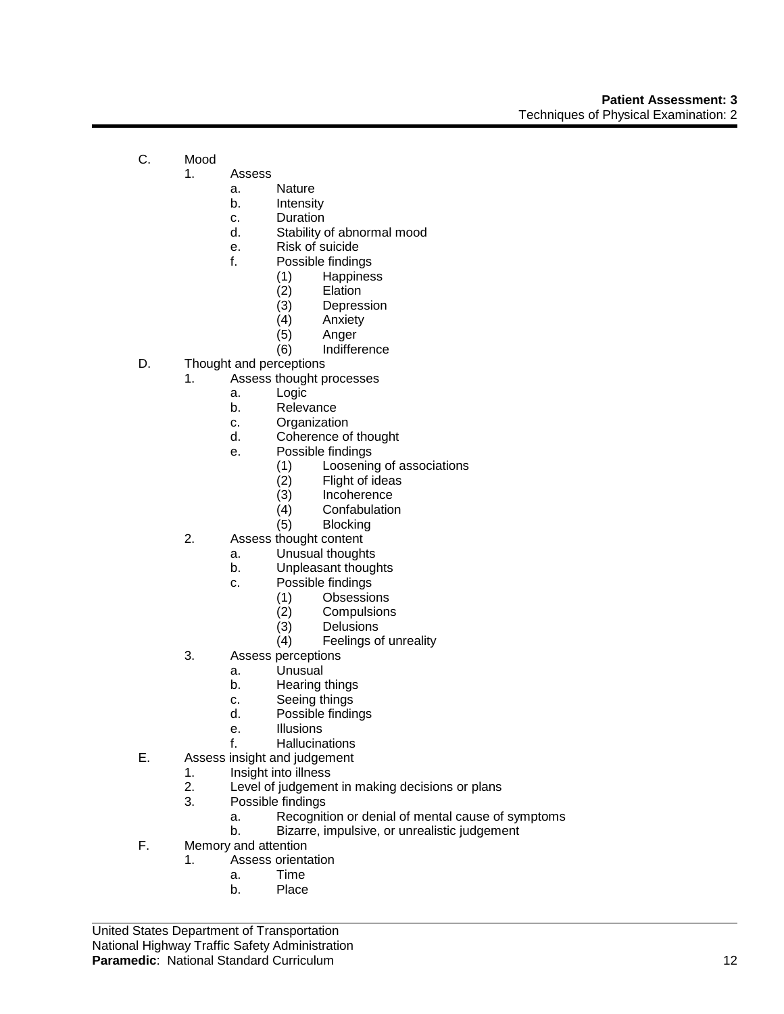- C. Mood
	- 1. Assess
		- a. Nature
		- b. Intensity
		- c. Duration
		- d. Stability of abnormal mood
		- e. Risk of suicide
		- f. Possible findings
			- (1) Happiness
			- **Elation**
			- (3) Depression<br>(4) Anxiety
			- **Anxiety**
			- (5) Anger
			- (6) Indifference
- D. Thought and perceptions
	- 1. Assess thought processes
		- a. Logic
			- b. Relevance
			- c. Organization
			- d. Coherence of thought
			- e. Possible findings
				- (1) Loosening of associations<br>(2) Flight of ideas
				- (2) Flight of ideas<br>(3) Incoherence
				- (3) Incoherence<br>(4) Confabulation
				- Confabulation
				- (5) Blocking
	- 2. Assess thought content
		- a. Unusual thoughts
		- b. Unpleasant thoughts
		- c. Possible findings
			-
			- (1) Obsessions (2) Compulsions
			- (3) Delusions<br>(4) Feelings o
			- Feelings of unreality
	- 3. Assess perceptions
		- a. Unusual
		- b. Hearing things
		- c. Seeing things
		- d. Possible findings
		- e. Illusions
		- f. Hallucinations
- E. Assess insight and judgement
	- 1. Insight into illness
		- 2. Level of judgement in making decisions or plans
		- 3. Possible findings
			- a. Recognition or denial of mental cause of symptoms
			- b. Bizarre, impulsive, or unrealistic judgement
- F. Memory and attention
	- 1. Assess orientation
		- a. Time
		- b. Place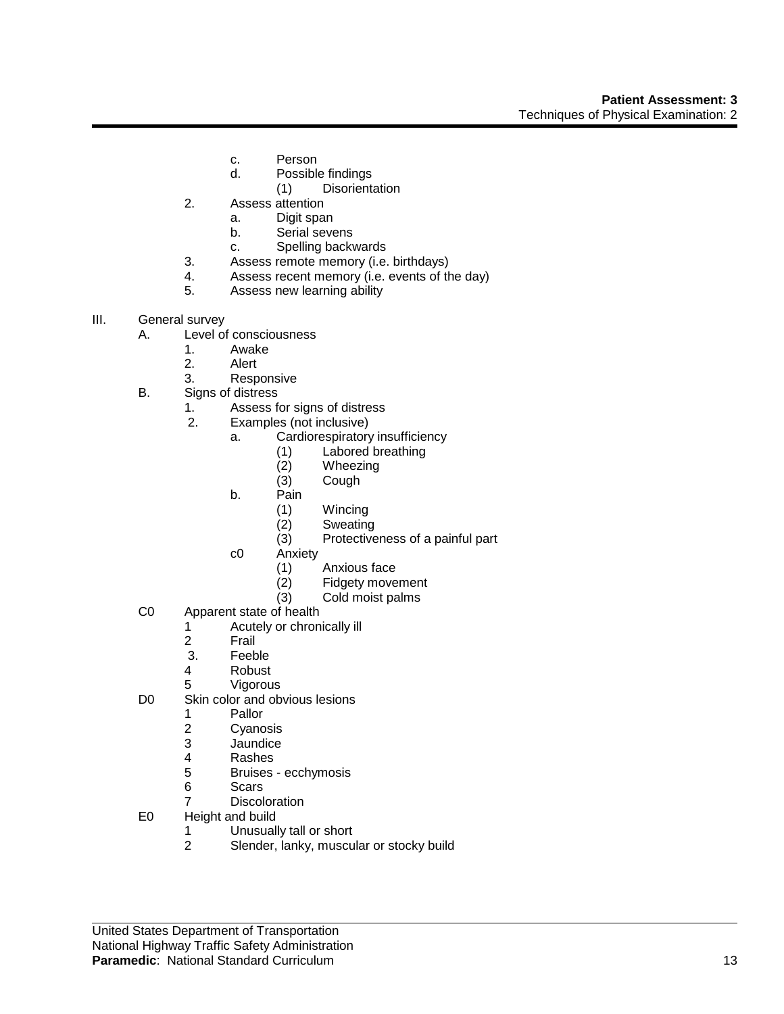- c. Person
- d. Possible findings
- (1) Disorientation
- 2. Assess attention
	- a. Digit span
	- b. Serial sevens
	- c. Spelling backwards
- 3. Assess remote memory (i.e. birthdays)
- 4. Assess recent memory (i.e. events of the day)
- 5. Assess new learning ability
- III. General survey
	- A. Level of consciousness
		- 1. Awake
		- 2. Alert
		- 3. Responsive
	- B. Signs of distress
		- 1. Assess for signs of distress
		- 2. Examples (not inclusive)
			- a. Cardiorespiratory insufficiency
				- (1) Labored breathing<br>(2) Wheezing
				- (2) Wheezing<br>(3) Cough
				- Cough
			- b. Pain
				- (1) Wincing
				- (2) Sweating
				- (3) Protectiveness of a painful part
			- c0 Anxiety
				- (1) Anxious face
				- (2) Fidgety movement
				- (3) Cold moist palms
	- C0 Apparent state of health
		- 1 Acutely or chronically ill<br>2 Frail
		- 2 Frail<br>3. Feeb
		- **Feeble**
		- 4 Robust
		- 5 Vigorous
	- D0 Skin color and obvious lesions
		- 1 Pallor<br>2 Cyand
		- 2 Cyanosis<br>3 Jaundice
		- **Jaundice**
		- 4 Rashes
		- 5 Bruises ecchymosis
		- 6 Scars
		- 7 Discoloration
	- E0 Height and build
		- 1 Unusually tall or short<br>2 Slender, lanky, muscu
		- Slender, lanky, muscular or stocky build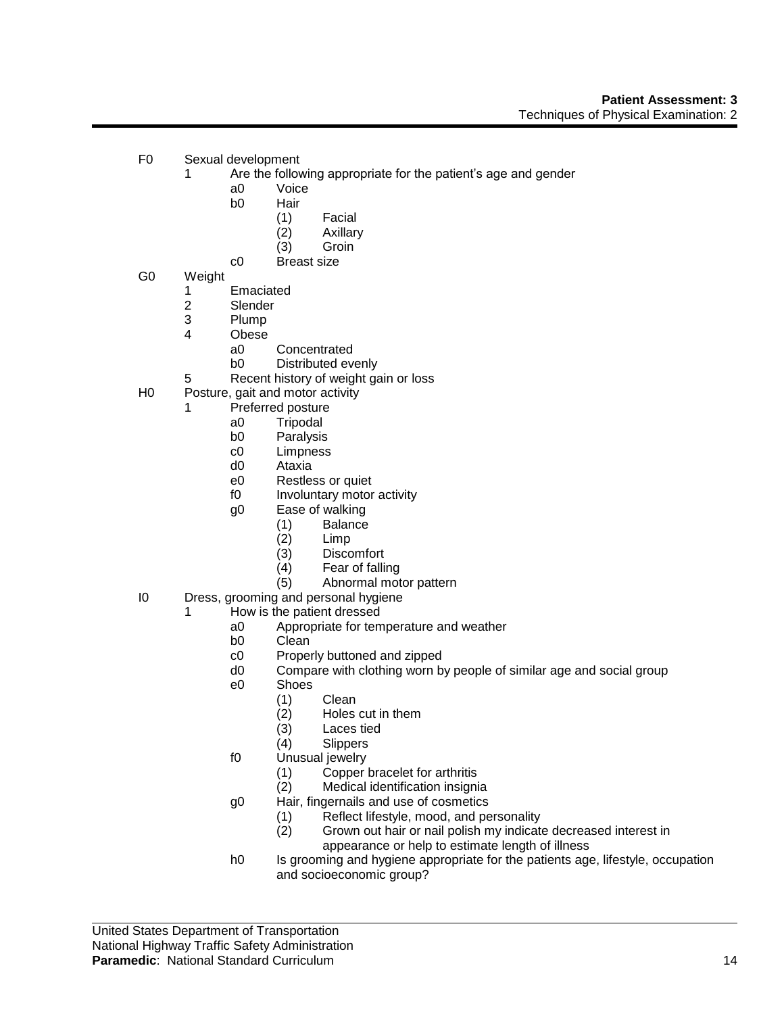- F0 Sexual development
	- 1 Are the following appropriate for the patient's age and gender
		- a0 Voice
		- b0 Hair
			- (1) Facial
			- (2) Axillary
			- (3) Groin
		- c0 Breast size
- G0 Weight
	- 1 Emaciated
	- 2 Slender<br>3 Plump
	- **Plump**
	- 4 Obese
		- a0 Concentrated
		- b0 Distributed evenly
	- 5 Recent history of weight gain or loss
- H0 Posture, gait and motor activity
	- 1 Preferred posture
		- a0 Tripodal
		- b0 Paralysis
		- c0 Limpness
		- d0 Ataxia
		- e0 Restless or quiet
		- f0 Involuntary motor activity
		- g0 Ease of walking
			- (1) Balance
			- (2) Limp
			- Discomfort
			- (4) Fear of falling
			- (5) Abnormal motor pattern
- I0 Dress, grooming and personal hygiene
	- 1 How is the patient dressed
		- a0 Appropriate for temperature and weather
		- Clean
		- c0 Properly buttoned and zipped
		- d0 Compare with clothing worn by people of similar age and social group
		- e0 Shoes
			- (1) Clean
			- (2) Holes cut in them
			- Laces tied
			- (4) Slippers
		- f0 Unusual jewelry
			- (1) Copper bracelet for arthritis
			- (2) Medical identification insignia
		- g0 Hair, fingernails and use of cosmetics
			- (1) Reflect lifestyle, mood, and personality
			- (2) Grown out hair or nail polish my indicate decreased interest in appearance or help to estimate length of illness
		- h0 Is grooming and hygiene appropriate for the patients age, lifestyle, occupation and socioeconomic group?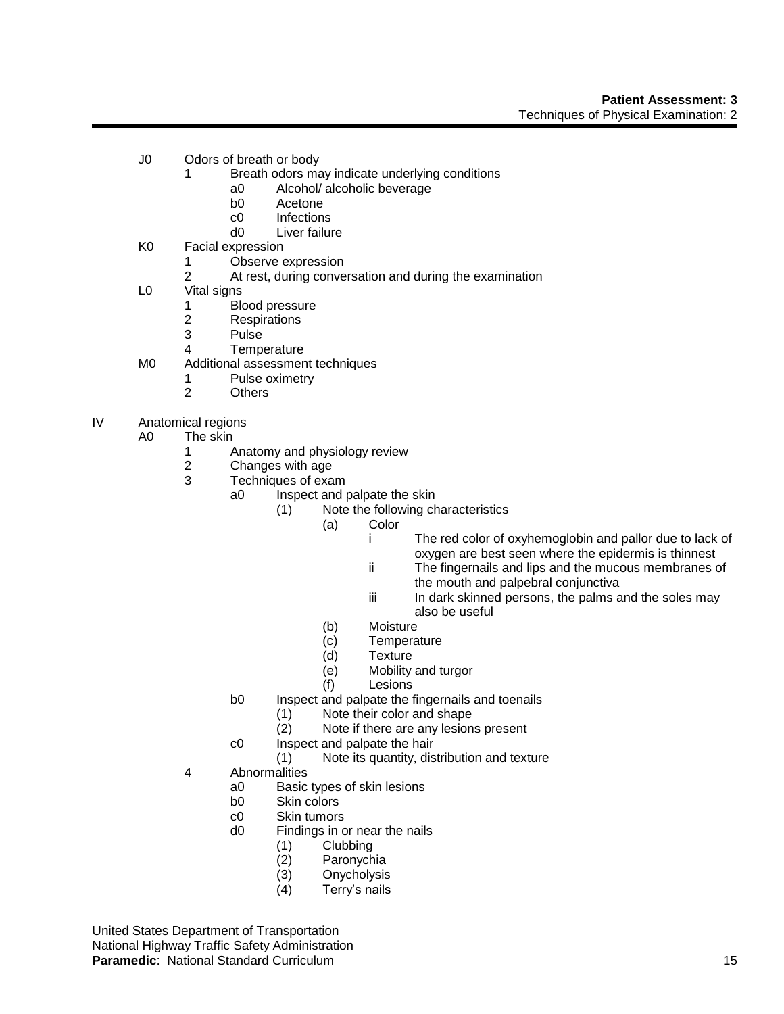- J0 Odors of breath or body
	- 1 Breath odors may indicate underlying conditions
		- a0 Alcohol/ alcoholic beverage
		- b0 Acetone
		- c0 Infections
		- d0 Liver failure
- K0 Facial expression
	- 1 Observe expression
	- 2 At rest, during conversation and during the examination
- L0 Vital signs
	- 1 Blood pressure<br>2 Respirations
	- **Respirations**
	- 3 Pulse
	- 4 Temperature
- M0 Additional assessment techniques
	- 1 Pulse oximetry
	- 2 Others
- IV Anatomical regions
	- A0 The skin
		- 1 Anatomy and physiology review<br>2 Changes with age
		- Changes with age
		- 3 Techniques of exam
			- a0 Inspect and palpate the skin
				- (1) Note the following characteristics
					- (a) Color
						- i The red color of oxyhemoglobin and pallor due to lack of oxygen are best seen where the epidermis is thinnest
						- ii The fingernails and lips and the mucous membranes of the mouth and palpebral conjunctiva
						- iii In dark skinned persons, the palms and the soles may also be useful
					- (b) Moisture
					- (c) Temperature
					- (d) Texture
					- (e) Mobility and turgor
					- (f) Lesions
			- b0 Inspect and palpate the fingernails and toenails
				- (1) Note their color and shape
					- (2) Note if there are any lesions present
			- c0 Inspect and palpate the hair
				- (1) Note its quantity, distribution and texture
		- 4 Abnormalities
			- a0 Basic types of skin lesions
			- b0 Skin colors
			- c0 Skin tumors
			- d0 Findings in or near the nails
				- (1) Clubbing
				- (2) Paronychia
				- **Onycholysis**
				- (4) Terry's nails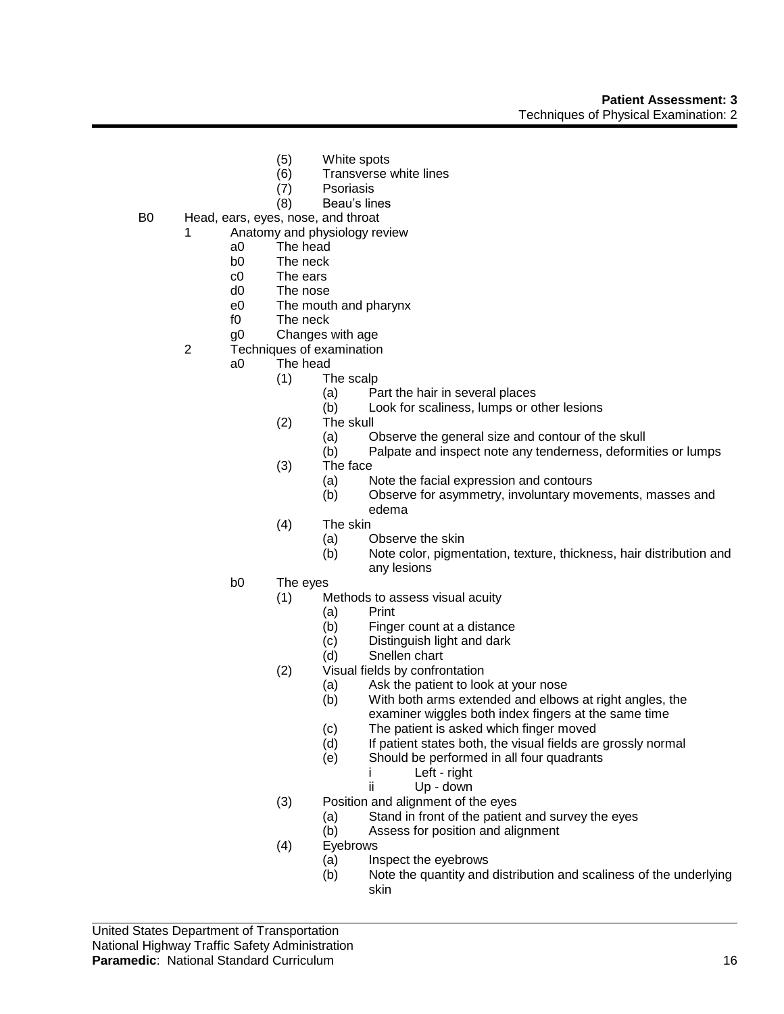- (5) White spots
- (6) Transverse white lines
- (7) Psoriasis
- (8) Beau's lines
- B0 Head, ears, eyes, nose, and throat
	- 1 Anatomy and physiology review
		- a0 The head
		- b0 The neck
		- c0 The ears
		- d0 The nose
		- e0 The mouth and pharynx
		- f0 The neck
		- g0 Changes with age
	- 2 Techniques of examination
		- a0 The head
			- (1) The scalp
				- (a) Part the hair in several places
				- (b) Look for scaliness, lumps or other lesions
			- (2) The skull
				- (a) Observe the general size and contour of the skull
				- (b) Palpate and inspect note any tenderness, deformities or lumps
			- (3) The face
				- (a) Note the facial expression and contours
				- (b) Observe for asymmetry, involuntary movements, masses and edema
			- (4) The skin
				- (a) Observe the skin
				- (b) Note color, pigmentation, texture, thickness, hair distribution and any lesions
		- b0 The eyes
			- (1) Methods to assess visual acuity
				- (a) Print
				- (b) Finger count at a distance<br>(c) Distinguish light and dark
				- Distinguish light and dark
				- (d) Snellen chart
			- (2) Visual fields by confrontation
				- (a) Ask the patient to look at your nose
				- (b) With both arms extended and elbows at right angles, the examiner wiggles both index fingers at the same time
				- (c) The patient is asked which finger moved
				- (d) If patient states both, the visual fields are grossly normal
				- (e) Should be performed in all four quadrants
					- i Left right
					- ii Up down
			- (3) Position and alignment of the eyes
				- (a) Stand in front of the patient and survey the eyes
				- (b) Assess for position and alignment
			- (4) Eyebrows
				- (a) Inspect the eyebrows
				- (b) Note the quantity and distribution and scaliness of the underlying skin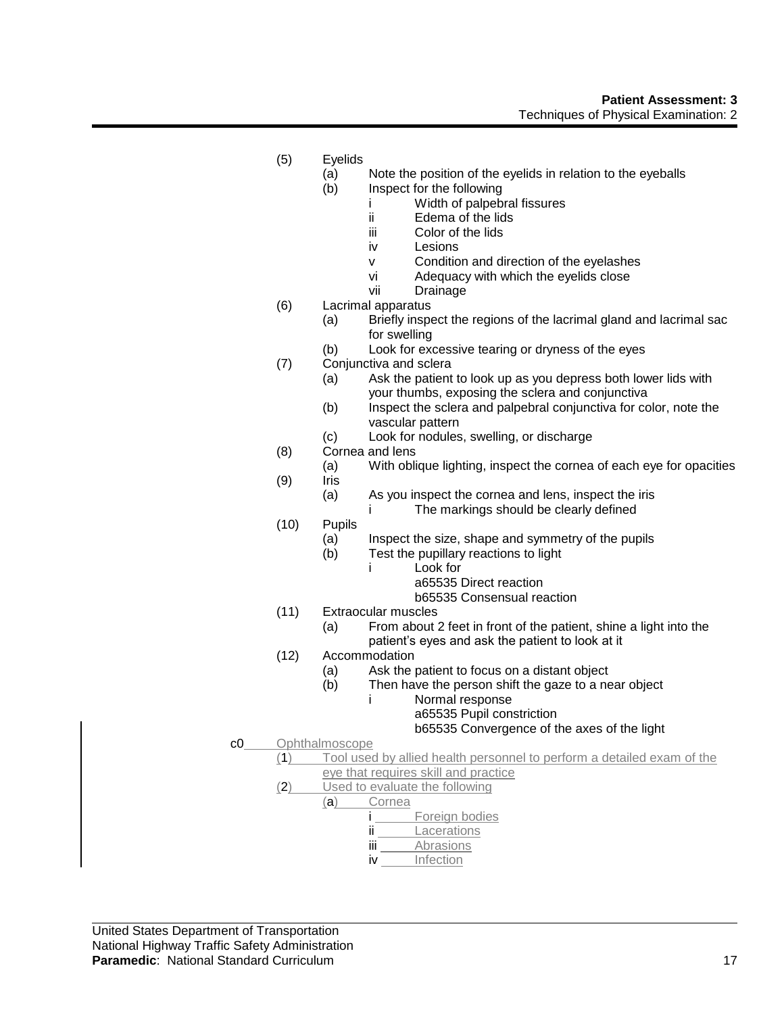- (5) Eyelids
	- (a) Note the position of the eyelids in relation to the eyeballs
	- (b) Inspect for the following
		- i Width of palpebral fissures
		- ii Edema of the lids
		- iii Color of the lids
		- iv Lesions
		- v Condition and direction of the eyelashes
		- vi Adequacy with which the eyelids close
		- vii Drainage
- (6) Lacrimal apparatus
	- (a) Briefly inspect the regions of the lacrimal gland and lacrimal sac for swelling
	- (b) Look for excessive tearing or dryness of the eyes
- (7) Conjunctiva and sclera
	- (a) Ask the patient to look up as you depress both lower lids with your thumbs, exposing the sclera and conjunctiva
	- (b) Inspect the sclera and palpebral conjunctiva for color, note the vascular pattern
	- (c) Look for nodules, swelling, or discharge
- (8) Cornea and lens
- (a) With oblique lighting, inspect the cornea of each eye for opacities (9) Iris
	- (a) As you inspect the cornea and lens, inspect the iris
		- i The markings should be clearly defined
- (10) Pupils
	- (a) Inspect the size, shape and symmetry of the pupils
	- (b) Test the pupillary reactions to light
		- i Look for
			- a65535 Direct reaction
			- b65535 Consensual reaction
- (11) Extraocular muscles
	- (a) From about 2 feet in front of the patient, shine a light into the patient's eyes and ask the patient to look at it
- (12) Accommodation
	- (a) Ask the patient to focus on a distant object
	- (b) Then have the person shift the gaze to a near object
		- i Normal response

a65535 Pupil constriction b65535 Convergence of the axes of the light

- c0 Ophthalmoscope
	- (1) Tool used by allied health personnel to perform a detailed exam of the eye that requires skill and practice
	- (2) Used to evaluate the following
		- (a) Cornea

i Foreign bodies

- ii **Lacerations**
- iii Abrasions
- iv Infection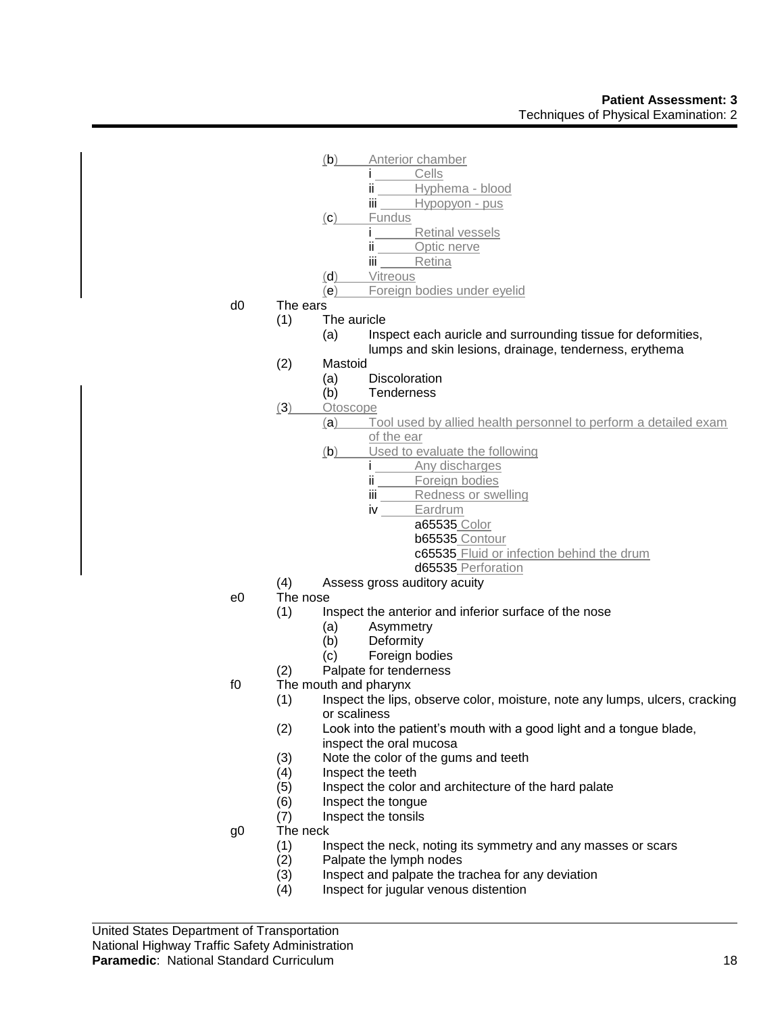

- 
- $(2)$  Palpate the lymph nodes<br> $(3)$  Inspect and palpate the tr Inspect and palpate the trachea for any deviation
- (4) Inspect for jugular venous distention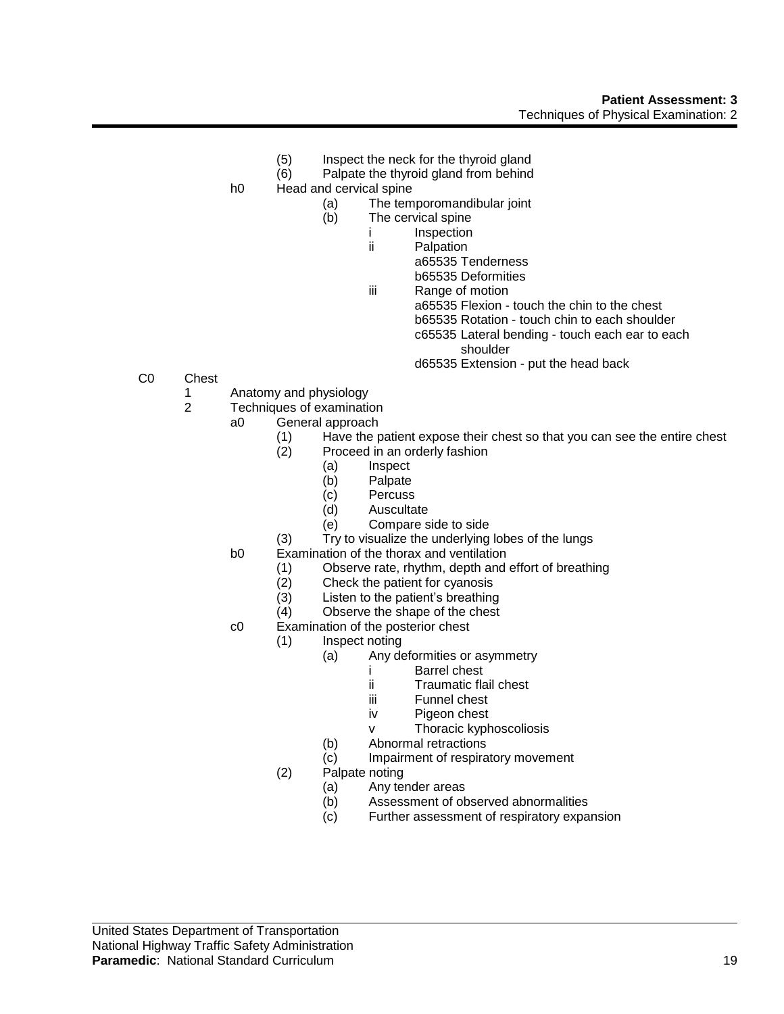- (5) Inspect the neck for the thyroid gland
- (6) Palpate the thyroid gland from behind
- h0 Head and cervical spine
	- (a) The temporomandibular joint
		- (b) The cervical spine
			- i Inspection
			- ii Palpation
				- a65535 Tenderness
				- b65535 Deformities
			- iii Range of motion
				- a65535 Flexion touch the chin to the chest
				- b65535 Rotation touch chin to each shoulder
				- c65535 Lateral bending touch each ear to each shoulder
				- d65535 Extension put the head back

- C0 Chest
	- 1 Anatomy and physiology
	- 2 Techniques of examination
		- a0 General approach
			- (1) Have the patient expose their chest so that you can see the entire chest
			- (2) Proceed in an orderly fashion
				- (a) Inspect
				- (b) Palpate
				- (c) Percuss
				- (d) Auscultate
				- (e) Compare side to side
			- (3) Try to visualize the underlying lobes of the lungs
		- b0 Examination of the thorax and ventilation
			- (1) Observe rate, rhythm, depth and effort of breathing
			- (2) Check the patient for cyanosis
			- (3) Listen to the patient's breathing
			- (4) Observe the shape of the chest
		- c0 Examination of the posterior chest
			- (1) Inspect noting
				- (a) Any deformities or asymmetry
					- i Barrel chest<br>ii Traumatic fla
					- **Traumatic flail chest**
					- iii Funnel chest
					- iv Pigeon chest
					- v Thoracic kyphoscoliosis
				- (b) Abnormal retractions
				- (c) Impairment of respiratory movement
			- (2) Palpate noting
				- (a) Any tender areas
				- (b) Assessment of observed abnormalities
				- (c) Further assessment of respiratory expansion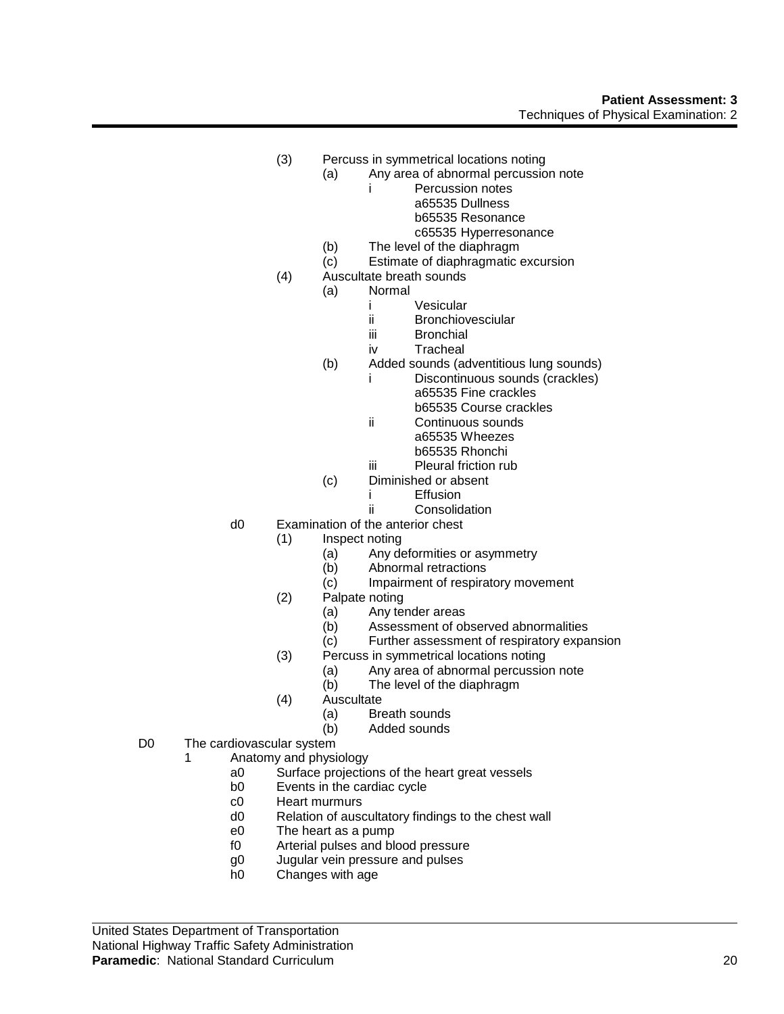- (3) Percuss in symmetrical locations noting
	- (a) Any area of abnormal percussion note
		- i Percussion notes a65535 Dullness b65535 Resonance
			- c65535 Hyperresonance
		- (b) The level of the diaphragm
	- (c) Estimate of diaphragmatic excursion
- (4) Auscultate breath sounds
	- (a) Normal
		- i Vesicular
		- ii Bronchiovesciular
		- iii Bronchial
		- iv Tracheal
		- (b) Added sounds (adventitious lung sounds)
			- i Discontinuous sounds (crackles) a65535 Fine crackles b65535 Course crackles
			- ii Continuous sounds a65535 Wheezes b65535 Rhonchi
			- iii Pleural friction rub
		- (c) Diminished or absent
			- i Effusion
			- ii Consolidation
- d0 Examination of the anterior chest
	- (1) Inspect noting
		- (a) Any deformities or asymmetry
		- (b) Abnormal retractions
		- (c) Impairment of respiratory movement
	- (2) Palpate noting
		-
		- (a) Any tender areas<br>(b) Assessment of ob Assessment of observed abnormalities
		- (c) Further assessment of respiratory expansion
	- (3) Percuss in symmetrical locations noting
		- (a) Any area of abnormal percussion note<br>(b) The level of the diaphragm
		- The level of the diaphragm
	- (4) Auscultate
		- (a) Breath sounds
			- (b) Added sounds
- D0 The cardiovascular system
	- 1 Anatomy and physiology
		- a0 Surface projections of the heart great vessels
		- b0 Events in the cardiac cycle
		- c0 Heart murmurs
		- d0 Relation of auscultatory findings to the chest wall
		- e0 The heart as a pump
		- f0 Arterial pulses and blood pressure
		- g0 Jugular vein pressure and pulses
		- h0 Changes with age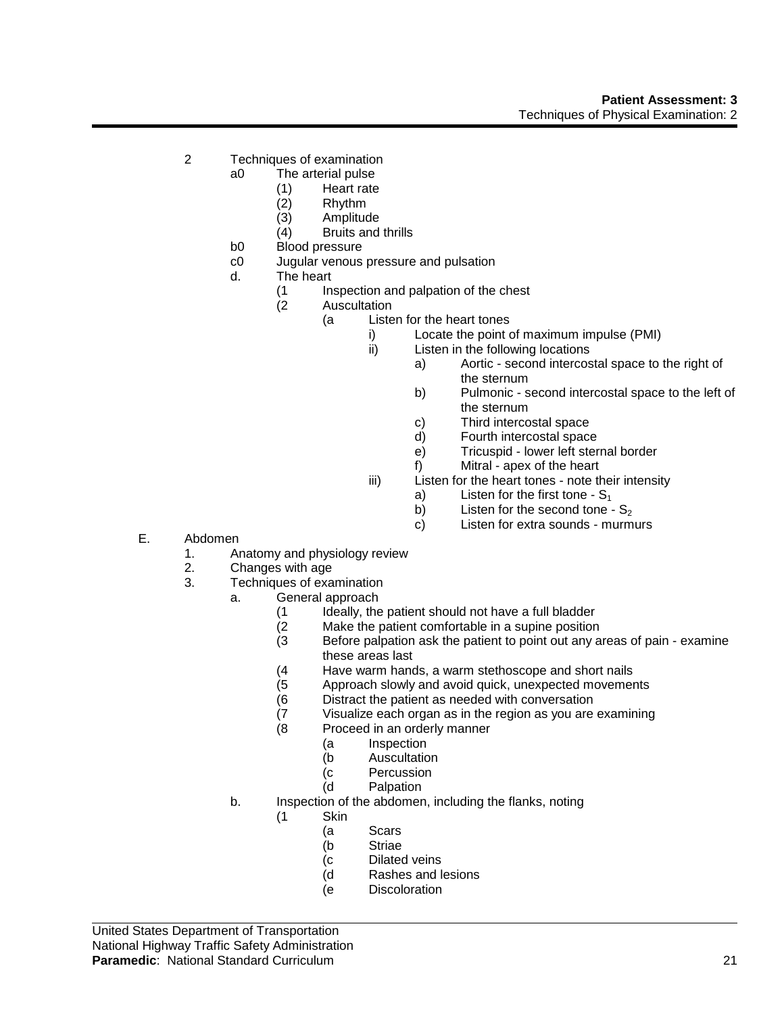- 2 Techniques of examination
	- a0 The arterial pulse
		- (1) Heart rate
		- (2) Rhythm
		- (3) Amplitude
		- (4) Bruits and thrills
		- b0 Blood pressure
		- c0 Jugular venous pressure and pulsation
		- d. The heart
			- (1 Inspection and palpation of the chest
			- (2 Auscultation
				- (a Listen for the heart tones
					- i) Locate the point of maximum impulse (PMI)
					- ii) Listen in the following locations
						- a) Aortic second intercostal space to the right of the sternum
						- b) Pulmonic second intercostal space to the left of the sternum
						- c) Third intercostal space
						- d) Fourth intercostal space
						- e) Tricuspid lower left sternal border
						- f) Mitral apex of the heart
					- iii) Listen for the heart tones note their intensity
						- a) Listen for the first tone  $S_1$
						- b) Listen for the second tone  $S_2$
						- c) Listen for extra sounds murmurs
- E. Abdomen
	- 1. Anatomy and physiology review
	- 2. Changes with age
	- 3. Techniques of examination
		- a. General approach
			-
			- (1 Ideally, the patient should not have a full bladder<br>(2 Make the patient comfortable in a supine position
			- (2 Make the patient comfortable in a supine position<br>(3 Before palpation ask the patient to point out any a Before palpation ask the patient to point out any areas of pain - examine these areas last
			- (4 Have warm hands, a warm stethoscope and short nails
			- Approach slowly and avoid quick, unexpected movements
			- (6 Distract the patient as needed with conversation
			- (7 Visualize each organ as in the region as you are examining<br>(8 Proceed in an orderly manner
			- Proceed in an orderly manner
				- (a Inspection
				- (b Auscultation
				- (c Percussion
				- (d Palpation
		- b. Inspection of the abdomen, including the flanks, noting
			- (1 Skin
				- (a Scars
				- (b Striae
				- (c Dilated veins
				- (d Rashes and lesions
				- (e Discoloration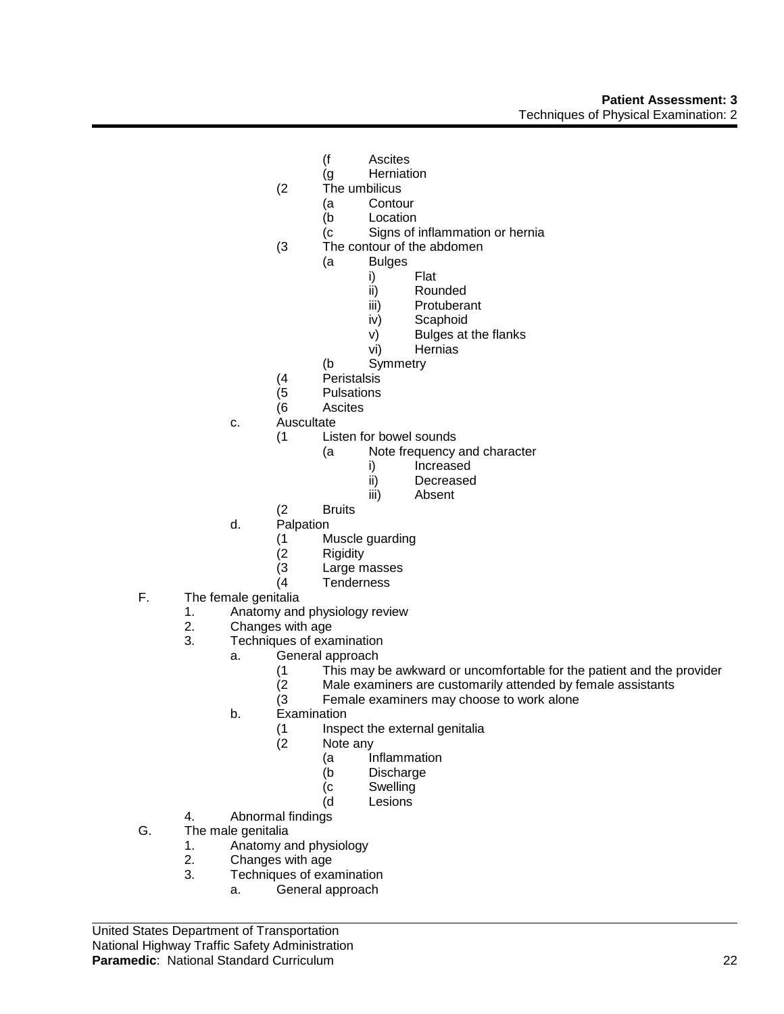- (f Ascites
- (g Herniation
- (2 The umbilicus
	- (a Contour
	- (b Location
	- (c Signs of inflammation or hernia
- (3 The contour of the abdomen
	- (a Bulges
		- i) Flat<br>ii) Rou
		- Rounded
		- iii) Protuberant
		- iv) Scaphoid
		- v) Bulges at the flanks
		- vi) Hernias
	- (b Symmetry
- 
- (4 Peristalsis **Pulsations**
- (6 Ascites
- c. Auscultate
	- (1 Listen for bowel sounds
		- (a Note frequency and character
			- i) Increased
			- ii) Decreased
			- iii) Absent
	- (2 Bruits
- d. Palpation
	- (1 Muscle guarding
	-
	- (2 Rigidity Large masses
	- (4 Tenderness
- F. The female genitalia
	- 1. Anatomy and physiology review<br>2. Changes with age
	- 2. Changes with age<br>3. Techniques of exa
	- Techniques of examination
		- a. General approach
			- (1 This may be awkward or uncomfortable for the patient and the provider<br>(2 Male examiners are customarily attended by female assistants
			- Male examiners are customarily attended by female assistants
			- (3 Female examiners may choose to work alone
			- b. Examination
				- (1 Inspect the external genitalia
				- (2 Note any
					- (a Inflammation
					- (b Discharge
					- (c Swelling
					- (d Lesions
	- 4. Abnormal findings
- G. The male genitalia
	- 1. Anatomy and physiology
	- 2. Changes with age
	- 3. Techniques of examination
		- a. General approach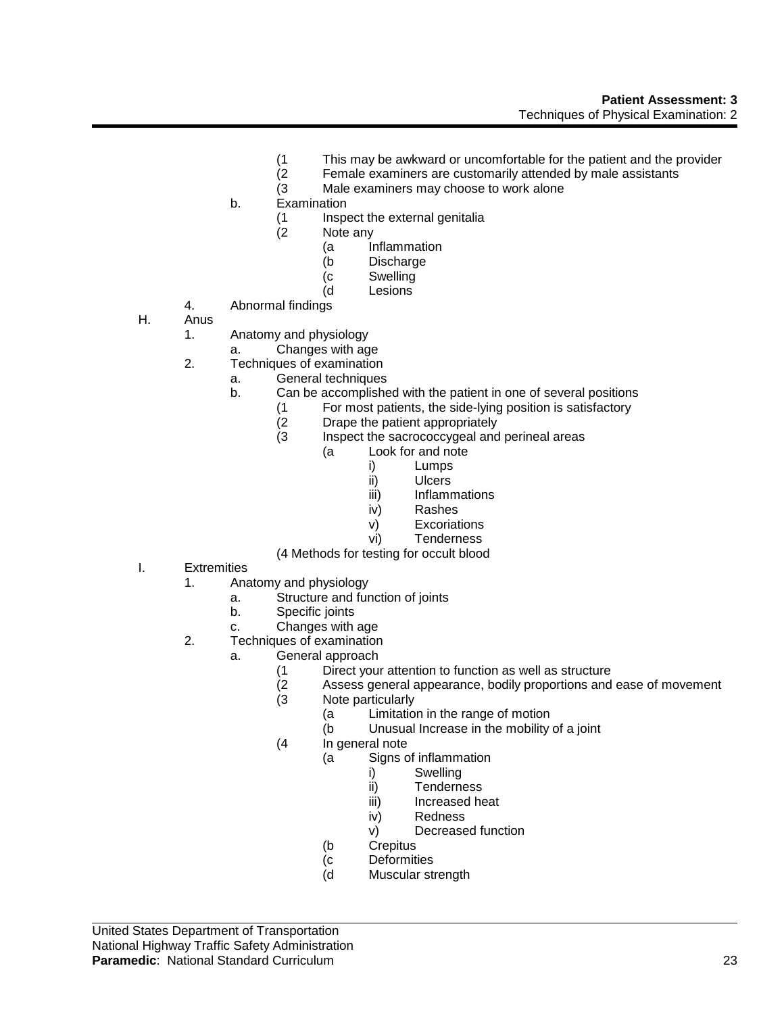- (1 This may be awkward or uncomfortable for the patient and the provider<br>(2 Female examiners are customarily attended by male assistants
- (2 Female examiners are customarily attended by male assistants
- Male examiners may choose to work alone
- b. Examination
	- (1 Inspect the external genitalia
	- (2 Note any
		- (a Inflammation<br>(b Discharge
			- Discharge
			- (c Swelling
			- (d Lesions
- 4. Abnormal findings
- H. Anus
	- 1. Anatomy and physiology
		- a. Changes with age
	- 2. Techniques of examination
		- a. General techniques
		- b. Can be accomplished with the patient in one of several positions
			- (1 For most patients, the side-lying position is satisfactory<br>(2 Drape the patient appropriately
			- (2 Drape the patient appropriately<br>(3 Inspect the sacrococcygeal and
			- Inspect the sacrococcygeal and perineal areas
				- (a Look for and note
					- i) Lumps
					- ii) Ulcers
					- **Inflammations**
					- iv) Rashes
					- v) Excoriations
					- vi) Tenderness

(4 Methods for testing for occult blood

- I. Extremities
	- 1. Anatomy and physiology
		- a. Structure and function of joints
		- b. Specific joints
		- c. Changes with age
	- 2. Techniques of examination
		- a. General approach
			- (1 Direct your attention to function as well as structure<br>(2 Assess general appearance, bodily proportions and
			- (2 Assess general appearance, bodily proportions and ease of movement<br>(3 Mote particularly
			- Note particularly
				- (a Limitation in the range of motion
				- (b Unusual Increase in the mobility of a joint
			- (4 In general note
				- (a Signs of inflammation
					- i) Swelling
					- ii) Tenderness
					- iii) Increased heat
					- iv) Redness
					- v) Decreased function
				- (b Crepitus
				- (c Deformities
				- (d Muscular strength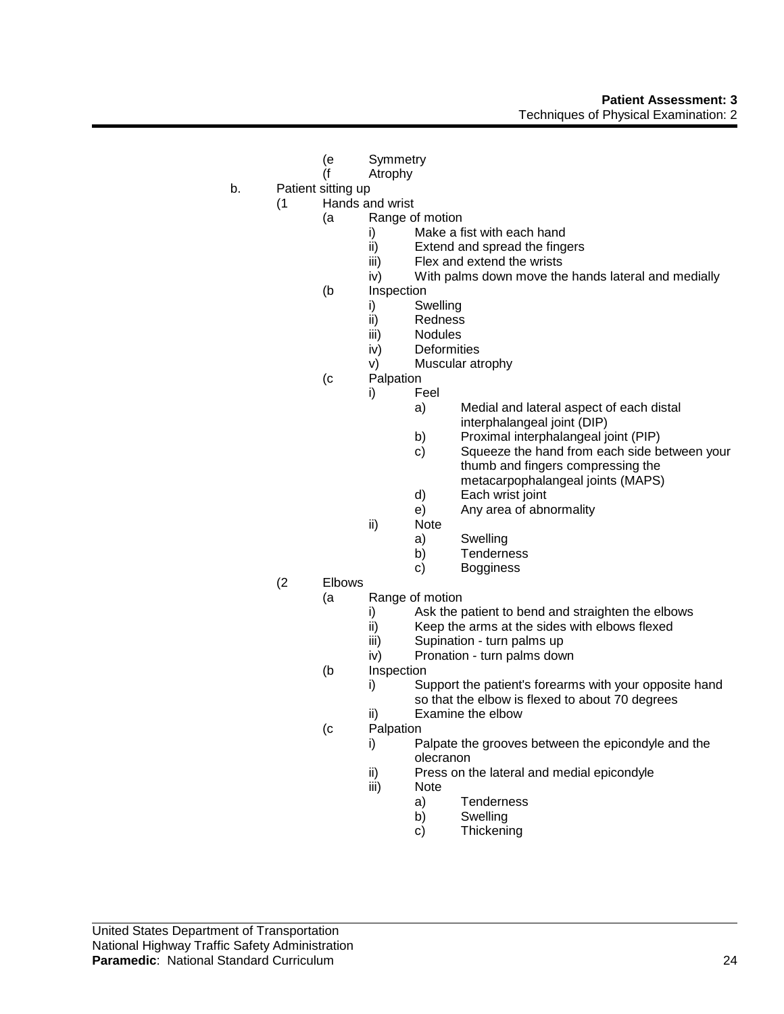- (e Symmetry
- (f Atrophy
- b. Patient sitting up
	- (1 Hands and wrist
		- (a Range of motion
			- i) Make a fist with each hand
			- ii) Extend and spread the fingers<br>iii) Flex and extend the wrists
			- iii) Flex and extend the wrists<br>iv) With palms down move the
			- With palms down move the hands lateral and medially
		- (b Inspection
			- i) Swelling
			- ii) Redness
			- iii) Nodules
			- iv) Deformities
			- v) Muscular atrophy
		- (c Palpation
			- i) Feel
				- a) Medial and lateral aspect of each distal interphalangeal joint (DIP)
				- b) Proximal interphalangeal joint (PIP)
				- c) Squeeze the hand from each side between your thumb and fingers compressing the metacarpophalangeal joints (MAPS)
				- d) Each wrist joint
				- e) Any area of abnormality
				- ii) Note
					- a) Swelling
					- b) Tenderness
					- c) Bogginess
	- (2 Elbows
		- (a Range of motion
			- i) Ask the patient to bend and straighten the elbows<br>ii) Keep the arms at the sides with elbows flexed
			- ii) Keep the arms at the sides with elbows flexed<br>iii) Supination turn palms up
			- Supination turn palms up
			- iv) Pronation turn palms down
		- (b Inspection
			- i) Support the patient's forearms with your opposite hand so that the elbow is flexed to about 70 degrees
			- ii) Examine the elbow
		- (c Palpation
			- i) Palpate the grooves between the epicondyle and the olecranon
			- ii) Press on the lateral and medial epicondyle
			- iii) Note
				- a) Tenderness
				- b) Swelling
				- c) Thickening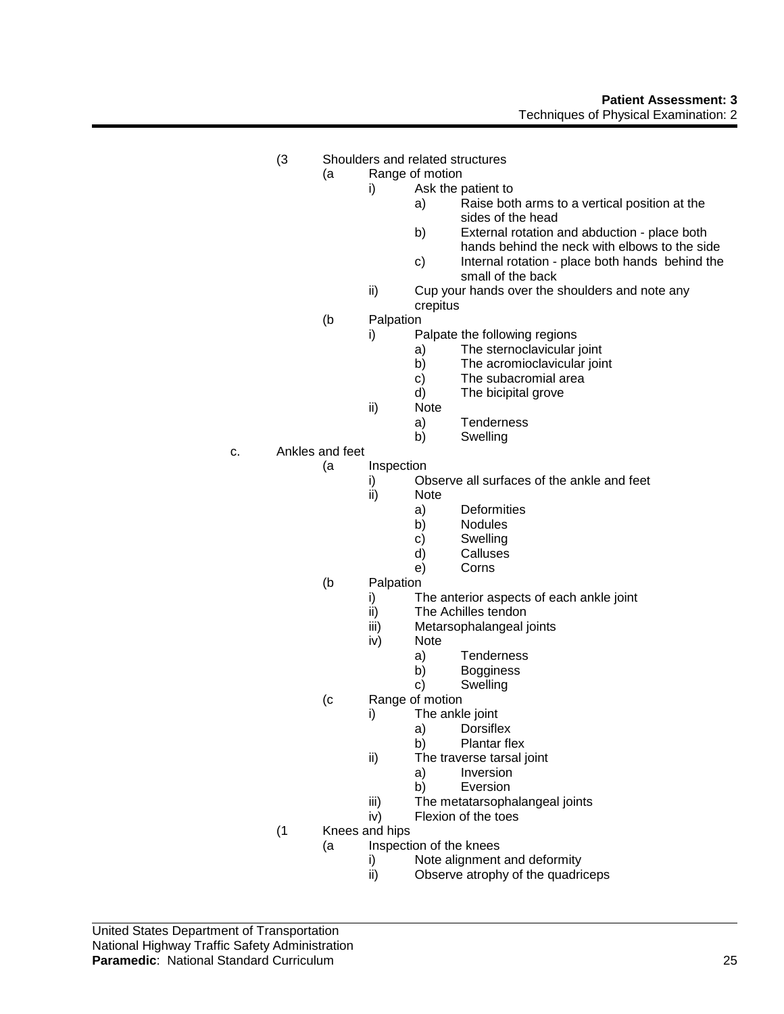# **Patient Assessment: 3** Techniques of Physical Examination: 2

- (3 Shoulders and related structures
	- (a Range of motion
		- i) Ask the patient to
			- a) Raise both arms to a vertical position at the sides of the head
			- b) External rotation and abduction place both hands behind the neck with elbows to the side
			- c) Internal rotation place both hands behind the small of the back
			- ii) Cup your hands over the shoulders and note any crepitus
	- (b Palpation
		- i) Palpate the following regions
			- a) The sternoclavicular joint
			- b) The acromioclavicular joint
			- c) The subacromial area
			- d) The bicipital grove
		- ii) Note
			- a) Tenderness
			- b) Swelling
- c. Ankles and feet
	- (a Inspection
		- i) Observe all surfaces of the ankle and feet<br>ii) Note
		- Note
			- a) Deformities
			- b) Nodules
			- c) Swelling
			- d) Calluses
			- e) Corns
	- (b Palpation
		- i) The anterior aspects of each ankle joint
		- ii) The Achilles tendon<br>iii) Metarsophalangeal
		- iii) Metarsophalangeal joints<br>iv) Note
		- Note
			- a) Tenderness
			- b) Bogginess
			- c) Swelling
	- (c Range of motion
		- i) The ankle joint
			- a) Dorsiflex
			- b) Plantar flex
		- ii) The traverse tarsal joint
			- a) Inversion
			- b) Eversion
		- iii) The metatarsophalangeal joints
		- iv) Flexion of the toes
	- (1 Knees and hips
		- (a Inspection of the knees
			- i) Note alignment and deformity<br>ii) Observe atrophy of the quadri
				- Observe atrophy of the quadriceps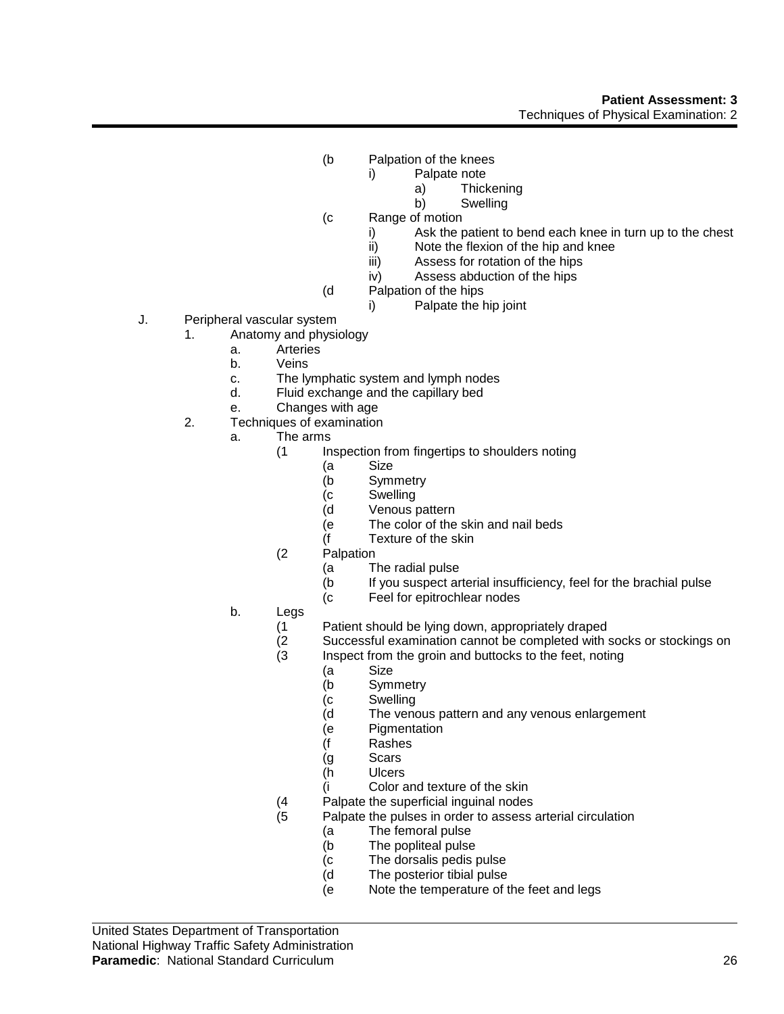# **Patient Assessment: 3** Techniques of Physical Examination: 2

- (b Palpation of the knees
	- i) Palpate note
		- a) Thickening
		- b) Swelling
- (c Range of motion
	- i) Ask the patient to bend each knee in turn up to the chest
	- ii) Note the flexion of the hip and knee
	- iii) Assess for rotation of the hips
	- iv) Assess abduction of the hips
- (d Palpation of the hips
	- i) Palpate the hip joint
- J. Peripheral vascular system
	- 1. Anatomy and physiology
		- a. Arteries
		- b. Veins
		- c. The lymphatic system and lymph nodes
		- d. Fluid exchange and the capillary bed
		- e. Changes with age
	- 2. Techniques of examination
		- a. The arms
			- (1 Inspection from fingertips to shoulders noting
				- (a Size
				- (b Symmetry
				- (c Swelling
				- (d Venous pattern
				- (e The color of the skin and nail beds
				- (f Texture of the skin
			- (2 Palpation
				- (a The radial pulse
				- (b If you suspect arterial insufficiency, feel for the brachial pulse
				- (c Feel for epitrochlear nodes
		- b. Legs
			- (1 Patient should be lying down, appropriately draped<br>(2 Successful examination cannot be completed with :
			- (2 Successful examination cannot be completed with socks or stockings on<br>(3 lnspect from the groin and buttocks to the feet, noting
			- Inspect from the groin and buttocks to the feet, noting
				- (a Size
				- (b Symmetry
				- (c Swelling
				- (d The venous pattern and any venous enlargement
				- (e Pigmentation
				- (f Rashes
				- (g Scars
				- (h Ulcers
				- (i Color and texture of the skin
			- (4 Palpate the superficial inguinal nodes
			- (5 Palpate the pulses in order to assess arterial circulation
				- (a The femoral pulse
				- (b The popliteal pulse
				- (c The dorsalis pedis pulse
				- (d The posterior tibial pulse
				- (e Note the temperature of the feet and legs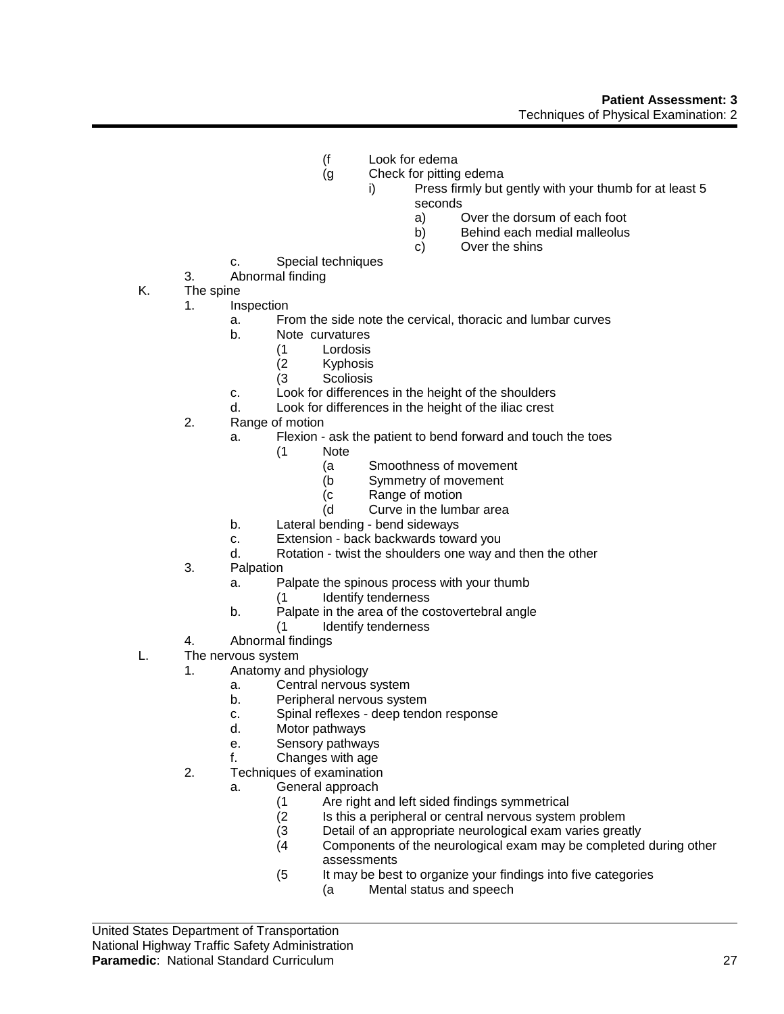- (f Look for edema
- (g Check for pitting edema
	- i) Press firmly but gently with your thumb for at least 5 seconds
		- a) Over the dorsum of each foot
		- b) Behind each medial malleolus
		- c) Over the shins
- c. Special techniques
- 3. Abnormal finding
- K. The spine
	- 1. Inspection
		- a. From the side note the cervical, thoracic and lumbar curves
		- b. Note curvatures
			- (1 Lordosis
			- **Kyphosis**
			- (3 Scoliosis
		- c. Look for differences in the height of the shoulders
		- d. Look for differences in the height of the iliac crest
	- 2. Range of motion
		- a. Flexion ask the patient to bend forward and touch the toes
			- (1 Note
				- (a Smoothness of movement
				- (b Symmetry of movement
				- (c Range of motion
				- (d Curve in the lumbar area
		- b. Lateral bending bend sideways
		- c. Extension back backwards toward you
		- d. Rotation twist the shoulders one way and then the other
	- 3. Palpation
		- a. Palpate the spinous process with your thumb
			- (1 Identify tenderness
		- b. Palpate in the area of the costovertebral angle
			- (1 Identify tenderness
	- 4. Abnormal findings
- L. The nervous system
	- 1. Anatomy and physiology
		- a. Central nervous system
		- b. Peripheral nervous system
		- c. Spinal reflexes deep tendon response
		- d. Motor pathways
		- e. Sensory pathways
		- f. Changes with age
	- 2. Techniques of examination
		- a. General approach
			- (1 Are right and left sided findings symmetrical
			- (2 Is this a peripheral or central nervous system problem<br>(3 Detail of an appropriate neurological exam varies great
			- Detail of an appropriate neurological exam varies greatly
			- (4 Components of the neurological exam may be completed during other assessments
			- (5 It may be best to organize your findings into five categories
				- (a Mental status and speech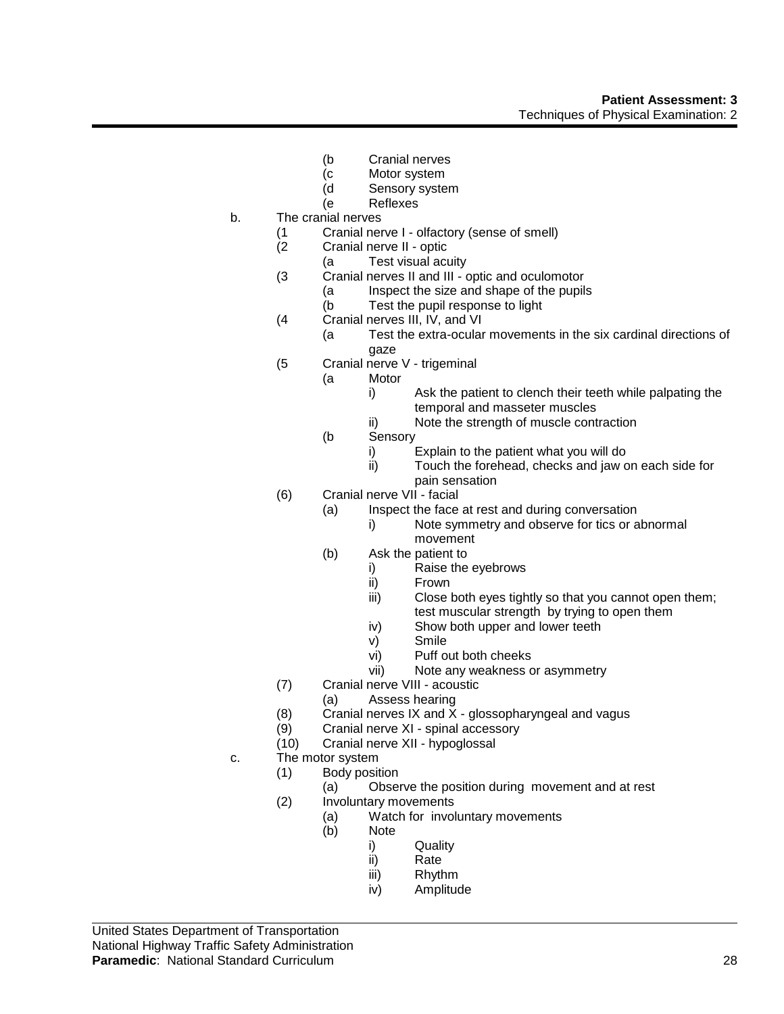- (b Cranial nerves
- (c Motor system
- (d Sensory system
- (e Reflexes
- b. The cranial nerves
	- (1 Cranial nerve I olfactory (sense of smell)
		- Cranial nerve II optic
		- (a Test visual acuity
	- (3 Cranial nerves II and III optic and oculomotor
		- (a Inspect the size and shape of the pupils
		- (b Test the pupil response to light
	- (4 Cranial nerves III, IV, and VI
		- (a Test the extra-ocular movements in the six cardinal directions of gaze
	- (5 Cranial nerve V trigeminal
		- (a Motor
			- i) Ask the patient to clench their teeth while palpating the temporal and masseter muscles
			- ii) Note the strength of muscle contraction
		- (b Sensory
			- i) Explain to the patient what you will do<br>ii) Touch the forehead, checks and jaw o
			- Touch the forehead, checks and jaw on each side for pain sensation
	- (6) Cranial nerve VII facial
		- (a) Inspect the face at rest and during conversation
			- i) Note symmetry and observe for tics or abnormal movement
		- (b) Ask the patient to
			- i) Raise the eyebrows
			- ii) Frown
			- iii) Close both eyes tightly so that you cannot open them;
			- test muscular strength by trying to open them
			- iv) Show both upper and lower teeth
			- v) Smile
			- vi) Puff out both cheeks
			- vii) Note any weakness or asymmetry
	- (7) Cranial nerve VIII acoustic
		- (a) Assess hearing
		- (8) Cranial nerves IX and X glossopharyngeal and vagus
	- (9) Cranial nerve XI spinal accessory
	- (10) Cranial nerve XII hypoglossal
- c. The motor system
	- (1) Body position
		- (a) Observe the position during movement and at rest
	- (2) Involuntary movements
		- (a) Watch for involuntary movements
			- (b) Note
				- i) Quality
				- ii) Rate
				- iii) Rhythm
				- iv) Amplitude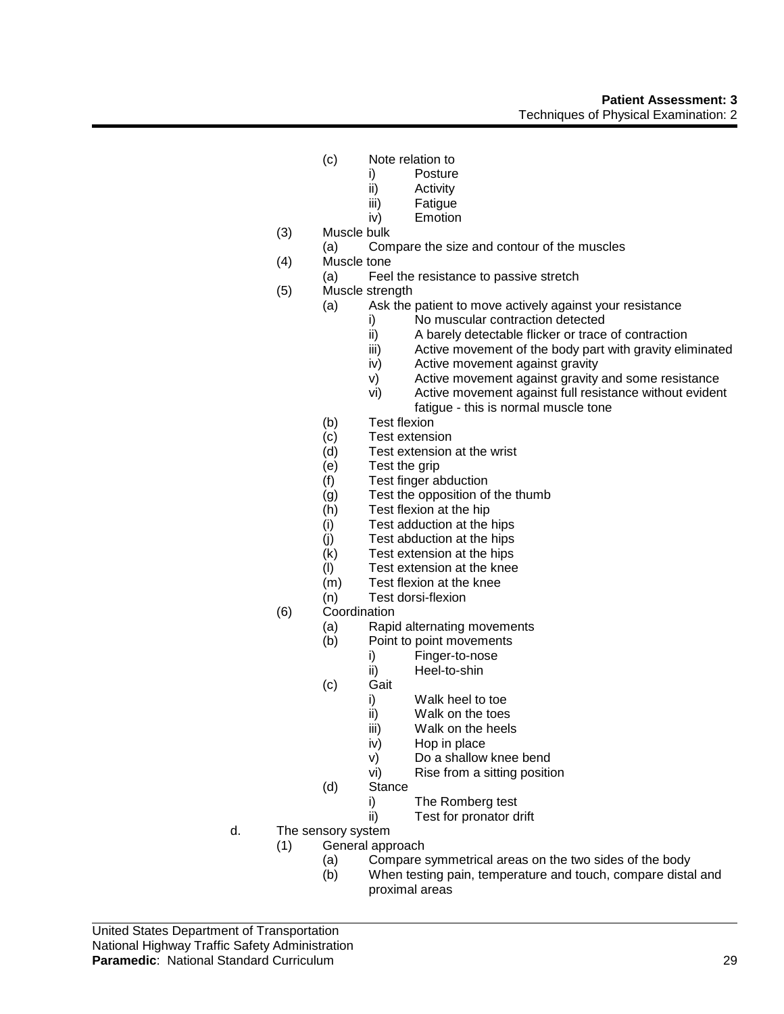# **Patient Assessment: 3** Techniques of Physical Examination: 2

- (c) Note relation to
	- i) Posture
	- ii) Activity
	- iii) Fatigue
	- iv) Emotion
- (3) Muscle bulk
	- (a) Compare the size and contour of the muscles
- (4) Muscle tone
- (a) Feel the resistance to passive stretch
- (5) Muscle strength
	- (a) Ask the patient to move actively against your resistance
		- i) No muscular contraction detected
		- ii) A barely detectable flicker or trace of contraction
		- iii) Active movement of the body part with gravity eliminated
		- iv) Active movement against gravity
		- v) Active movement against gravity and some resistance
		- vi) Active movement against full resistance without evident fatigue - this is normal muscle tone
	- (b) Test flexion
	- (c) Test extension
	- (d) Test extension at the wrist
	- (e) Test the grip
	- (f) Test finger abduction
	- (g) Test the opposition of the thumb
	- (h) Test flexion at the hip
	- (i) Test adduction at the hips
	- (j) Test abduction at the hips
	- $(k)$  Test extension at the hips
	- (l) Test extension at the knee
	- (m) Test flexion at the knee
	- (n) Test dorsi-flexion
- (6) Coordination
	- (a) Rapid alternating movements<br>(b) Point to point movements
		- Point to point movements
			- i) Finger-to-nose
			- ii) Heel-to-shin
	- (c) Gait
		- i) Walk heel to toe
		- ii) Walk on the toes
		- iii) Walk on the heels
		- iv) Hop in place
		- v) Do a shallow knee bend
		- vi) Rise from a sitting position
	- (d) Stance
		- i) The Romberg test
		- ii) Test for pronator drift
- d. The sensory system
	- (1) General approach
		- (a) Compare symmetrical areas on the two sides of the body
		- (b) When testing pain, temperature and touch, compare distal and proximal areas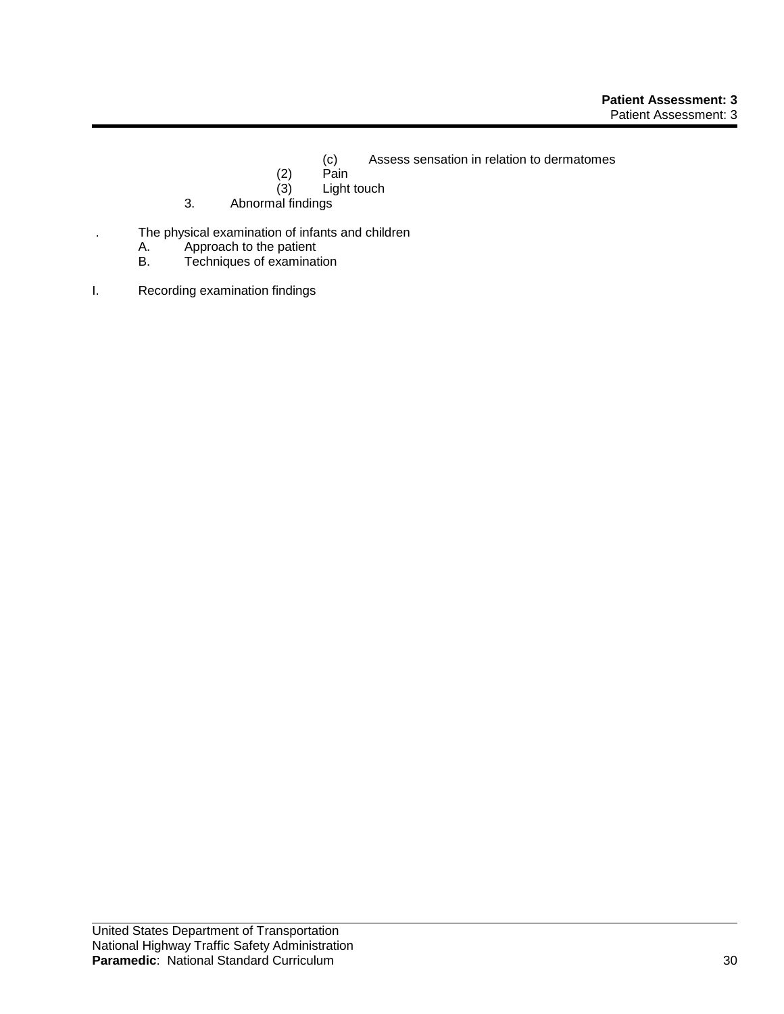- (c) Assess sensation in relation to dermatomes
- $(2)$  Pain<br> $(3)$  Light
- Light touch
- 3. Abnormal findings
- . The physical examination of infants and children
	- A. Approach to the patient<br>B. Techniques of examinat
	- Techniques of examination
- I. Recording examination findings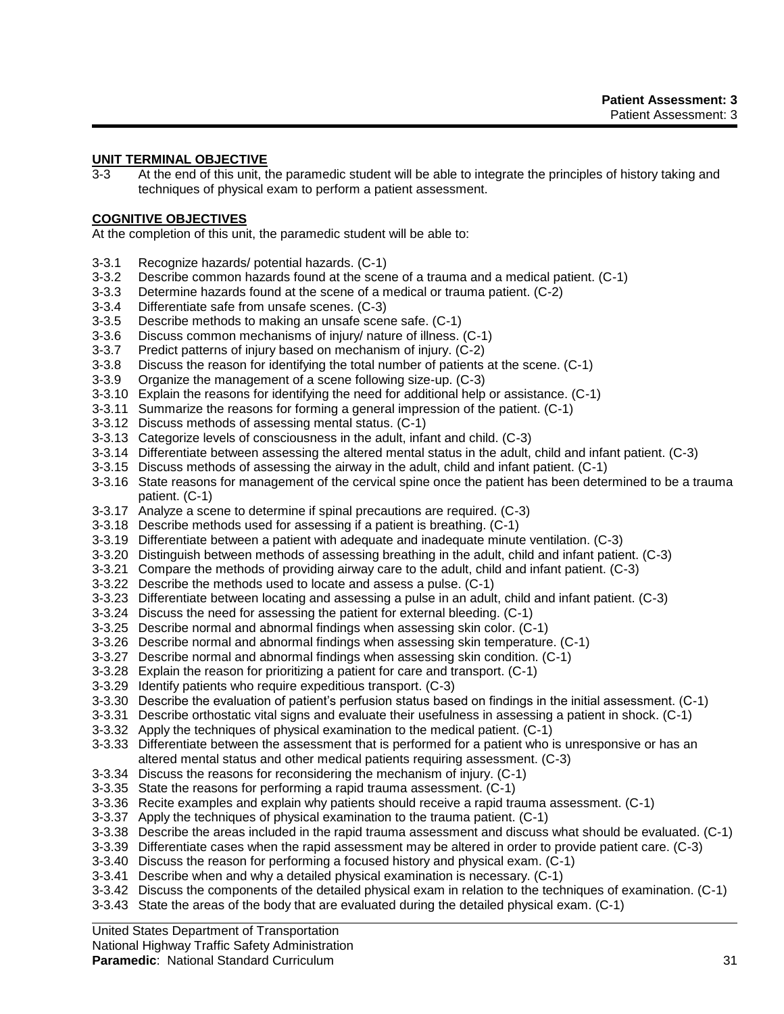# **UNIT TERMINAL OBJECTIVE**

3-3 At the end of this unit, the paramedic student will be able to integrate the principles of history taking and techniques of physical exam to perform a patient assessment.

## **COGNITIVE OBJECTIVES**

At the completion of this unit, the paramedic student will be able to:

- 3-3.1 Recognize hazards/ potential hazards. (C-1)
- 3-3.2 Describe common hazards found at the scene of a trauma and a medical patient. (C-1)
- 3-3.3 Determine hazards found at the scene of a medical or trauma patient. (C-2)
- 3-3.4 Differentiate safe from unsafe scenes. (C-3)
- 3-3.5 Describe methods to making an unsafe scene safe. (C-1)
- 3-3.6 Discuss common mechanisms of injury/ nature of illness. (C-1)
- 3-3.7 Predict patterns of injury based on mechanism of injury. (C-2)
- 3-3.8 Discuss the reason for identifying the total number of patients at the scene. (C-1)
- 3-3.9 Organize the management of a scene following size-up. (C-3)
- 3-3.10 Explain the reasons for identifying the need for additional help or assistance. (C-1)
- 3-3.11 Summarize the reasons for forming a general impression of the patient. (C-1)
- 3-3.12 Discuss methods of assessing mental status. (C-1)
- 3-3.13 Categorize levels of consciousness in the adult, infant and child. (C-3)
- 3-3.14 Differentiate between assessing the altered mental status in the adult, child and infant patient. (C-3)
- 3-3.15 Discuss methods of assessing the airway in the adult, child and infant patient. (C-1)
- 3-3.16 State reasons for management of the cervical spine once the patient has been determined to be a trauma patient. (C-1)
- 3-3.17 Analyze a scene to determine if spinal precautions are required. (C-3)
- 3-3.18 Describe methods used for assessing if a patient is breathing. (C-1)
- 3-3.19 Differentiate between a patient with adequate and inadequate minute ventilation. (C-3)
- 3-3.20 Distinguish between methods of assessing breathing in the adult, child and infant patient. (C-3)
- 3-3.21 Compare the methods of providing airway care to the adult, child and infant patient. (C-3)
- 3-3.22 Describe the methods used to locate and assess a pulse. (C-1)
- 3-3.23 Differentiate between locating and assessing a pulse in an adult, child and infant patient. (C-3)
- 3-3.24 Discuss the need for assessing the patient for external bleeding. (C-1)
- 3-3.25 Describe normal and abnormal findings when assessing skin color. (C-1)
- 3-3.26 Describe normal and abnormal findings when assessing skin temperature. (C-1)
- 3-3.27 Describe normal and abnormal findings when assessing skin condition. (C-1)
- 3-3.28 Explain the reason for prioritizing a patient for care and transport. (C-1)
- 3-3.29 Identify patients who require expeditious transport. (C-3)
- 3-3.30 Describe the evaluation of patient's perfusion status based on findings in the initial assessment. (C-1)
- 3-3.31 Describe orthostatic vital signs and evaluate their usefulness in assessing a patient in shock. (C-1)
- 3-3.32 Apply the techniques of physical examination to the medical patient. (C-1)
- 3-3.33 Differentiate between the assessment that is performed for a patient who is unresponsive or has an altered mental status and other medical patients requiring assessment. (C-3)
- 3-3.34 Discuss the reasons for reconsidering the mechanism of injury. (C-1)
- 3-3.35 State the reasons for performing a rapid trauma assessment. (C-1)
- 3-3.36 Recite examples and explain why patients should receive a rapid trauma assessment. (C-1)
- 3-3.37 Apply the techniques of physical examination to the trauma patient. (C-1)
- 3-3.38 Describe the areas included in the rapid trauma assessment and discuss what should be evaluated. (C-1)
- 3-3.39 Differentiate cases when the rapid assessment may be altered in order to provide patient care. (C-3)
- 3-3.40 Discuss the reason for performing a focused history and physical exam. (C-1)
- 3-3.41 Describe when and why a detailed physical examination is necessary. (C-1)
- 3-3.42 Discuss the components of the detailed physical exam in relation to the techniques of examination. (C-1)
- 3-3.43 State the areas of the body that are evaluated during the detailed physical exam. (C-1)

#### United States Department of Transportation

#### National Highway Traffic Safety Administration

## **Paramedic**: National Standard Curriculum 31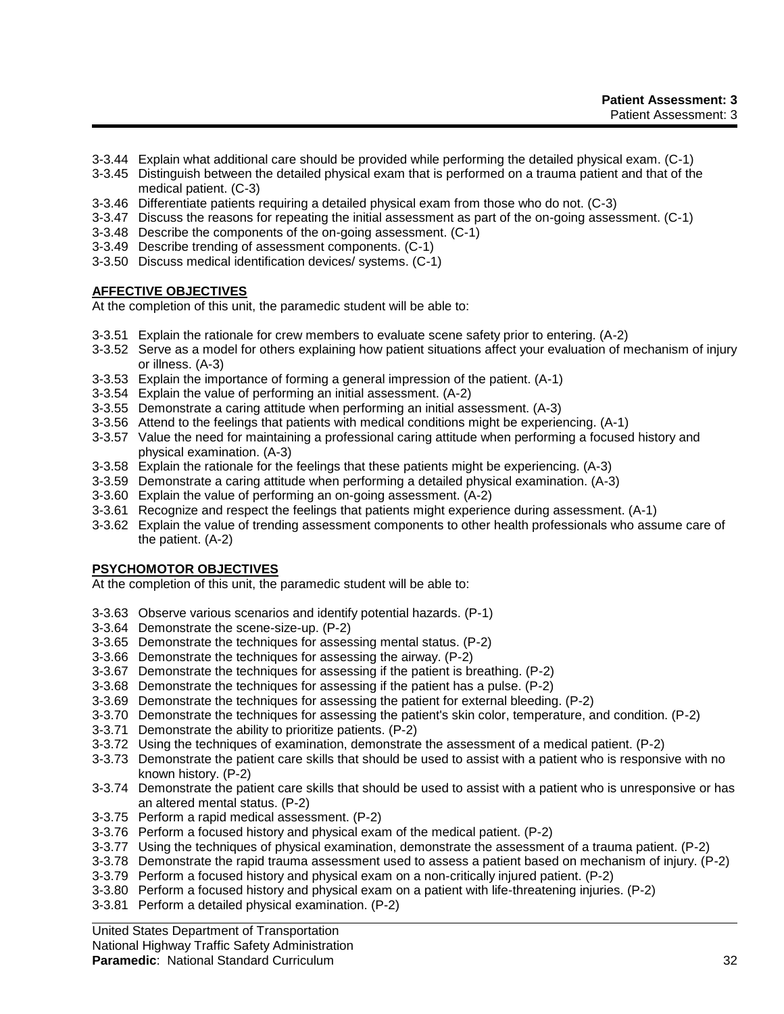- 3-3.44 Explain what additional care should be provided while performing the detailed physical exam. (C-1)
- 3-3.45 Distinguish between the detailed physical exam that is performed on a trauma patient and that of the medical patient. (C-3)
- 3-3.46 Differentiate patients requiring a detailed physical exam from those who do not. (C-3)
- 3-3.47 Discuss the reasons for repeating the initial assessment as part of the on-going assessment. (C-1)
- 3-3.48 Describe the components of the on-going assessment. (C-1)
- 3-3.49 Describe trending of assessment components. (C-1)
- 3-3.50 Discuss medical identification devices/ systems. (C-1)

# **AFFECTIVE OBJECTIVES**

At the completion of this unit, the paramedic student will be able to:

- 3-3.51 Explain the rationale for crew members to evaluate scene safety prior to entering. (A-2)
- 3-3.52 Serve as a model for others explaining how patient situations affect your evaluation of mechanism of injury or illness. (A-3)
- 3-3.53 Explain the importance of forming a general impression of the patient. (A-1)
- 3-3.54 Explain the value of performing an initial assessment. (A-2)
- 3-3.55 Demonstrate a caring attitude when performing an initial assessment. (A-3)
- 3-3.56 Attend to the feelings that patients with medical conditions might be experiencing. (A-1)
- 3-3.57 Value the need for maintaining a professional caring attitude when performing a focused history and physical examination. (A-3)
- 3-3.58 Explain the rationale for the feelings that these patients might be experiencing. (A-3)
- 3-3.59 Demonstrate a caring attitude when performing a detailed physical examination. (A-3)
- 3-3.60 Explain the value of performing an on-going assessment. (A-2)
- 3-3.61 Recognize and respect the feelings that patients might experience during assessment. (A-1)
- 3-3.62 Explain the value of trending assessment components to other health professionals who assume care of the patient. (A-2)

## **PSYCHOMOTOR OBJECTIVES**

At the completion of this unit, the paramedic student will be able to:

- 3-3.63 Observe various scenarios and identify potential hazards. (P-1)
- 3-3.64 Demonstrate the scene-size-up. (P-2)
- 3-3.65 Demonstrate the techniques for assessing mental status. (P-2)
- 3-3.66 Demonstrate the techniques for assessing the airway. (P-2)
- 3-3.67 Demonstrate the techniques for assessing if the patient is breathing. (P-2)
- 3-3.68 Demonstrate the techniques for assessing if the patient has a pulse. (P-2)
- 3-3.69 Demonstrate the techniques for assessing the patient for external bleeding. (P-2)
- 3-3.70 Demonstrate the techniques for assessing the patient's skin color, temperature, and condition. (P-2)
- 3-3.71 Demonstrate the ability to prioritize patients. (P-2)
- 3-3.72 Using the techniques of examination, demonstrate the assessment of a medical patient. (P-2)
- 3-3.73 Demonstrate the patient care skills that should be used to assist with a patient who is responsive with no known history. (P-2)
- 3-3.74 Demonstrate the patient care skills that should be used to assist with a patient who is unresponsive or has an altered mental status. (P-2)
- 3-3.75 Perform a rapid medical assessment. (P-2)
- 3-3.76 Perform a focused history and physical exam of the medical patient. (P-2)
- 3-3.77 Using the techniques of physical examination, demonstrate the assessment of a trauma patient. (P-2)
- 3-3.78 Demonstrate the rapid trauma assessment used to assess a patient based on mechanism of injury. (P-2)
- 3-3.79 Perform a focused history and physical exam on a non-critically injured patient. (P-2)
- 3-3.80 Perform a focused history and physical exam on a patient with life-threatening injuries. (P-2)
- 3-3.81 Perform a detailed physical examination. (P-2)

#### United States Department of Transportation

#### National Highway Traffic Safety Administration

## **Paramedic**: National Standard Curriculum 32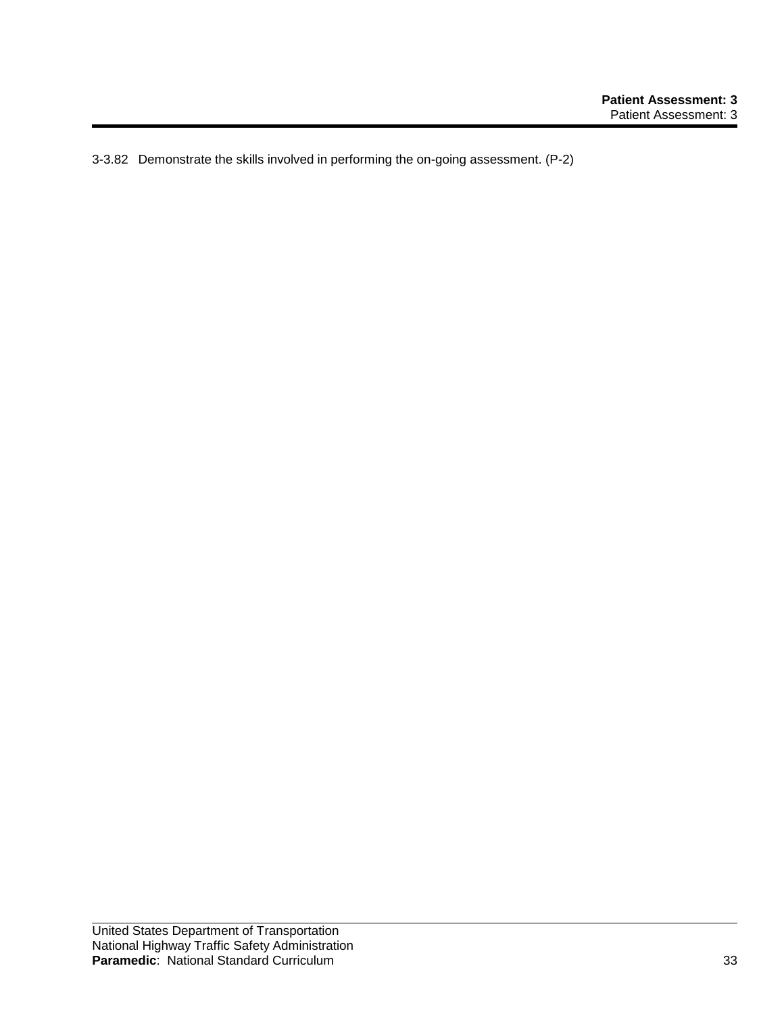3-3.82 Demonstrate the skills involved in performing the on-going assessment. (P-2)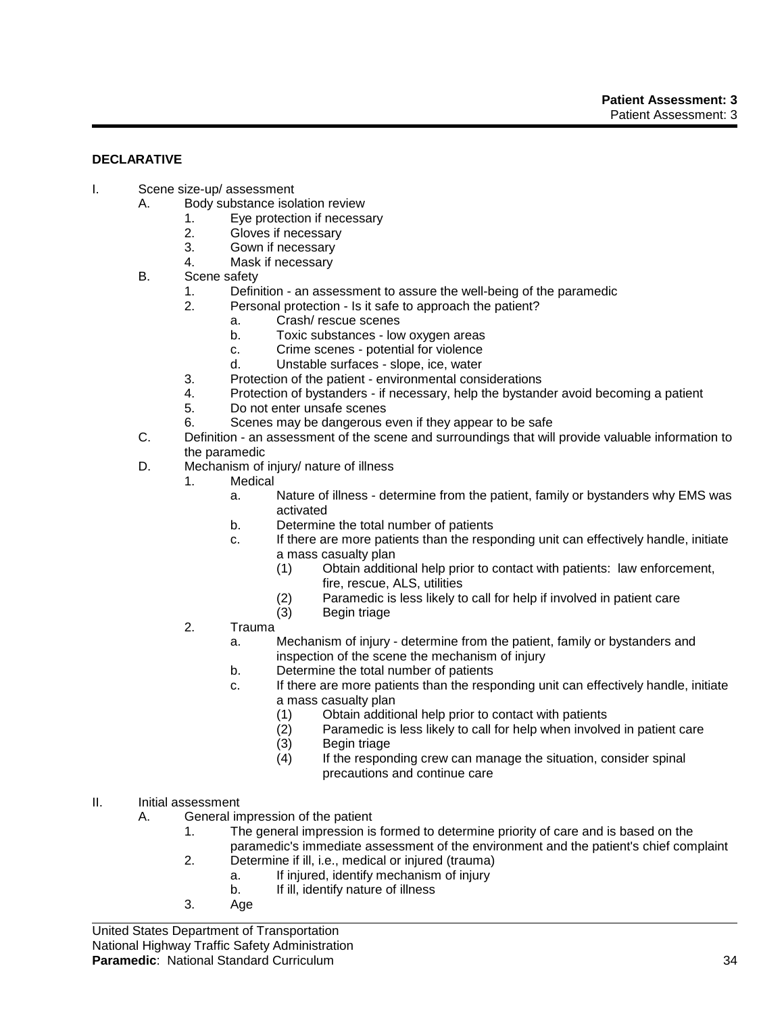## **DECLARATIVE**

- I. Scene size-up/ assessment
	- A. Body substance isolation review
		- 1. Eye protection if necessary
		- 2. Gloves if necessary
		- 3. Gown if necessary
		- 4. Mask if necessary
	- B. Scene safety
		- 1. Definition an assessment to assure the well-being of the paramedic
			- 2. Personal protection Is it safe to approach the patient?
				- a. Crash/ rescue scenes
				- b. Toxic substances low oxygen areas
				- c. Crime scenes potential for violence
				- d. Unstable surfaces slope, ice, water
			- 3. Protection of the patient environmental considerations
		- 4. Protection of bystanders if necessary, help the bystander avoid becoming a patient
		- 5. Do not enter unsafe scenes
		- 6. Scenes may be dangerous even if they appear to be safe
	- C. Definition an assessment of the scene and surroundings that will provide valuable information to the paramedic
	- D. Mechanism of injury/ nature of illness
		- 1. Medical
			- a. Nature of illness determine from the patient, family or bystanders why EMS was activated
			- b. Determine the total number of patients
			- c. If there are more patients than the responding unit can effectively handle, initiate a mass casualty plan
				- (1) Obtain additional help prior to contact with patients: law enforcement, fire, rescue, ALS, utilities
				- (2) Paramedic is less likely to call for help if involved in patient care
				- (3) Begin triage
		- 2. Trauma
			- a. Mechanism of injury determine from the patient, family or bystanders and inspection of the scene the mechanism of injury
			- b. Determine the total number of patients
			- c. If there are more patients than the responding unit can effectively handle, initiate a mass casualty plan
				-
				- (1) Obtain additional help prior to contact with patients Paramedic is less likely to call for help when involved in patient care
				- (3) Begin triage
				- $(4)$  If the responding crew can manage the situation, consider spinal precautions and continue care
- II. Initial assessment
	- A. General impression of the patient
		- 1. The general impression is formed to determine priority of care and is based on the paramedic's immediate assessment of the environment and the patient's chief complaint
		- 2. Determine if ill, i.e., medical or injured (trauma)
			- a. If injured, identify mechanism of injury
			- b. If ill, identify nature of illness
		- 3. Age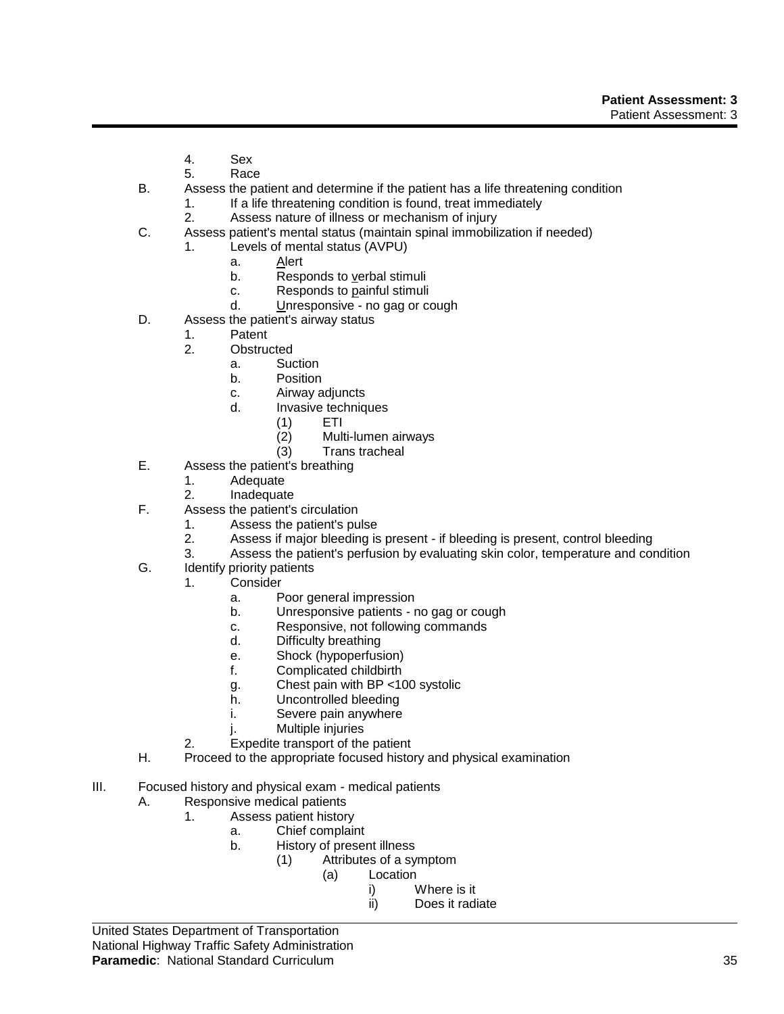- 4. Sex
- 5. Race
- B. Assess the patient and determine if the patient has a life threatening condition
	- 1. If a life threatening condition is found, treat immediately
		- 2. Assess nature of illness or mechanism of injury
- C. Assess patient's mental status (maintain spinal immobilization if needed)
	- 1. Levels of mental status (AVPU)
		- a. Alert
		- b. Responds to verbal stimuli
		- c. Responds to painful stimuli
		- d. Unresponsive no gag or cough
- D. Assess the patient's airway status
	- 1. Patent
	- 2. Obstructed
		- a. Suction
			- b. Position
			- c. Airway adjuncts
			- d. Invasive techniques
				- (1) ETI
				- (2) Multi-lumen airways
				- (3) Trans tracheal
- E. Assess the patient's breathing
	- 1. Adequate
	- 2. Inadequate
- F. Assess the patient's circulation
	- 1. Assess the patient's pulse
		- 2. Assess if major bleeding is present if bleeding is present, control bleeding
	- 3. Assess the patient's perfusion by evaluating skin color, temperature and condition
- G. Identify priority patients
	- 1. Consider
		- a. Poor general impression
		- b. Unresponsive patients no gag or cough
		- c. Responsive, not following commands
		- d. Difficulty breathing
		- e. Shock (hypoperfusion)
		- f. Complicated childbirth
		- g. Chest pain with BP <100 systolic
		- h. Uncontrolled bleeding
		- i. Severe pain anywhere
		- j. Multiple injuries
		- 2. Expedite transport of the patient
- H. Proceed to the appropriate focused history and physical examination
- III. Focused history and physical exam medical patients
	- A. Responsive medical patients
		- 1. Assess patient history
			- a. Chief complaint
			- b. History of present illness
				- (1) Attributes of a symptom
					- (a) Location
						- i) Where is it
							- ii) Does it radiate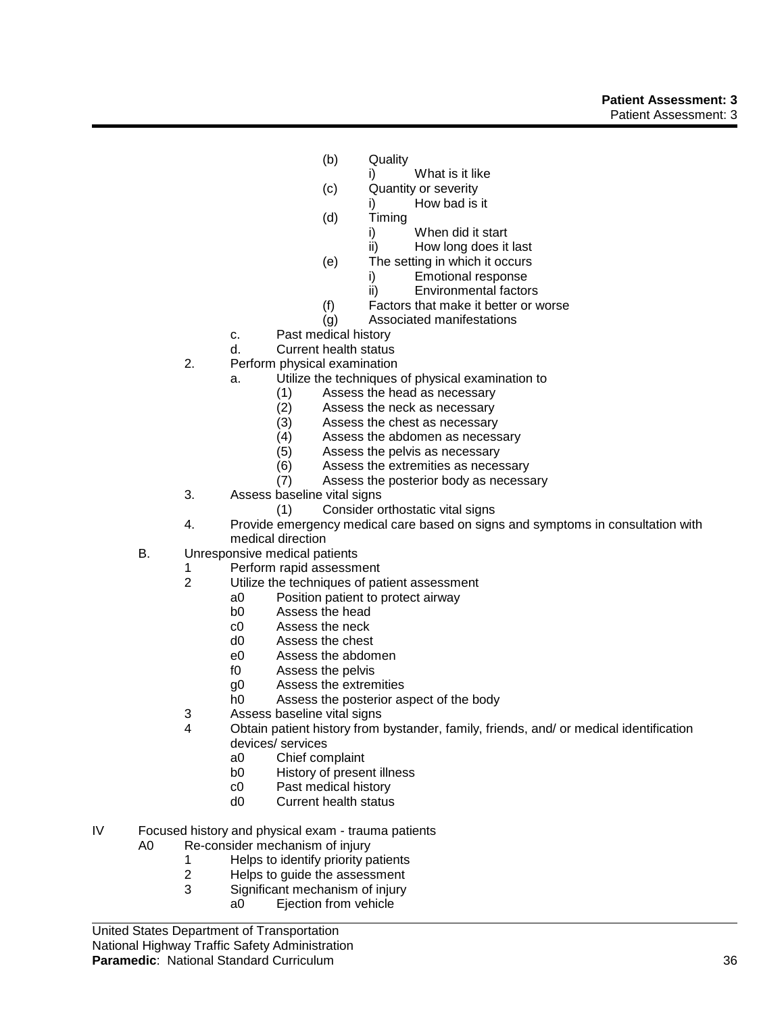## **Patient Assessment: 3** Patient Assessment: 3

- (b) Quality
	- i) What is it like
- (c) Quantity or severity
	- i) How bad is it
- (d) Timing
	- i) When did it start
	- ii) How long does it last
- (e) The setting in which it occurs
	- i) Emotional response
	- ii) Environmental factors
- (f) Factors that make it better or worse
- (g) Associated manifestations
- c. Past medical history
- d. Current health status
- 2. Perform physical examination
	- a. Utilize the techniques of physical examination to
		- (1) Assess the head as necessary
		- (2) Assess the neck as necessary<br>(3) Assess the chest as necessary
		- (3) Assess the chest as necessary<br>(4) Assess the abdomen as necess
		- Assess the abdomen as necessary
		- (5) Assess the pelvis as necessary
		- (6) Assess the extremities as necessary
		- (7) Assess the posterior body as necessary
- 3. Assess baseline vital signs
	- (1) Consider orthostatic vital signs
- 4. Provide emergency medical care based on signs and symptoms in consultation with medical direction
- B. Unresponsive medical patients
	- 1 Perform rapid assessment
	- 2 Utilize the techniques of patient assessment
		- a0 Position patient to protect airway
		- b0 Assess the head
		- c0 Assess the neck<br>d0 Assess the chest
		- Assess the chest
		- e0 Assess the abdomen
		- f0 Assess the pelvis
		- g0 Assess the extremities
		- h0 Assess the posterior aspect of the body
	- 3 Assess baseline vital signs
	- 4 Obtain patient history from bystander, family, friends, and/ or medical identification devices/ services
		- a0 Chief complaint
		- b0 History of present illness
		- c0 Past medical history
		- d0 Current health status
- IV Focused history and physical exam trauma patients
	- A0 Re-consider mechanism of injury
		- 1 Helps to identify priority patients<br>2 Helps to quide the assessment
		- Helps to quide the assessment
		- 3 Significant mechanism of injury
			- a0 Ejection from vehicle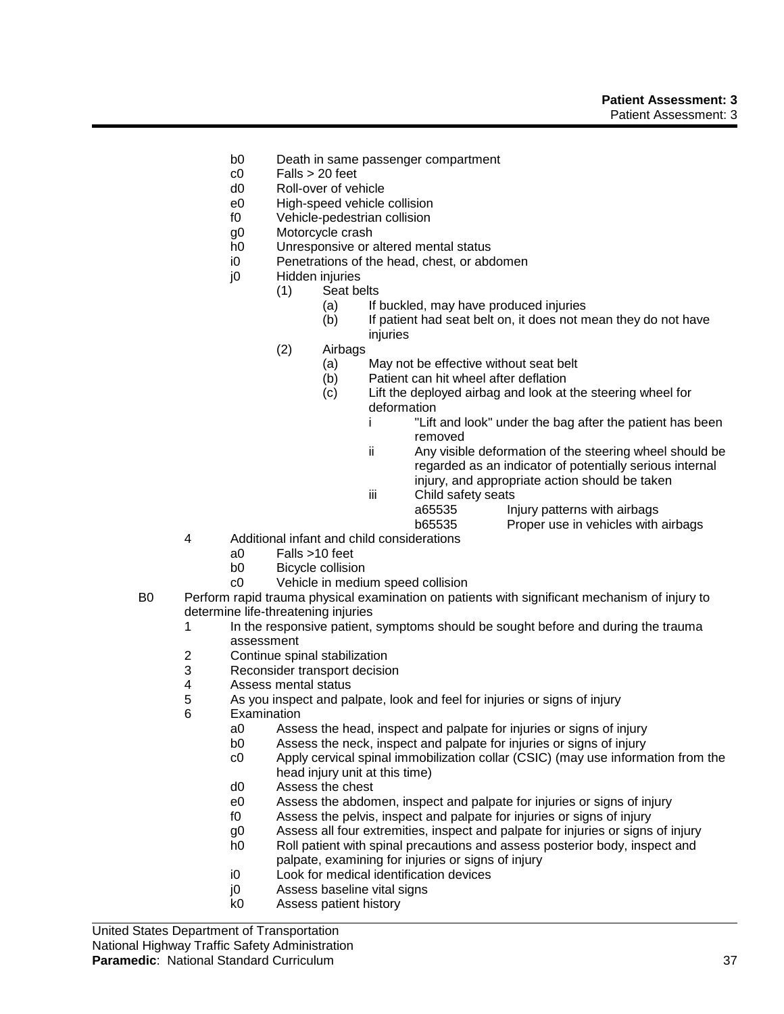- b0 Death in same passenger compartment
- $c0$  Falls  $> 20$  feet
- d0 Roll-over of vehicle
- e0 High-speed vehicle collision
- f0 Vehicle-pedestrian collision
- g0 Motorcycle crash
- h0 Unresponsive or altered mental status
- i0 Penetrations of the head, chest, or abdomen
- j0 Hidden injuries
	- (1) Seat belts
		- (a) If buckled, may have produced injuries
		- (b) If patient had seat belt on, it does not mean they do not have injuries
	- (2) Airbags
		- (a) May not be effective without seat belt
		- (b) Patient can hit wheel after deflation
		- (c) Lift the deployed airbag and look at the steering wheel for deformation
			- i "Lift and look" under the bag after the patient has been removed
			- ii Any visible deformation of the steering wheel should be regarded as an indicator of potentially serious internal injury, and appropriate action should be taken
			- iii Child safety seats a65535 Injury patterns with airbags b65535 Proper use in vehicles with airbags
- 4 Additional infant and child considerations
	- a0 Falls >10 feet
	- b0 Bicycle collision
	- c0 Vehicle in medium speed collision
- B0 Perform rapid trauma physical examination on patients with significant mechanism of injury to determine life-threatening injuries
	- 1 In the responsive patient, symptoms should be sought before and during the trauma assessment
	- 2 Continue spinal stabilization
	- 3 Reconsider transport decision<br>4 Assess mental status
	- 4 Assess mental status
	- 5 As you inspect and palpate, look and feel for injuries or signs of injury
	- 6 Examination
		- a0 Assess the head, inspect and palpate for injuries or signs of injury
		- b0 Assess the neck, inspect and palpate for injuries or signs of injury
		- c0 Apply cervical spinal immobilization collar (CSIC) (may use information from the head injury unit at this time)
		- d0 Assess the chest
		- e0 Assess the abdomen, inspect and palpate for injuries or signs of injury
		- f0 Assess the pelvis, inspect and palpate for injuries or signs of injury
		- g0 Assess all four extremities, inspect and palpate for injuries or signs of injury
		- h0 Roll patient with spinal precautions and assess posterior body, inspect and palpate, examining for injuries or signs of injury
		- i0 Look for medical identification devices
		- j0 Assess baseline vital signs
		- k0 Assess patient history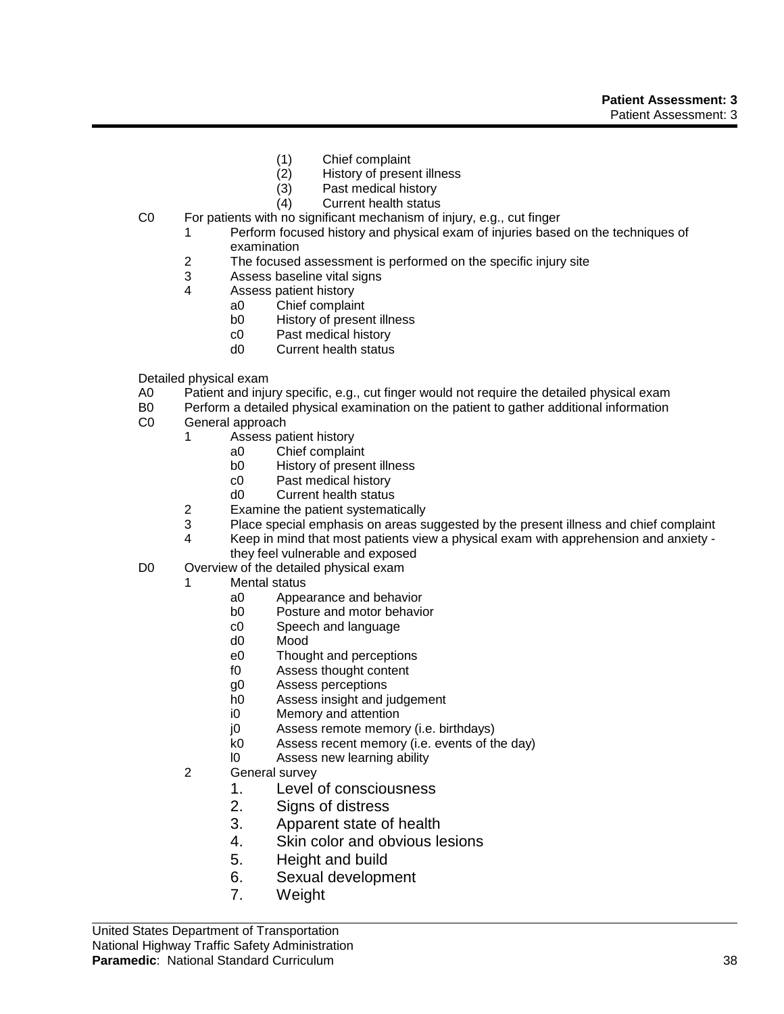- (1) Chief complaint
- (2) History of present illness
- (3) Past medical history
- (4) Current health status
- C0 For patients with no significant mechanism of injury, e.g., cut finger
	- 1 Perform focused history and physical exam of injuries based on the techniques of examination
	- 2 The focused assessment is performed on the specific injury site
	- 3 Assess baseline vital signs
	- 4 Assess patient history
		- a0 Chief complaint
		- b0 History of present illness
		- c0 Past medical history
		- d0 Current health status
- Detailed physical exam
- A0 Patient and injury specific, e.g., cut finger would not require the detailed physical exam
- B0 Perform a detailed physical examination on the patient to gather additional information
- C0 General approach
	- 1 Assess patient history
		- a0 Chief complaint
		- b0 History of present illness
		- c0 Past medical history
		- d0 Current health status
	- 2 Examine the patient systematically
	- 3 Place special emphasis on areas suggested by the present illness and chief complaint
	- 4 Keep in mind that most patients view a physical exam with apprehension and anxiety they feel vulnerable and exposed
- D0 Overview of the detailed physical exam
	- 1 Mental status
		- a0 Appearance and behavior
		- b0 Posture and motor behavior
		- c0 Speech and language
		- d0 Mood
		- e0 Thought and perceptions
		- f0 Assess thought content
		- g0 Assess perceptions
		- h0 Assess insight and judgement
		- i0 Memory and attention
		- j0 Assess remote memory (i.e. birthdays)
		- k0 Assess recent memory (i.e. events of the day)
		- l0 Assess new learning ability
		- 2 General survey
			- 1. Level of consciousness
			- 2. Signs of distress
			- 3. Apparent state of health
			- 4. Skin color and obvious lesions
			- 5. Height and build
			- 6. Sexual development
			- 7. Weight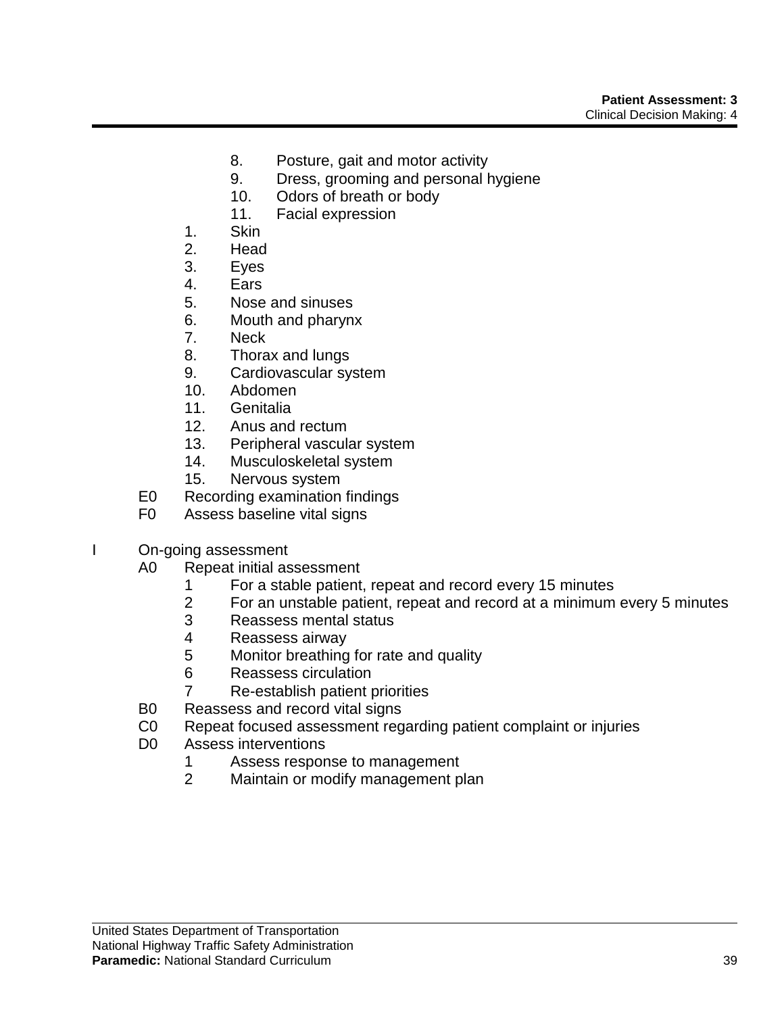- 8. Posture, gait and motor activity
- 9. Dress, grooming and personal hygiene
- 10. Odors of breath or body
- 11. Facial expression
- 1. Skin
- 2. Head
- 3. Eyes
- 4. Ears
- 5. Nose and sinuses
- 6. Mouth and pharynx
- 7. Neck
- 8. Thorax and lungs
- 9. Cardiovascular system
- 10. Abdomen
- 11. Genitalia
- 12. Anus and rectum
- 13. Peripheral vascular system
- 14. Musculoskeletal system
- 15. Nervous system
- E0 Recording examination findings
- F0 Assess baseline vital signs
- I On-going assessment
	- A0 Repeat initial assessment
		- 1 For a stable patient, repeat and record every 15 minutes
		- 2 For an unstable patient, repeat and record at a minimum every 5 minutes
		- 3 Reassess mental status
		- 4 Reassess airway<br>5 Monitor breathing
		- Monitor breathing for rate and quality
		- 6 Reassess circulation
		- 7 Re-establish patient priorities
	- B0 Reassess and record vital signs
	- C0 Repeat focused assessment regarding patient complaint or injuries
	- D0 Assess interventions
		- 1 Assess response to management
		- 2 Maintain or modify management plan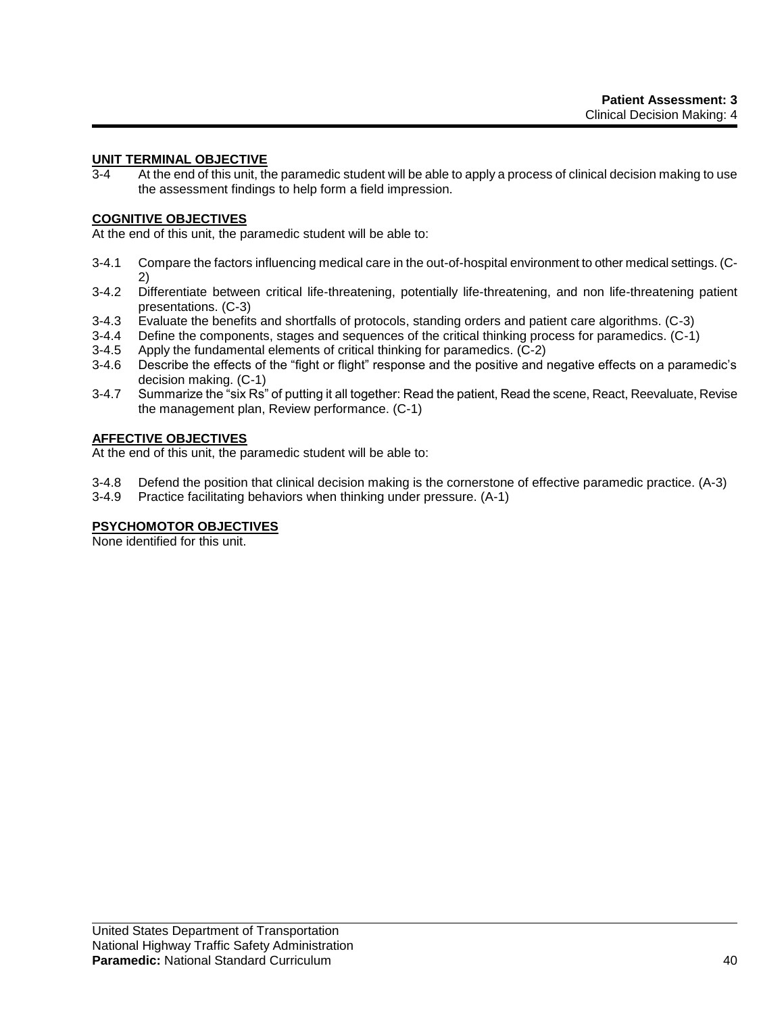# **UNIT TERMINAL OBJECTIVE**

3-4 At the end of this unit, the paramedic student will be able to apply a process of clinical decision making to use the assessment findings to help form a field impression.

## **COGNITIVE OBJECTIVES**

At the end of this unit, the paramedic student will be able to:

- 3-4.1 Compare the factors influencing medical care in the out-of-hospital environment to other medical settings. (C-2)
- 3-4.2 Differentiate between critical life-threatening, potentially life-threatening, and non life-threatening patient presentations. (C-3)
- 3-4.3 Evaluate the benefits and shortfalls of protocols, standing orders and patient care algorithms. (C-3)
- 3-4.4 Define the components, stages and sequences of the critical thinking process for paramedics. (C-1)
- 3-4.5 Apply the fundamental elements of critical thinking for paramedics. (C-2)
- 3-4.6 Describe the effects of the "fight or flight" response and the positive and negative effects on a paramedic's decision making. (C-1)
- 3-4.7 Summarize the "six Rs" of putting it all together: Read the patient, Read the scene, React, Reevaluate, Revise the management plan, Review performance. (C-1)

## **AFFECTIVE OBJECTIVES**

At the end of this unit, the paramedic student will be able to:

- 3-4.8 Defend the position that clinical decision making is the cornerstone of effective paramedic practice. (A-3)
- 3-4.9 Practice facilitating behaviors when thinking under pressure. (A-1)

## **PSYCHOMOTOR OBJECTIVES**

None identified for this unit.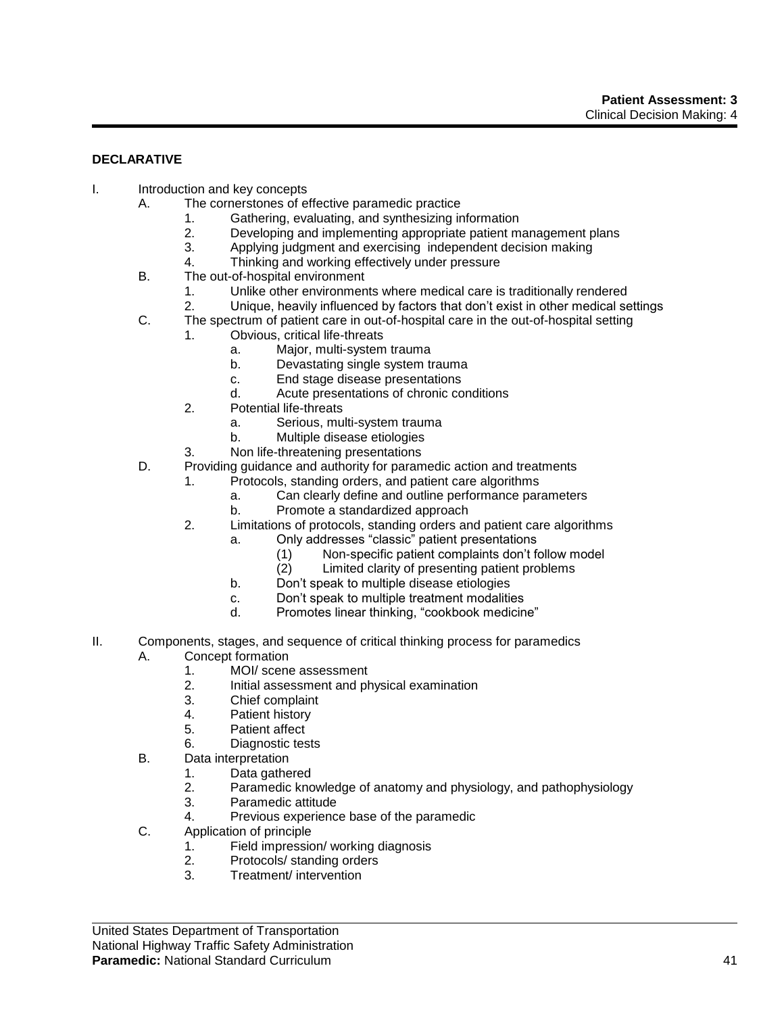# **DECLARATIVE**

- I. Introduction and key concepts
	- A. The cornerstones of effective paramedic practice
		- 1. Gathering, evaluating, and synthesizing information<br>2. Developing and implementing appropriate patient m
		- Developing and implementing appropriate patient management plans
		- 3. Applying judgment and exercising independent decision making
			- 4. Thinking and working effectively under pressure
	- B. The out-of-hospital environment
		- 1. Unlike other environments where medical care is traditionally rendered
		- 2. Unique, heavily influenced by factors that don't exist in other medical settings
	- C. The spectrum of patient care in out-of-hospital care in the out-of-hospital setting
		- 1. Obvious, critical life-threats
			- a. Major, multi-system trauma
			- b. Devastating single system trauma
			- c. End stage disease presentations
			- d. Acute presentations of chronic conditions
		- 2. Potential life-threats
			- a. Serious, multi-system trauma
			- b. Multiple disease etiologies
		- 3. Non life-threatening presentations
	- D. Providing guidance and authority for paramedic action and treatments
		- 1. Protocols, standing orders, and patient care algorithms
			- a. Can clearly define and outline performance parameters
			- b. Promote a standardized approach
		- 2. Limitations of protocols, standing orders and patient care algorithms
			- a. Only addresses "classic" patient presentations
				- (1) Non-specific patient complaints don't follow model
				- (2) Limited clarity of presenting patient problems
			- b. Don't speak to multiple disease etiologies
			- c. Don't speak to multiple treatment modalities
			- d. Promotes linear thinking, "cookbook medicine"
- II. Components, stages, and sequence of critical thinking process for paramedics A. Concept formation
	- 1. MOI/ scene assessment
	- 2. Initial assessment and physical examination
	- 3. Chief complaint
	- 4. Patient history
	- 5. Patient affect
	- 6. Diagnostic tests
	- B. Data interpretation
		- 1. Data gathered
		- 2. Paramedic knowledge of anatomy and physiology, and pathophysiology
		- 3. Paramedic attitude
		- 4. Previous experience base of the paramedic
	- C. Application of principle
		- 1. Field impression/ working diagnosis
		- 2. Protocols/ standing orders
		- 3. Treatment/ intervention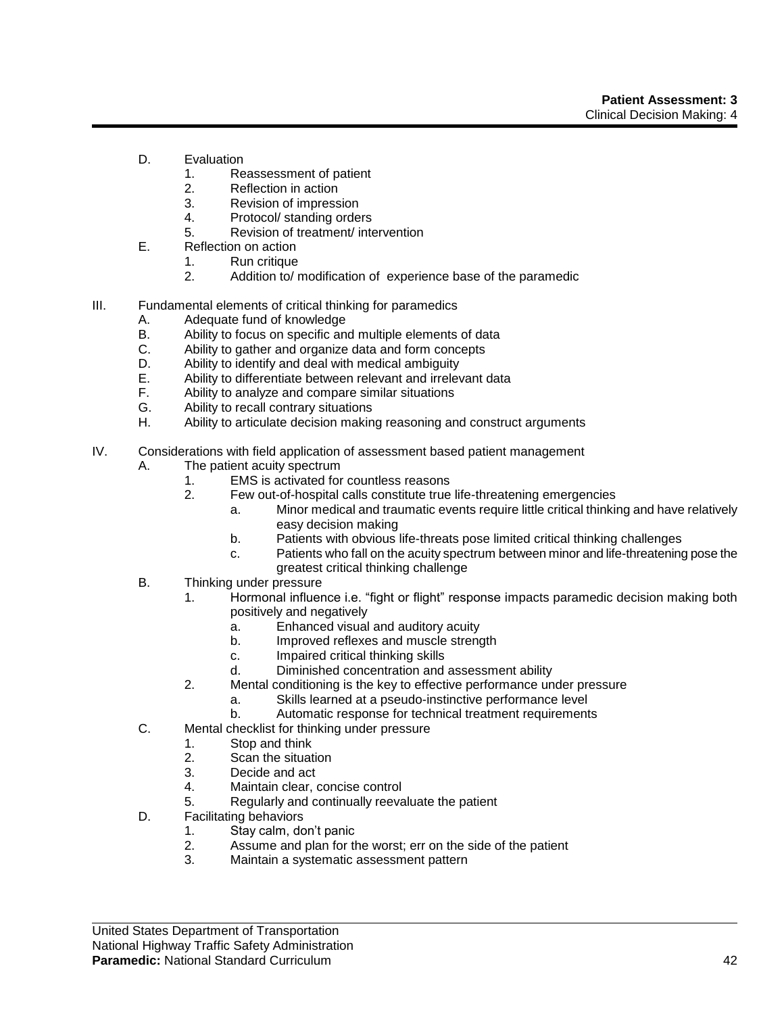- D. Evaluation
	- 1. Reassessment of patient
	- 2. Reflection in action
	- 3. Revision of impression
	- 4. Protocol/ standing orders
	- 5. Revision of treatment/ intervention
- E. Reflection on action
	- 1. Run critique
	- 2. Addition to/ modification of experience base of the paramedic
- III. Fundamental elements of critical thinking for paramedics
	- A. Adequate fund of knowledge
	- B. Ability to focus on specific and multiple elements of data
	- C. Ability to gather and organize data and form concepts
	- D. Ability to identify and deal with medical ambiguity
	- E. Ability to differentiate between relevant and irrelevant data
	- F. Ability to analyze and compare similar situations
	- G. Ability to recall contrary situations
	- H. Ability to articulate decision making reasoning and construct arguments
- IV. Considerations with field application of assessment based patient management
	- A. The patient acuity spectrum
		- 1. EMS is activated for countless reasons
			- 2. Few out-of-hospital calls constitute true life-threatening emergencies
				- a. Minor medical and traumatic events require little critical thinking and have relatively easy decision making
				- b. Patients with obvious life-threats pose limited critical thinking challenges
				- c. Patients who fall on the acuity spectrum between minor and life-threatening pose the greatest critical thinking challenge
	- B. Thinking under pressure
		- 1. Hormonal influence i.e. "fight or flight" response impacts paramedic decision making both positively and negatively
			- a. Enhanced visual and auditory acuity
			- b. Improved reflexes and muscle strength
			- c. Impaired critical thinking skills
			- d. Diminished concentration and assessment ability
		- 2. Mental conditioning is the key to effective performance under pressure
			- a. Skills learned at a pseudo-instinctive performance level
			- b. Automatic response for technical treatment requirements
	- C. Mental checklist for thinking under pressure
		- 1. Stop and think
		- 2. Scan the situation
		- 3. Decide and act
		- 4. Maintain clear, concise control
		- 5. Regularly and continually reevaluate the patient
	- D. Facilitating behaviors
		- 1. Stay calm, don't panic
		- 2. Assume and plan for the worst; err on the side of the patient
		- 3. Maintain a systematic assessment pattern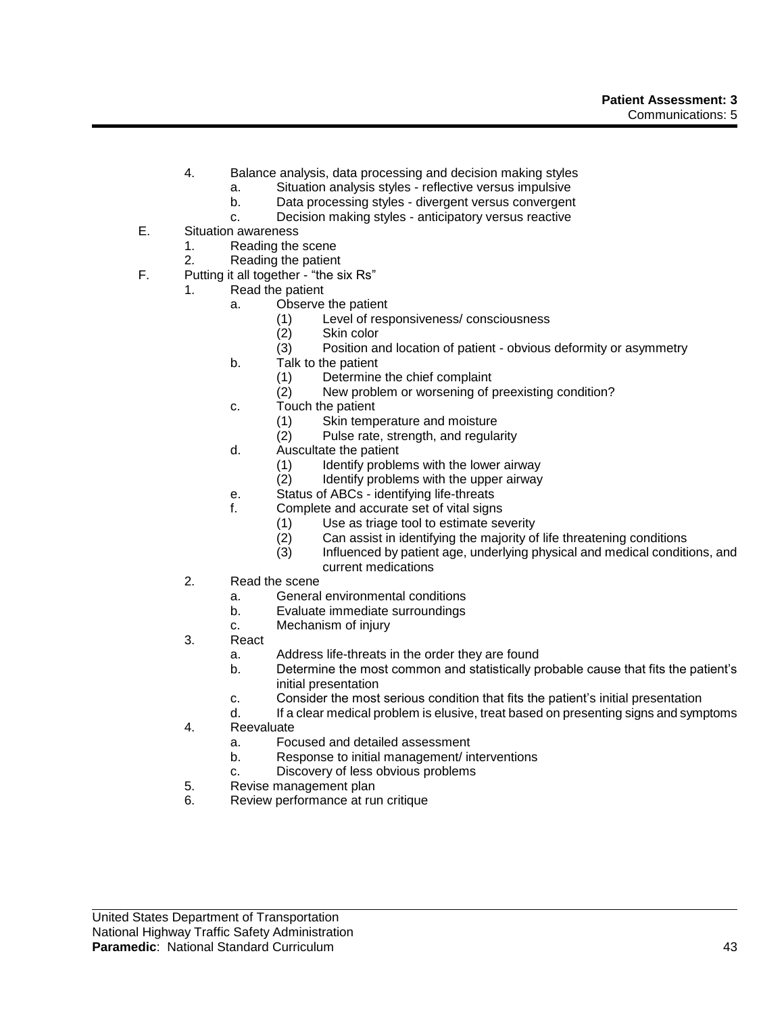- 4. Balance analysis, data processing and decision making styles
	- a. Situation analysis styles reflective versus impulsive
	- b. Data processing styles divergent versus convergent
	- c. Decision making styles anticipatory versus reactive
- E. Situation awareness
	- 1. Reading the scene
	- 2. Reading the patient
- F. Putting it all together "the six Rs"
	- 1. Read the patient
		- a. Observe the patient
			- (1) Level of responsiveness/ consciousness
			- Skin color
			- (3) Position and location of patient obvious deformity or asymmetry
		- b. Talk to the patient
			- (1) Determine the chief complaint
			- (2) New problem or worsening of preexisting condition?
		- c. Touch the patient
			- (1) Skin temperature and moisture
			- (2) Pulse rate, strength, and regularity
		- d. Auscultate the patient
			- (1) Identify problems with the lower airway
			- (2) Identify problems with the upper airway
		- e. Status of ABCs identifying life-threats
		- f. Complete and accurate set of vital signs
			- (1) Use as triage tool to estimate severity
			- (2) Can assist in identifying the majority of life threatening conditions
			- (3) Influenced by patient age, underlying physical and medical conditions, and current medications
		- 2. Read the scene
			- a. General environmental conditions
			- b. Evaluate immediate surroundings
			- c. Mechanism of injury
		- 3. React
			- a. Address life-threats in the order they are found
			- b. Determine the most common and statistically probable cause that fits the patient's initial presentation
			- c. Consider the most serious condition that fits the patient's initial presentation
			- d. If a clear medical problem is elusive, treat based on presenting signs and symptoms
		- 4. Reevaluate
			- a. Focused and detailed assessment
			- b. Response to initial management/ interventions
			- c. Discovery of less obvious problems
		- 5. Revise management plan
		- 6. Review performance at run critique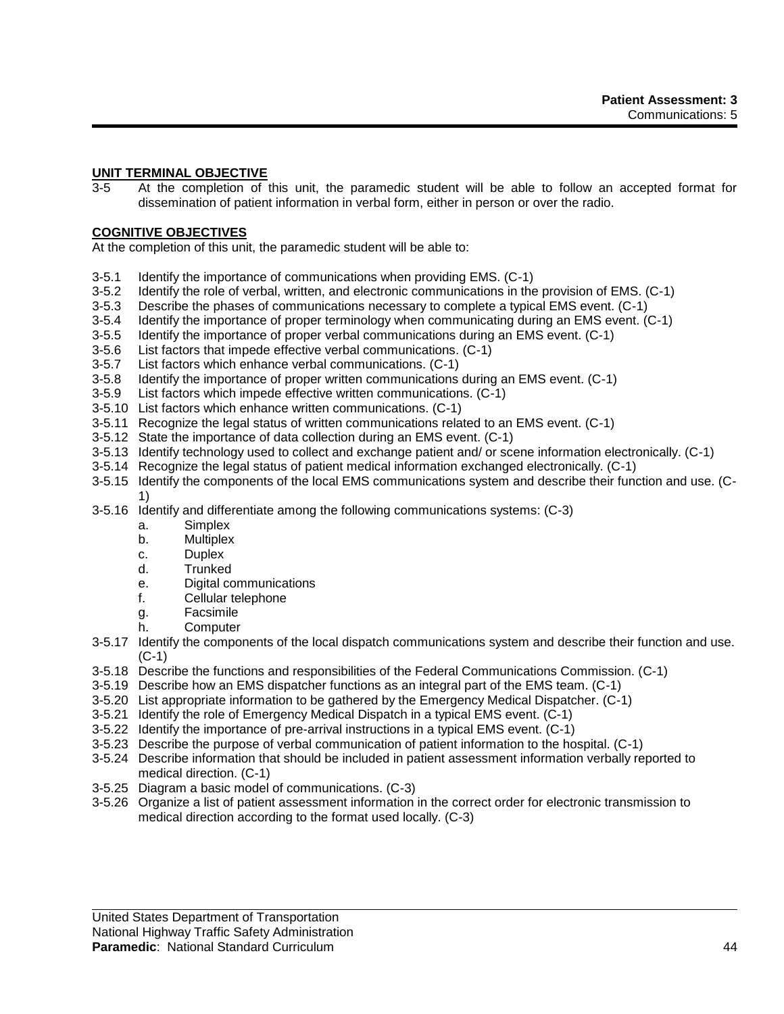# **UNIT TERMINAL OBJECTIVE**

3-5 At the completion of this unit, the paramedic student will be able to follow an accepted format for dissemination of patient information in verbal form, either in person or over the radio.

## **COGNITIVE OBJECTIVES**

At the completion of this unit, the paramedic student will be able to:

- 3-5.1 Identify the importance of communications when providing EMS. (C-1)
- 3-5.2 Identify the role of verbal, written, and electronic communications in the provision of EMS. (C-1)
- 3-5.3 Describe the phases of communications necessary to complete a typical EMS event. (C-1)
- 3-5.4 Identify the importance of proper terminology when communicating during an EMS event. (C-1)
- 3-5.5 Identify the importance of proper verbal communications during an EMS event. (C-1)
- 3-5.6 List factors that impede effective verbal communications. (C-1)
- 3-5.7 List factors which enhance verbal communications. (C-1)
- 3-5.8 Identify the importance of proper written communications during an EMS event. (C-1)
- 3-5.9 List factors which impede effective written communications. (C-1)
- 3-5.10 List factors which enhance written communications. (C-1)
- 3-5.11 Recognize the legal status of written communications related to an EMS event. (C-1)
- 3-5.12 State the importance of data collection during an EMS event. (C-1)
- 3-5.13 Identify technology used to collect and exchange patient and/ or scene information electronically. (C-1)
- 3-5.14 Recognize the legal status of patient medical information exchanged electronically. (C-1)
- 3-5.15 Identify the components of the local EMS communications system and describe their function and use. (C-1)
- 3-5.16 Identify and differentiate among the following communications systems: (C-3)
	- a. Simplex
	- b. Multiplex
	- c. Duplex
	- d. Trunked
	- e. Digital communications
	- f. Cellular telephone
	- g. Facsimile
	- h. Computer
- 3-5.17 Identify the components of the local dispatch communications system and describe their function and use. (C-1)
- 3-5.18 Describe the functions and responsibilities of the Federal Communications Commission. (C-1)
- 3-5.19 Describe how an EMS dispatcher functions as an integral part of the EMS team. (C-1)
- 3-5.20 List appropriate information to be gathered by the Emergency Medical Dispatcher. (C-1)
- 3-5.21 Identify the role of Emergency Medical Dispatch in a typical EMS event. (C-1)
- 3-5.22 Identify the importance of pre-arrival instructions in a typical EMS event. (C-1)
- 3-5.23 Describe the purpose of verbal communication of patient information to the hospital. (C-1)
- 3-5.24 Describe information that should be included in patient assessment information verbally reported to medical direction. (C-1)
- 3-5.25 Diagram a basic model of communications. (C-3)
- 3-5.26 Organize a list of patient assessment information in the correct order for electronic transmission to medical direction according to the format used locally. (C-3)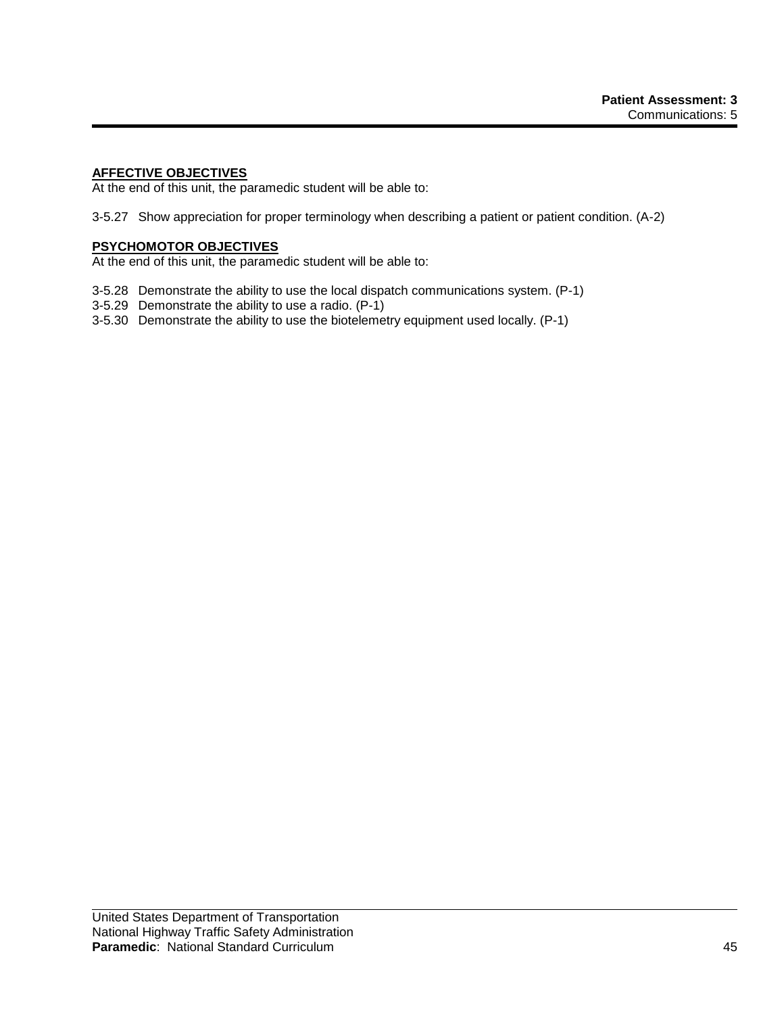## **AFFECTIVE OBJECTIVES**

At the end of this unit, the paramedic student will be able to:

3-5.27 Show appreciation for proper terminology when describing a patient or patient condition. (A-2)

## **PSYCHOMOTOR OBJECTIVES**

At the end of this unit, the paramedic student will be able to:

- 3-5.28 Demonstrate the ability to use the local dispatch communications system. (P-1)
- 3-5.29 Demonstrate the ability to use a radio. (P-1)
- 3-5.30 Demonstrate the ability to use the biotelemetry equipment used locally. (P-1)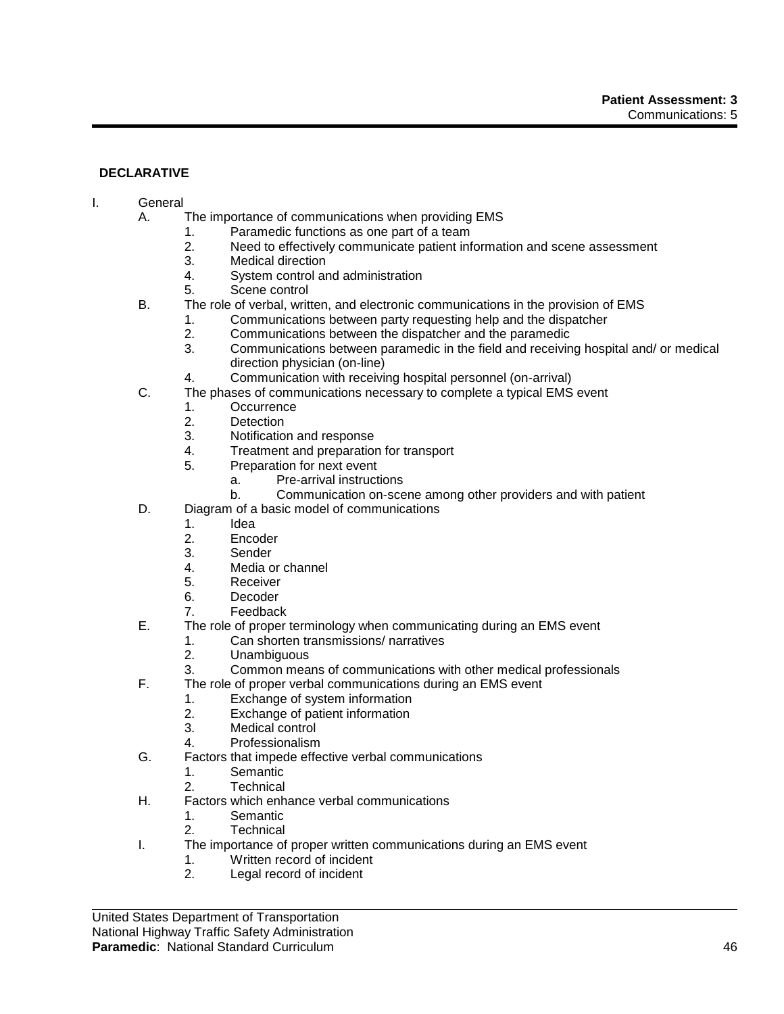# **DECLARATIVE**

## I. General

- A. The importance of communications when providing EMS
	- 1. Paramedic functions as one part of a team
	- 2. Need to effectively communicate patient information and scene assessment
	- 3. Medical direction<br>4. System control are
	- System control and administration
	- 5. Scene control
- B. The role of verbal, written, and electronic communications in the provision of EMS
	- 1. Communications between party requesting help and the dispatcher
	- 2. Communications between the dispatcher and the paramedic
	- 3. Communications between paramedic in the field and receiving hospital and/ or medical direction physician (on-line)
	- 4. Communication with receiving hospital personnel (on-arrival)
- C. The phases of communications necessary to complete a typical EMS event
	- 1. Occurrence
	- 2. Detection
	- 3. Notification and response
	- 4. Treatment and preparation for transport<br>5. Preparation for next event
		- Preparation for next event
			- a. Pre-arrival instructions
			- b. Communication on-scene among other providers and with patient
- D. Diagram of a basic model of communications
	- 1. Idea
	- 2. Encoder
	- 3. Sender
	- 4. Media or channel
	- 5. Receiver
	- 6. Decoder
	- 7. Feedback
- E. The role of proper terminology when communicating during an EMS event
	- 1. Can shorten transmissions/ narratives
	- 2. Unambiguous
	- 3. Common means of communications with other medical professionals
- F. The role of proper verbal communications during an EMS event
	- 1. Exchange of system information
	- 2. Exchange of patient information
	- 3. Medical control
	- 4. Professionalism
- G. Factors that impede effective verbal communications
	- 1. Semantic
	- 2. Technical
- H. Factors which enhance verbal communications
	- 1. Semantic
	- 2. Technical
- I. The importance of proper written communications during an EMS event
	- 1. Written record of incident
	- 2. Legal record of incident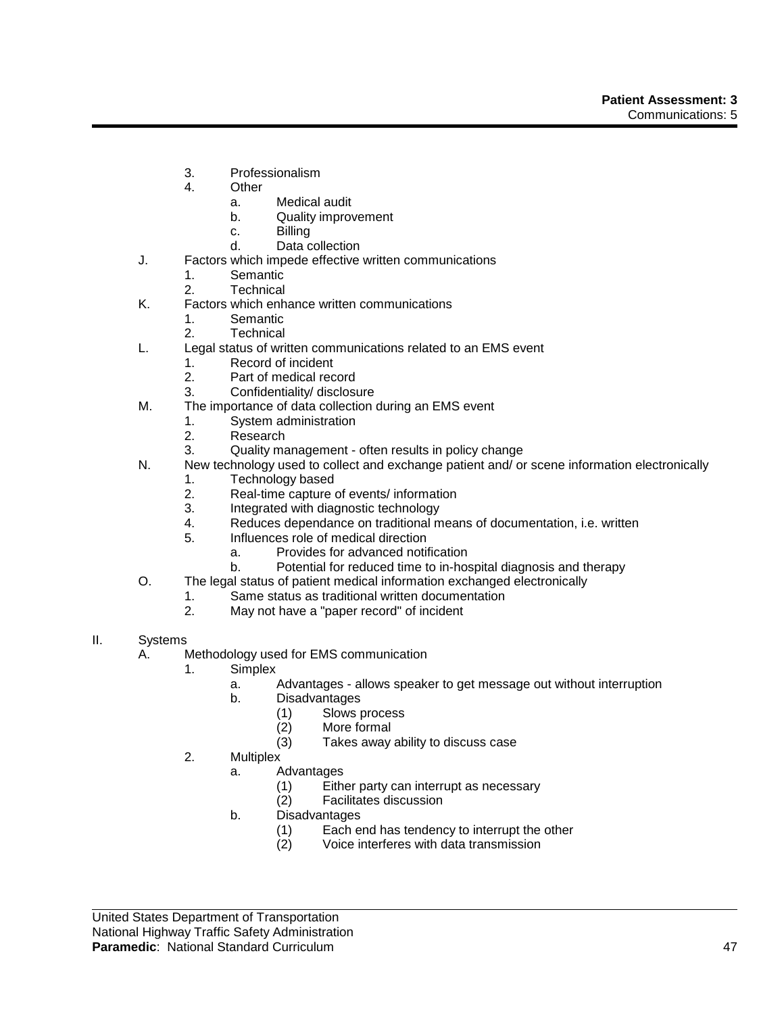- 3. Professionalism
- 4. Other
	- a. Medical audit
	- b. Quality improvement
	- c. Billing
	- d. Data collection
- J. Factors which impede effective written communications
	- 1. Semantic<br>2. Technical
	- **Technical**
- K. Factors which enhance written communications
	- 1. Semantic
	- 2. Technical
- L. Legal status of written communications related to an EMS event
	- 1. Record of incident
	- 2. Part of medical record
	- 3. Confidentiality/ disclosure
- M. The importance of data collection during an EMS event
	- 1. System administration
	- 2. Research
	- 3. Quality management often results in policy change
- N. New technology used to collect and exchange patient and/ or scene information electronically
	- 1. Technology based
	- 2. Real-time capture of events/ information
	- 3. Integrated with diagnostic technology
	- 4. Reduces dependance on traditional means of documentation, i.e. written
	- 5. Influences role of medical direction
		- a. Provides for advanced notification
		- b. Potential for reduced time to in-hospital diagnosis and therapy
- O. The legal status of patient medical information exchanged electronically
	- 1. Same status as traditional written documentation
	- 2. May not have a "paper record" of incident
- II. Systems
	- A. Methodology used for EMS communication
		- 1. Simplex
			- a. Advantages allows speaker to get message out without interruption
			- b. Disadvantages
				- (1) Slows process
				- (2) More formal
				- (3) Takes away ability to discuss case
			- 2. Multiplex
				- a. Advantages
					- (1) Either party can interrupt as necessary
					- (2) Facilitates discussion
				- b. Disadvantages
					- (1) Each end has tendency to interrupt the other (2) Voice interferes with data transmission
					- Voice interferes with data transmission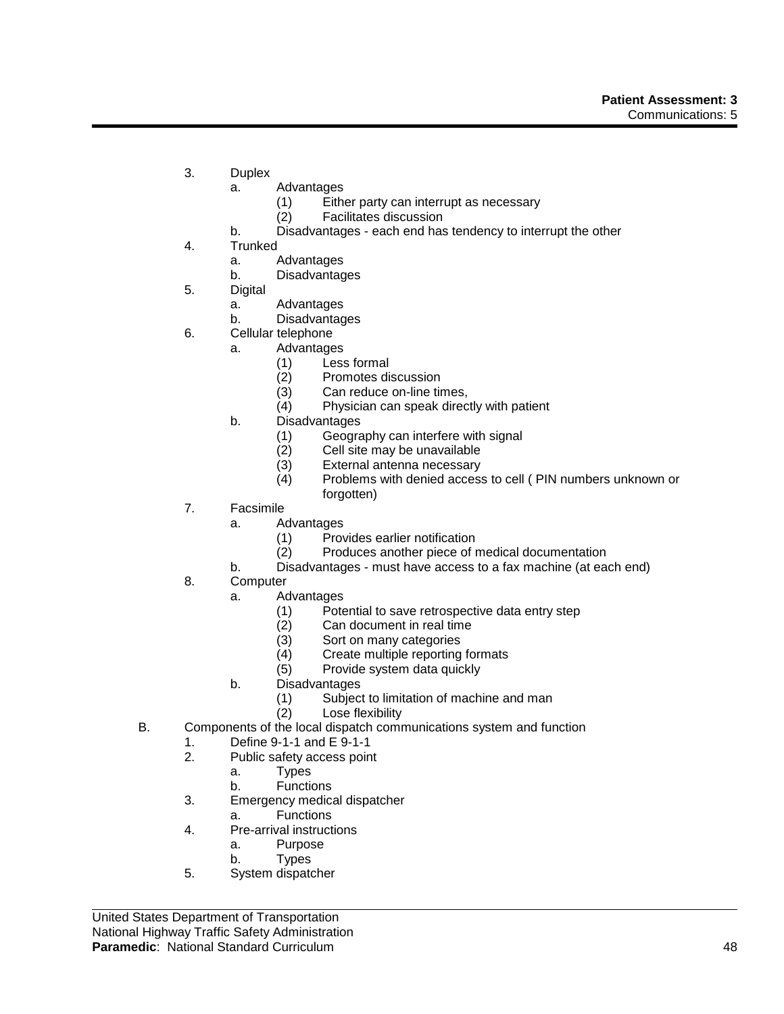- 3. Duplex
	- a. Advantages
		- (1) Either party can interrupt as necessary
		- (2) Facilitates discussion
	- b. Disadvantages each end has tendency to interrupt the other
- 4. Trunked
	- a. Advantages
	- b. Disadvantages
- 5. Digital
	- a. Advantages
	- b. Disadvantages
- 6. Cellular telephone
	- a. Advantages
		- (1) Less formal
		- (2) Promotes discussion
		- (3) Can reduce on-line times,
		- (4) Physician can speak directly with patient
		- b. Disadvantages
			- (1) Geography can interfere with signal
			- (2) Cell site may be unavailable<br>(3) External antenna necessary
			- (3) External antenna necessary<br>(4) Problems with denied access
			- Problems with denied access to cell ( PIN numbers unknown or forgotten)
- 7. Facsimile
	- a. Advantages
		- (1) Provides earlier notification
		- (2) Produces another piece of medical documentation
	- b. Disadvantages must have access to a fax machine (at each end)
- 8. Computer
	- a. Advantages
		- (1) Potential to save retrospective data entry step
		- (2) Can document in real time
		- (3) Sort on many categories<br>(4) Create multiple reporting
		- Create multiple reporting formats
		- (5) Provide system data quickly
	- b. Disadvantages
		- (1) Subject to limitation of machine and man
	- (2) Lose flexibility
- B. Components of the local dispatch communications system and function
	- 1. Define 9-1-1 and E 9-1-1
	- 2. Public safety access point
		- a. Types
			- b. Functions
	- 3. Emergency medical dispatcher
		- a. Functions
	- 4. Pre-arrival instructions
		- a. Purpose
		- b. Types
	- 5. System dispatcher

United States Department of Transportation National Highway Traffic Safety Administration **Paramedic**: National Standard Curriculum **1896 1996 1997 1998 1999 1999 1999 1999 1999 1999 1999 1999 1999 1999 1999 1999 1999 1999 1999 1999 1999 1999 1999 1999 1999 1999**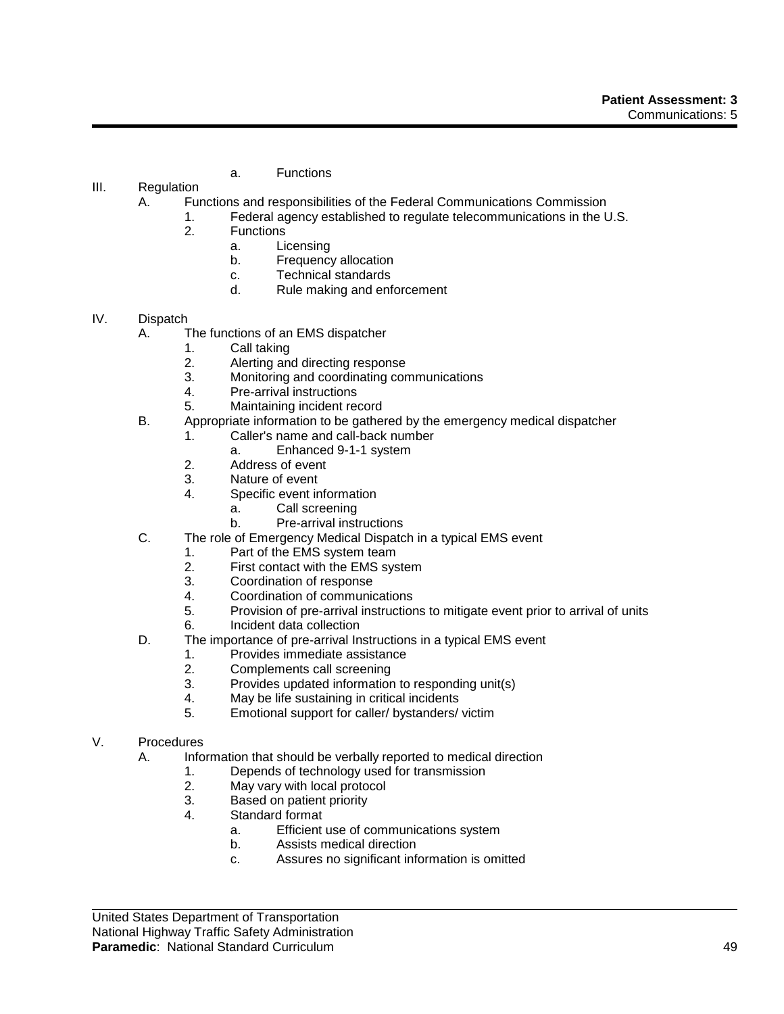- a. Functions
- III. Regulation
	- A. Functions and responsibilities of the Federal Communications Commission
		- 1. Federal agency established to regulate telecommunications in the U.S.
		- 2. Functions
			- a. Licensing
			- b. Frequency allocation
			- c. Technical standards
			- d. Rule making and enforcement
- IV. Dispatch
	- A. The functions of an EMS dispatcher
		- 1. Call taking
			- 2. Alerting and directing response
			- 3. Monitoring and coordinating communications
			- 4. Pre-arrival instructions
		- 5. Maintaining incident record
	- B. Appropriate information to be gathered by the emergency medical dispatcher
		- 1. Caller's name and call-back number
			- a. Enhanced 9-1-1 system
		- 2. Address of event<br>3. Nature of event
		- Nature of event
		- 4. Specific event information
			- a. Call screening
			- b. Pre-arrival instructions
	- C. The role of Emergency Medical Dispatch in a typical EMS event
		- 1. Part of the EMS system team
		- 2. First contact with the EMS system
		- 3. Coordination of response
		- 4. Coordination of communications
		- 5. Provision of pre-arrival instructions to mitigate event prior to arrival of units
		- 6. Incident data collection
	- D. The importance of pre-arrival Instructions in a typical EMS event
		- 1. Provides immediate assistance
		- 2. Complements call screening
		- 3. Provides updated information to responding unit(s)
		- 4. May be life sustaining in critical incidents
		- 5. Emotional support for caller/ bystanders/ victim
- V. Procedures
	- A. Information that should be verbally reported to medical direction
		- 1. Depends of technology used for transmission
		- 2. May vary with local protocol
		- 3. Based on patient priority
		- 4. Standard format
			- a. Efficient use of communications system
			- b. Assists medical direction
			- c. Assures no significant information is omitted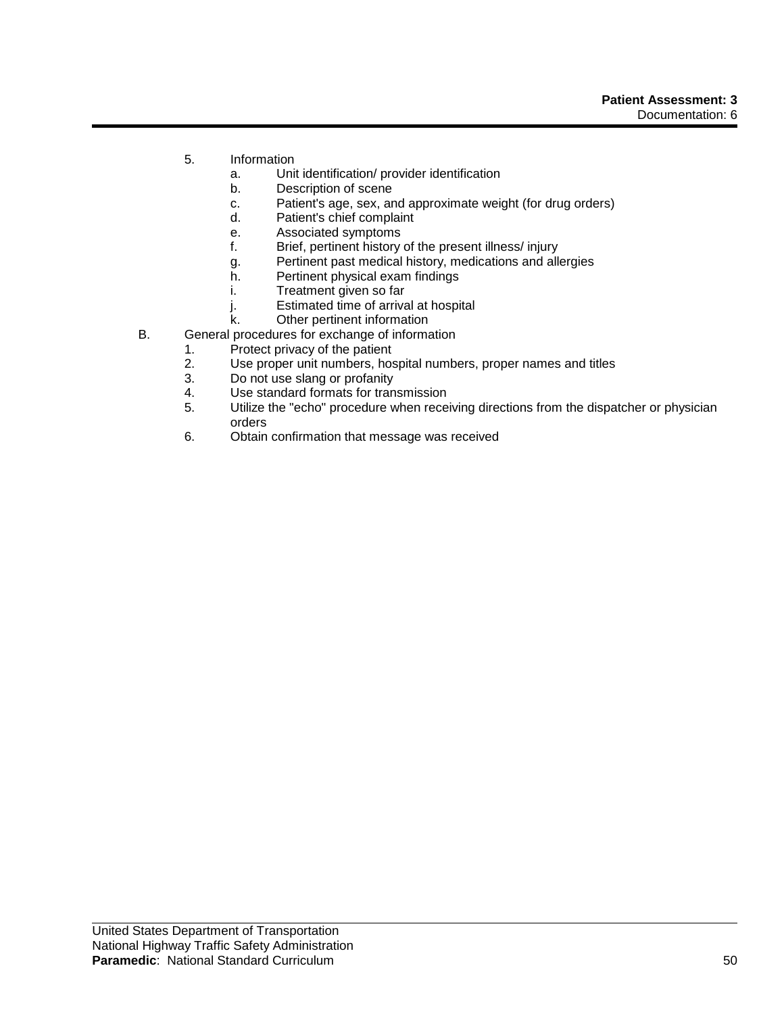- 5. Information
	- a. Unit identification/ provider identification
	- b. Description of scene
	- c. Patient's age, sex, and approximate weight (for drug orders)
	- d. Patient's chief complaint
	- e. Associated symptoms
	- f. Brief, pertinent history of the present illness/ injury
	- g. Pertinent past medical history, medications and allergies
	- h. Pertinent physical exam findings
	- i. Treatment given so far
	- j. Estimated time of arrival at hospital
	- k. Other pertinent information
- B. General procedures for exchange of information
	- 1. Protect privacy of the patient
		- 2. Use proper unit numbers, hospital numbers, proper names and titles
	- 3. Do not use slang or profanity
	- 4. Use standard formats for transmission
	- 5. Utilize the "echo" procedure when receiving directions from the dispatcher or physician orders
	- 6. Obtain confirmation that message was received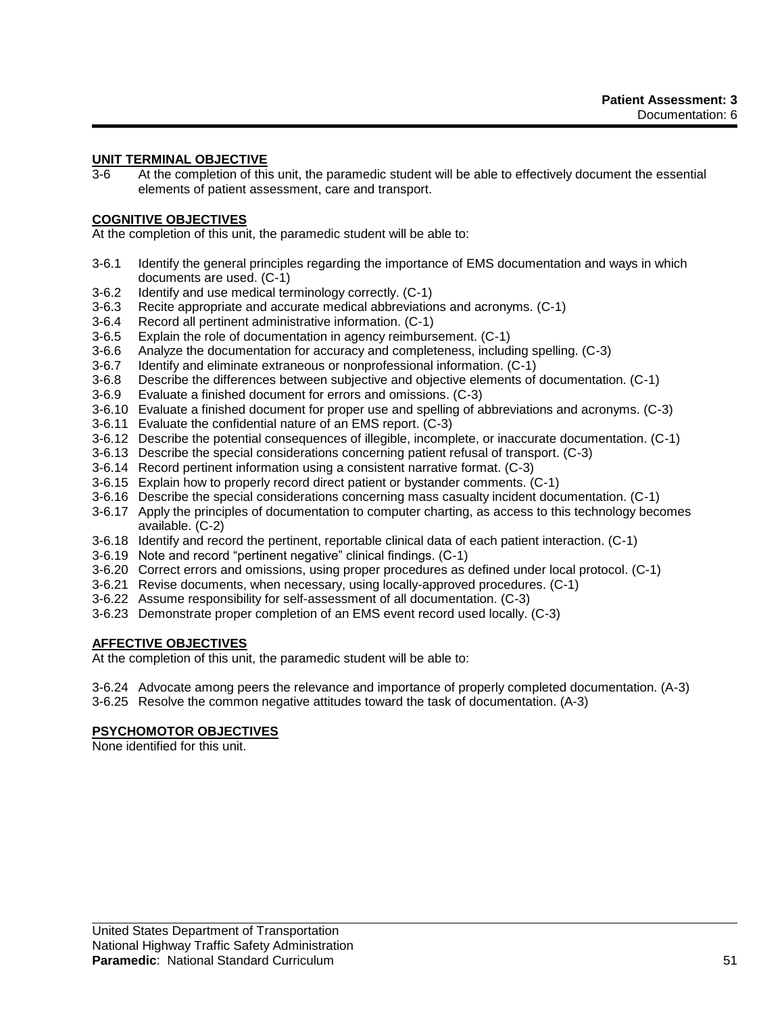# **UNIT TERMINAL OBJECTIVE**

3-6 At the completion of this unit, the paramedic student will be able to effectively document the essential elements of patient assessment, care and transport.

## **COGNITIVE OBJECTIVES**

At the completion of this unit, the paramedic student will be able to:

- 3-6.1 Identify the general principles regarding the importance of EMS documentation and ways in which documents are used. (C-1)
- 3-6.2 Identify and use medical terminology correctly. (C-1)
- 3-6.3 Recite appropriate and accurate medical abbreviations and acronyms. (C-1)
- 3-6.4 Record all pertinent administrative information. (C-1)
- 3-6.5 Explain the role of documentation in agency reimbursement. (C-1)
- 3-6.6 Analyze the documentation for accuracy and completeness, including spelling. (C-3)
- 3-6.7 Identify and eliminate extraneous or nonprofessional information. (C-1)
- 3-6.8 Describe the differences between subjective and objective elements of documentation. (C-1)
- 3-6.9 Evaluate a finished document for errors and omissions. (C-3)
- 3-6.10 Evaluate a finished document for proper use and spelling of abbreviations and acronyms. (C-3)
- 3-6.11 Evaluate the confidential nature of an EMS report. (C-3)
- 3-6.12 Describe the potential consequences of illegible, incomplete, or inaccurate documentation. (C-1)
- 3-6.13 Describe the special considerations concerning patient refusal of transport. (C-3)
- 3-6.14 Record pertinent information using a consistent narrative format. (C-3)
- 3-6.15 Explain how to properly record direct patient or bystander comments. (C-1)
- 3-6.16 Describe the special considerations concerning mass casualty incident documentation. (C-1)
- 3-6.17 Apply the principles of documentation to computer charting, as access to this technology becomes available. (C-2)
- 3-6.18 Identify and record the pertinent, reportable clinical data of each patient interaction. (C-1)
- 3-6.19 Note and record "pertinent negative" clinical findings. (C-1)
- 3-6.20 Correct errors and omissions, using proper procedures as defined under local protocol. (C-1)
- 3-6.21 Revise documents, when necessary, using locally-approved procedures. (C-1)
- 3-6.22 Assume responsibility for self-assessment of all documentation. (C-3)
- 3-6.23 Demonstrate proper completion of an EMS event record used locally. (C-3)

## **AFFECTIVE OBJECTIVES**

At the completion of this unit, the paramedic student will be able to:

- 3-6.24 Advocate among peers the relevance and importance of properly completed documentation. (A-3)
- 3-6.25 Resolve the common negative attitudes toward the task of documentation. (A-3)

## **PSYCHOMOTOR OBJECTIVES**

None identified for this unit.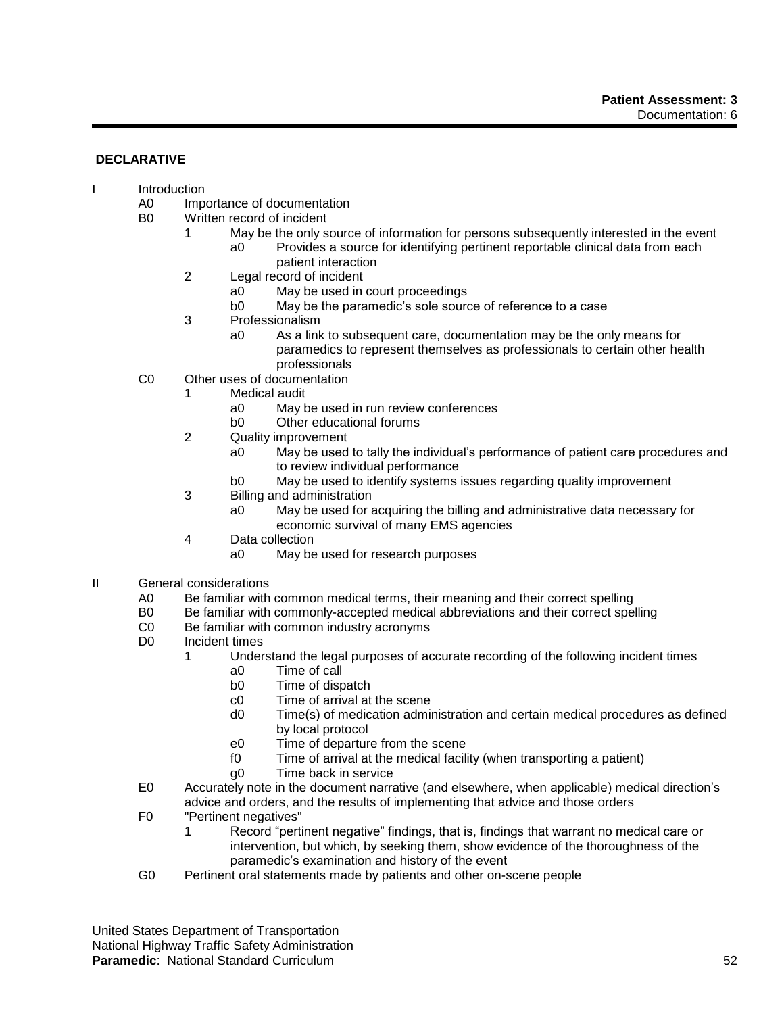## **DECLARATIVE**

- I Introduction
	- A0 Importance of documentation<br>B0 Written record of incident
	- Written record of incident
		- 1 May be the only source of information for persons subsequently interested in the event a0 Provides a source for identifying pertinent reportable clinical data from each patient interaction
		- 2 Legal record of incident
			- a0 May be used in court proceedings
			- b0 May be the paramedic's sole source of reference to a case
		- 3 Professionalism
			- a0 As a link to subsequent care, documentation may be the only means for paramedics to represent themselves as professionals to certain other health professionals
	- C0 Other uses of documentation
		- 1 Medical audit
			- a0 May be used in run review conferences
			- b0 Other educational forums
		- 2 Quality improvement
			- a0 May be used to tally the individual's performance of patient care procedures and to review individual performance
			- b0 May be used to identify systems issues regarding quality improvement
		- 3 Billing and administration
			- a0 May be used for acquiring the billing and administrative data necessary for economic survival of many EMS agencies
		- 4 Data collection
			- a0 May be used for research purposes
- II General considerations
	- A0 Be familiar with common medical terms, their meaning and their correct spelling
	- B0 Be familiar with commonly-accepted medical abbreviations and their correct spelling
	- C0 Be familiar with common industry acronyms<br>D0 Incident times
	- Incident times
		- 1 Understand the legal purposes of accurate recording of the following incident times a0 Time of call
			- b0 Time of dispatch
			- c0 Time of arrival at the scene
			- d0 Time(s) of medication administration and certain medical procedures as defined by local protocol
			- e0 Time of departure from the scene
			- f0 Time of arrival at the medical facility (when transporting a patient)
			- g0 Time back in service
	- E0 Accurately note in the document narrative (and elsewhere, when applicable) medical direction's advice and orders, and the results of implementing that advice and those orders
	- F0 "Pertinent negatives"
		- 1 Record "pertinent negative" findings, that is, findings that warrant no medical care or intervention, but which, by seeking them, show evidence of the thoroughness of the paramedic's examination and history of the event
	- G0 Pertinent oral statements made by patients and other on-scene people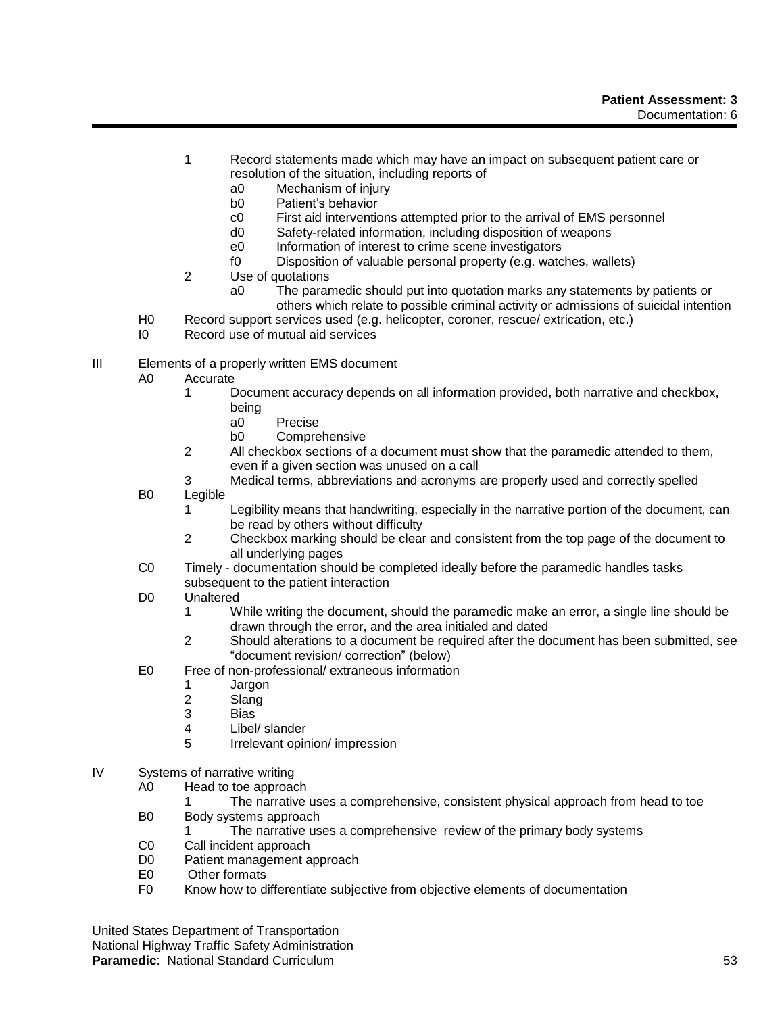- 1 Record statements made which may have an impact on subsequent patient care or resolution of the situation, including reports of
	- a0 Mechanism of injury
	- b0 Patient's behavior
	- c0 First aid interventions attempted prior to the arrival of EMS personnel
	- d0 Safety-related information, including disposition of weapons
	- e0 Information of interest to crime scene investigators
	- f0 Disposition of valuable personal property (e.g. watches, wallets)
- 2 Use of quotations
	- a0 The paramedic should put into quotation marks any statements by patients or others which relate to possible criminal activity or admissions of suicidal intention
- H0 Record support services used (e.g. helicopter, coroner, rescue/ extrication, etc.)
- I0 Record use of mutual aid services
- III Elements of a properly written EMS document
	- A0 Accurate
		- 1 Document accuracy depends on all information provided, both narrative and checkbox, being
			- a0 Precise
			- b0 Comprehensive
		- 2 All checkbox sections of a document must show that the paramedic attended to them, even if a given section was unused on a call
		- 3 Medical terms, abbreviations and acronyms are properly used and correctly spelled
	- B0 Legible
		- 1 Legibility means that handwriting, especially in the narrative portion of the document, can be read by others without difficulty
		- 2 Checkbox marking should be clear and consistent from the top page of the document to all underlying pages
	- C0 Timely documentation should be completed ideally before the paramedic handles tasks subsequent to the patient interaction
	- D0 Unaltered
		- 1 While writing the document, should the paramedic make an error, a single line should be drawn through the error, and the area initialed and dated
		- 2 Should alterations to a document be required after the document has been submitted, see "document revision/ correction" (below)
	- E0 Free of non-professional/ extraneous information
		- 1 Jargon
			- 2 Slang
			- 3 Bias
			- 4 Libel/ slander
		- 5 Irrelevant opinion/ impression
- IV Systems of narrative writing
	- A0 Head to toe approach
		- 1 The narrative uses a comprehensive, consistent physical approach from head to toe
	- B0 Body systems approach
		- The narrative uses a comprehensive review of the primary body systems
	- C0 Call incident approach
	- D0 Patient management approach<br>E0 Other formats
	- Other formats
	- F0 Know how to differentiate subjective from objective elements of documentation

United States Department of Transportation

National Highway Traffic Safety Administration

## **Paramedic**: National Standard Curriculum 53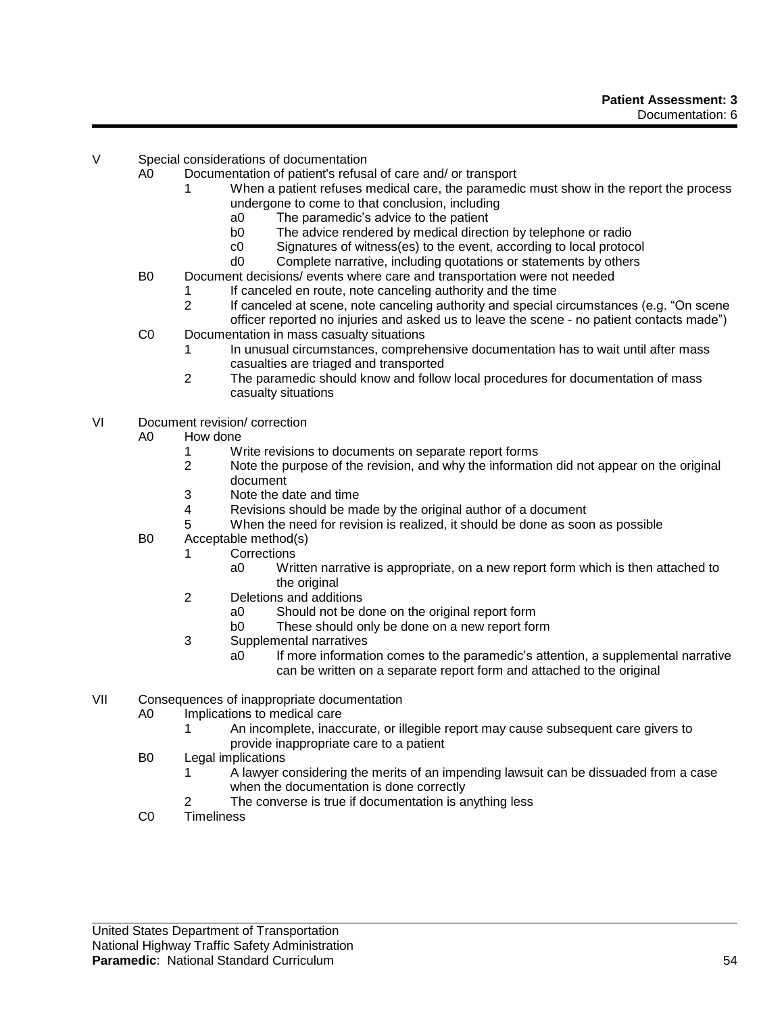- V Special considerations of documentation
	- A0 Documentation of patient's refusal of care and/ or transport
		- 1 When a patient refuses medical care, the paramedic must show in the report the process undergone to come to that conclusion, including
			- a0 The paramedic's advice to the patient
			- b0 The advice rendered by medical direction by telephone or radio
			- c0 Signatures of witness(es) to the event, according to local protocol
			- d0 Complete narrative, including quotations or statements by others
	- B0 Document decisions/ events where care and transportation were not needed
		- 1 If canceled en route, note canceling authority and the time
		- 2 If canceled at scene, note canceling authority and special circumstances (e.g. "On scene
	- officer reported no injuries and asked us to leave the scene no patient contacts made") C0 Documentation in mass casualty situations
		- 1 In unusual circumstances, comprehensive documentation has to wait until after mass casualties are triaged and transported
		- 2 The paramedic should know and follow local procedures for documentation of mass casualty situations
- VI Document revision/ correction
	- A0 How done
		- 1 Write revisions to documents on separate report forms<br>2 Note the purpose of the revision, and why the information
		- Note the purpose of the revision, and why the information did not appear on the original document
		- $3$  Note the date and time
		- Revisions should be made by the original author of a document
		- 5 When the need for revision is realized, it should be done as soon as possible
	- B0 Acceptable method(s)
		- 1 Corrections
			- a0 Written narrative is appropriate, on a new report form which is then attached to the original
		- 2 Deletions and additions
			- a0 Should not be done on the original report form
			- b0 These should only be done on a new report form
		- 3 Supplemental narratives
			- a0 If more information comes to the paramedic's attention, a supplemental narrative can be written on a separate report form and attached to the original
- VII Consequences of inappropriate documentation
	- A0 Implications to medical care
		- 1 An incomplete, inaccurate, or illegible report may cause subsequent care givers to provide inappropriate care to a patient
	- B0 Legal implications
		- 1 A lawyer considering the merits of an impending lawsuit can be dissuaded from a case when the documentation is done correctly
		- 2 The converse is true if documentation is anything less
	- C0 Timeliness